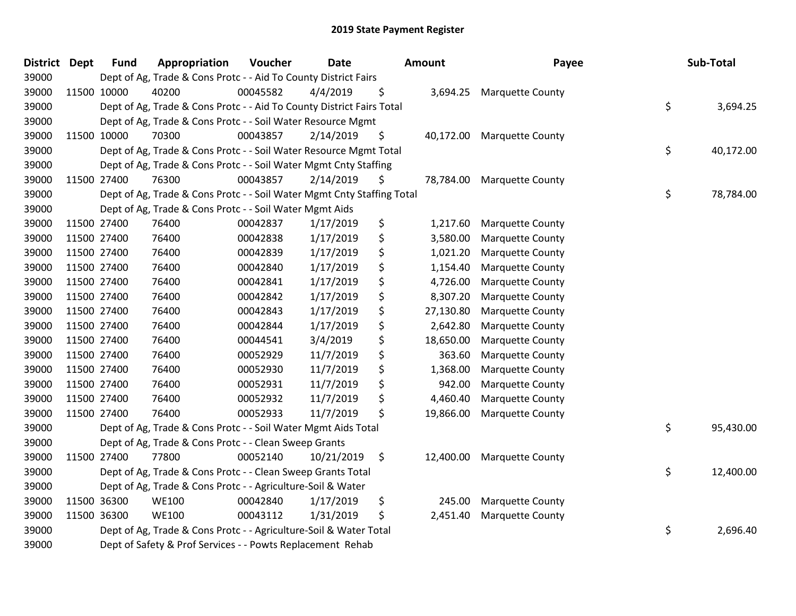| <b>District</b> | <b>Dept</b> | <b>Fund</b> | Appropriation                                                          | Voucher  | <b>Date</b> | <b>Amount</b>   | Payee                   | Sub-Total       |
|-----------------|-------------|-------------|------------------------------------------------------------------------|----------|-------------|-----------------|-------------------------|-----------------|
| 39000           |             |             | Dept of Ag, Trade & Cons Protc - - Aid To County District Fairs        |          |             |                 |                         |                 |
| 39000           |             | 11500 10000 | 40200                                                                  | 00045582 | 4/4/2019    | \$<br>3,694.25  | <b>Marquette County</b> |                 |
| 39000           |             |             | Dept of Ag, Trade & Cons Protc - - Aid To County District Fairs Total  |          |             |                 |                         | \$<br>3,694.25  |
| 39000           |             |             | Dept of Ag, Trade & Cons Protc - - Soil Water Resource Mgmt            |          |             |                 |                         |                 |
| 39000           |             | 11500 10000 | 70300                                                                  | 00043857 | 2/14/2019   | \$<br>40,172.00 | <b>Marquette County</b> |                 |
| 39000           |             |             | Dept of Ag, Trade & Cons Protc - - Soil Water Resource Mgmt Total      |          |             |                 |                         | \$<br>40,172.00 |
| 39000           |             |             | Dept of Ag, Trade & Cons Protc - - Soil Water Mgmt Cnty Staffing       |          |             |                 |                         |                 |
| 39000           |             | 11500 27400 | 76300                                                                  | 00043857 | 2/14/2019   | \$<br>78,784.00 | <b>Marquette County</b> |                 |
| 39000           |             |             | Dept of Ag, Trade & Cons Protc - - Soil Water Mgmt Cnty Staffing Total |          |             |                 |                         | \$<br>78,784.00 |
| 39000           |             |             | Dept of Ag, Trade & Cons Protc - - Soil Water Mgmt Aids                |          |             |                 |                         |                 |
| 39000           |             | 11500 27400 | 76400                                                                  | 00042837 | 1/17/2019   | \$<br>1,217.60  | <b>Marquette County</b> |                 |
| 39000           |             | 11500 27400 | 76400                                                                  | 00042838 | 1/17/2019   | \$<br>3,580.00  | <b>Marquette County</b> |                 |
| 39000           |             | 11500 27400 | 76400                                                                  | 00042839 | 1/17/2019   | \$<br>1,021.20  | <b>Marquette County</b> |                 |
| 39000           |             | 11500 27400 | 76400                                                                  | 00042840 | 1/17/2019   | \$<br>1,154.40  | <b>Marquette County</b> |                 |
| 39000           |             | 11500 27400 | 76400                                                                  | 00042841 | 1/17/2019   | \$<br>4,726.00  | <b>Marquette County</b> |                 |
| 39000           |             | 11500 27400 | 76400                                                                  | 00042842 | 1/17/2019   | \$<br>8,307.20  | <b>Marquette County</b> |                 |
| 39000           |             | 11500 27400 | 76400                                                                  | 00042843 | 1/17/2019   | \$<br>27,130.80 | <b>Marquette County</b> |                 |
| 39000           |             | 11500 27400 | 76400                                                                  | 00042844 | 1/17/2019   | \$<br>2,642.80  | <b>Marquette County</b> |                 |
| 39000           |             | 11500 27400 | 76400                                                                  | 00044541 | 3/4/2019    | \$<br>18,650.00 | <b>Marquette County</b> |                 |
| 39000           |             | 11500 27400 | 76400                                                                  | 00052929 | 11/7/2019   | \$<br>363.60    | <b>Marquette County</b> |                 |
| 39000           |             | 11500 27400 | 76400                                                                  | 00052930 | 11/7/2019   | \$<br>1,368.00  | <b>Marquette County</b> |                 |
| 39000           |             | 11500 27400 | 76400                                                                  | 00052931 | 11/7/2019   | \$<br>942.00    | Marquette County        |                 |
| 39000           |             | 11500 27400 | 76400                                                                  | 00052932 | 11/7/2019   | \$<br>4,460.40  | <b>Marquette County</b> |                 |
| 39000           |             | 11500 27400 | 76400                                                                  | 00052933 | 11/7/2019   | \$<br>19,866.00 | <b>Marquette County</b> |                 |
| 39000           |             |             | Dept of Ag, Trade & Cons Protc - - Soil Water Mgmt Aids Total          |          |             |                 |                         | \$<br>95,430.00 |
| 39000           |             |             | Dept of Ag, Trade & Cons Protc - - Clean Sweep Grants                  |          |             |                 |                         |                 |
| 39000           |             | 11500 27400 | 77800                                                                  | 00052140 | 10/21/2019  | \$<br>12,400.00 | <b>Marquette County</b> |                 |
| 39000           |             |             | Dept of Ag, Trade & Cons Protc - - Clean Sweep Grants Total            |          |             |                 |                         | \$<br>12,400.00 |
| 39000           |             |             | Dept of Ag, Trade & Cons Protc - - Agriculture-Soil & Water            |          |             |                 |                         |                 |
| 39000           |             | 11500 36300 | <b>WE100</b>                                                           | 00042840 | 1/17/2019   | \$<br>245.00    | <b>Marquette County</b> |                 |
| 39000           |             | 11500 36300 | <b>WE100</b>                                                           | 00043112 | 1/31/2019   | \$<br>2,451.40  | <b>Marquette County</b> |                 |
| 39000           |             |             | Dept of Ag, Trade & Cons Protc - - Agriculture-Soil & Water Total      |          |             |                 |                         | \$<br>2,696.40  |
| 39000           |             |             | Dept of Safety & Prof Services - - Powts Replacement Rehab             |          |             |                 |                         |                 |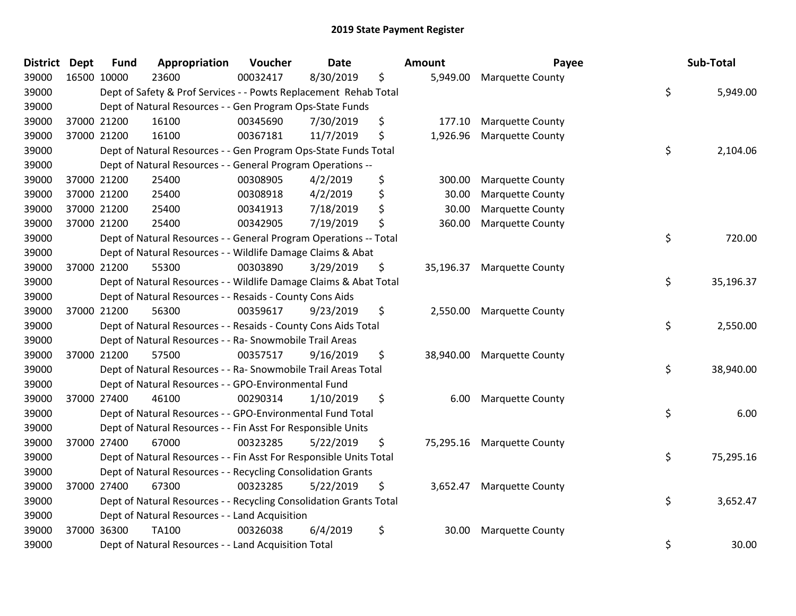| <b>District</b> | <b>Dept</b> | <b>Fund</b> | Appropriation                                                      | Voucher  | <b>Date</b> | Amount          | Payee                   | Sub-Total       |
|-----------------|-------------|-------------|--------------------------------------------------------------------|----------|-------------|-----------------|-------------------------|-----------------|
| 39000           | 16500 10000 |             | 23600                                                              | 00032417 | 8/30/2019   | \$<br>5,949.00  | <b>Marquette County</b> |                 |
| 39000           |             |             | Dept of Safety & Prof Services - - Powts Replacement Rehab Total   |          |             |                 |                         | \$<br>5,949.00  |
| 39000           |             |             | Dept of Natural Resources - - Gen Program Ops-State Funds          |          |             |                 |                         |                 |
| 39000           |             | 37000 21200 | 16100                                                              | 00345690 | 7/30/2019   | \$<br>177.10    | <b>Marquette County</b> |                 |
| 39000           | 37000 21200 |             | 16100                                                              | 00367181 | 11/7/2019   | \$<br>1,926.96  | Marquette County        |                 |
| 39000           |             |             | Dept of Natural Resources - - Gen Program Ops-State Funds Total    |          |             |                 |                         | \$<br>2,104.06  |
| 39000           |             |             | Dept of Natural Resources - - General Program Operations --        |          |             |                 |                         |                 |
| 39000           |             | 37000 21200 | 25400                                                              | 00308905 | 4/2/2019    | \$<br>300.00    | <b>Marquette County</b> |                 |
| 39000           |             | 37000 21200 | 25400                                                              | 00308918 | 4/2/2019    | \$<br>30.00     | <b>Marquette County</b> |                 |
| 39000           |             | 37000 21200 | 25400                                                              | 00341913 | 7/18/2019   | \$<br>30.00     | <b>Marquette County</b> |                 |
| 39000           | 37000 21200 |             | 25400                                                              | 00342905 | 7/19/2019   | \$<br>360.00    | <b>Marquette County</b> |                 |
| 39000           |             |             | Dept of Natural Resources - - General Program Operations -- Total  |          |             |                 |                         | \$<br>720.00    |
| 39000           |             |             | Dept of Natural Resources - - Wildlife Damage Claims & Abat        |          |             |                 |                         |                 |
| 39000           |             | 37000 21200 | 55300                                                              | 00303890 | 3/29/2019   | \$<br>35,196.37 | <b>Marquette County</b> |                 |
| 39000           |             |             | Dept of Natural Resources - - Wildlife Damage Claims & Abat Total  |          |             |                 |                         | \$<br>35,196.37 |
| 39000           |             |             | Dept of Natural Resources - - Resaids - County Cons Aids           |          |             |                 |                         |                 |
| 39000           |             | 37000 21200 | 56300                                                              | 00359617 | 9/23/2019   | \$<br>2,550.00  | <b>Marquette County</b> |                 |
| 39000           |             |             | Dept of Natural Resources - - Resaids - County Cons Aids Total     |          |             |                 |                         | \$<br>2,550.00  |
| 39000           |             |             | Dept of Natural Resources - - Ra- Snowmobile Trail Areas           |          |             |                 |                         |                 |
| 39000           | 37000 21200 |             | 57500                                                              | 00357517 | 9/16/2019   | \$<br>38,940.00 | <b>Marquette County</b> |                 |
| 39000           |             |             | Dept of Natural Resources - - Ra- Snowmobile Trail Areas Total     |          |             |                 |                         | \$<br>38,940.00 |
| 39000           |             |             | Dept of Natural Resources - - GPO-Environmental Fund               |          |             |                 |                         |                 |
| 39000           |             | 37000 27400 | 46100                                                              | 00290314 | 1/10/2019   | \$<br>6.00      | <b>Marquette County</b> |                 |
| 39000           |             |             | Dept of Natural Resources - - GPO-Environmental Fund Total         |          |             |                 |                         | \$<br>6.00      |
| 39000           |             |             | Dept of Natural Resources - - Fin Asst For Responsible Units       |          |             |                 |                         |                 |
| 39000           |             | 37000 27400 | 67000                                                              | 00323285 | 5/22/2019   | \$<br>75,295.16 | <b>Marquette County</b> |                 |
| 39000           |             |             | Dept of Natural Resources - - Fin Asst For Responsible Units Total |          |             |                 |                         | \$<br>75,295.16 |
| 39000           |             |             | Dept of Natural Resources - - Recycling Consolidation Grants       |          |             |                 |                         |                 |
| 39000           | 37000 27400 |             | 67300                                                              | 00323285 | 5/22/2019   | \$<br>3,652.47  | <b>Marquette County</b> |                 |
| 39000           |             |             | Dept of Natural Resources - - Recycling Consolidation Grants Total |          |             |                 |                         | \$<br>3,652.47  |
| 39000           |             |             | Dept of Natural Resources - - Land Acquisition                     |          |             |                 |                         |                 |
| 39000           | 37000 36300 |             | TA100                                                              | 00326038 | 6/4/2019    | \$<br>30.00     | <b>Marquette County</b> |                 |
| 39000           |             |             | Dept of Natural Resources - - Land Acquisition Total               |          |             |                 |                         | \$<br>30.00     |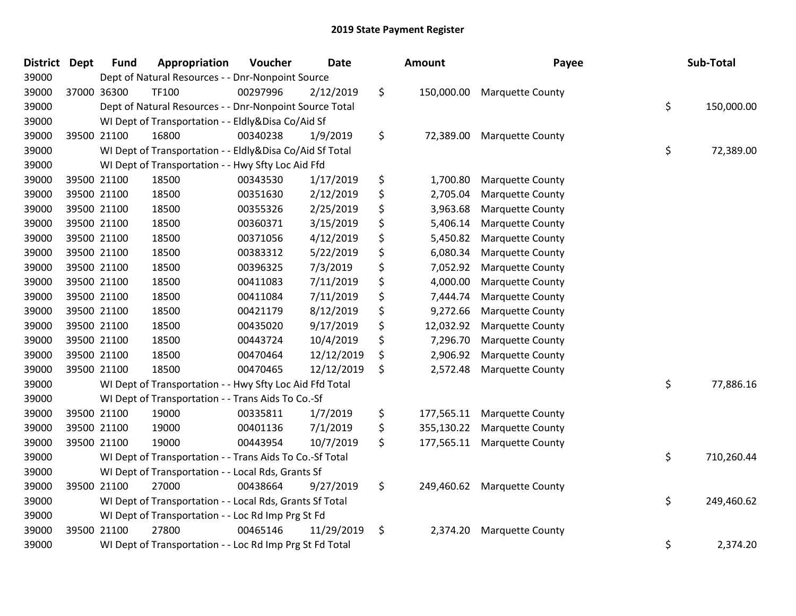| <b>District</b> | <b>Dept</b> | <b>Fund</b> | Appropriation                                            | Voucher  | <b>Date</b> | <b>Amount</b>    | Payee                       | Sub-Total        |
|-----------------|-------------|-------------|----------------------------------------------------------|----------|-------------|------------------|-----------------------------|------------------|
| 39000           |             |             | Dept of Natural Resources - - Dnr-Nonpoint Source        |          |             |                  |                             |                  |
| 39000           |             | 37000 36300 | <b>TF100</b>                                             | 00297996 | 2/12/2019   | \$               | 150,000.00 Marquette County |                  |
| 39000           |             |             | Dept of Natural Resources - - Dnr-Nonpoint Source Total  |          |             |                  |                             | \$<br>150,000.00 |
| 39000           |             |             | WI Dept of Transportation - - Eldly&Disa Co/Aid Sf       |          |             |                  |                             |                  |
| 39000           |             | 39500 21100 | 16800                                                    | 00340238 | 1/9/2019    | \$<br>72,389.00  | <b>Marquette County</b>     |                  |
| 39000           |             |             | WI Dept of Transportation - - Eldly&Disa Co/Aid Sf Total |          |             |                  |                             | \$<br>72,389.00  |
| 39000           |             |             | WI Dept of Transportation - - Hwy Sfty Loc Aid Ffd       |          |             |                  |                             |                  |
| 39000           |             | 39500 21100 | 18500                                                    | 00343530 | 1/17/2019   | \$<br>1,700.80   | <b>Marquette County</b>     |                  |
| 39000           |             | 39500 21100 | 18500                                                    | 00351630 | 2/12/2019   | \$<br>2,705.04   | <b>Marquette County</b>     |                  |
| 39000           |             | 39500 21100 | 18500                                                    | 00355326 | 2/25/2019   | \$<br>3,963.68   | <b>Marquette County</b>     |                  |
| 39000           |             | 39500 21100 | 18500                                                    | 00360371 | 3/15/2019   | \$<br>5,406.14   | Marquette County            |                  |
| 39000           |             | 39500 21100 | 18500                                                    | 00371056 | 4/12/2019   | \$<br>5,450.82   | <b>Marquette County</b>     |                  |
| 39000           |             | 39500 21100 | 18500                                                    | 00383312 | 5/22/2019   | \$<br>6,080.34   | <b>Marquette County</b>     |                  |
| 39000           | 39500 21100 |             | 18500                                                    | 00396325 | 7/3/2019    | \$<br>7,052.92   | <b>Marquette County</b>     |                  |
| 39000           |             | 39500 21100 | 18500                                                    | 00411083 | 7/11/2019   | \$<br>4,000.00   | <b>Marquette County</b>     |                  |
| 39000           |             | 39500 21100 | 18500                                                    | 00411084 | 7/11/2019   | \$<br>7,444.74   | <b>Marquette County</b>     |                  |
| 39000           |             | 39500 21100 | 18500                                                    | 00421179 | 8/12/2019   | \$<br>9,272.66   | <b>Marquette County</b>     |                  |
| 39000           |             | 39500 21100 | 18500                                                    | 00435020 | 9/17/2019   | \$<br>12,032.92  | <b>Marquette County</b>     |                  |
| 39000           |             | 39500 21100 | 18500                                                    | 00443724 | 10/4/2019   | \$<br>7,296.70   | <b>Marquette County</b>     |                  |
| 39000           |             | 39500 21100 | 18500                                                    | 00470464 | 12/12/2019  | \$<br>2,906.92   | <b>Marquette County</b>     |                  |
| 39000           |             | 39500 21100 | 18500                                                    | 00470465 | 12/12/2019  | \$<br>2,572.48   | <b>Marquette County</b>     |                  |
| 39000           |             |             | WI Dept of Transportation - - Hwy Sfty Loc Aid Ffd Total |          |             |                  |                             | \$<br>77,886.16  |
| 39000           |             |             | WI Dept of Transportation - - Trans Aids To Co.-Sf       |          |             |                  |                             |                  |
| 39000           |             | 39500 21100 | 19000                                                    | 00335811 | 1/7/2019    | \$<br>177,565.11 | <b>Marquette County</b>     |                  |
| 39000           |             | 39500 21100 | 19000                                                    | 00401136 | 7/1/2019    | \$<br>355,130.22 | <b>Marquette County</b>     |                  |
| 39000           |             | 39500 21100 | 19000                                                    | 00443954 | 10/7/2019   | \$<br>177,565.11 | <b>Marquette County</b>     |                  |
| 39000           |             |             | WI Dept of Transportation - - Trans Aids To Co.-Sf Total |          |             |                  |                             | \$<br>710,260.44 |
| 39000           |             |             | WI Dept of Transportation - - Local Rds, Grants Sf       |          |             |                  |                             |                  |
| 39000           |             | 39500 21100 | 27000                                                    | 00438664 | 9/27/2019   | \$<br>249,460.62 | <b>Marquette County</b>     |                  |
| 39000           |             |             | WI Dept of Transportation - - Local Rds, Grants Sf Total |          |             |                  |                             | \$<br>249,460.62 |
| 39000           |             |             | WI Dept of Transportation - - Loc Rd Imp Prg St Fd       |          |             |                  |                             |                  |
| 39000           |             | 39500 21100 | 27800                                                    | 00465146 | 11/29/2019  | \$<br>2,374.20   | <b>Marquette County</b>     |                  |
| 39000           |             |             | WI Dept of Transportation - - Loc Rd Imp Prg St Fd Total |          |             |                  |                             | \$<br>2,374.20   |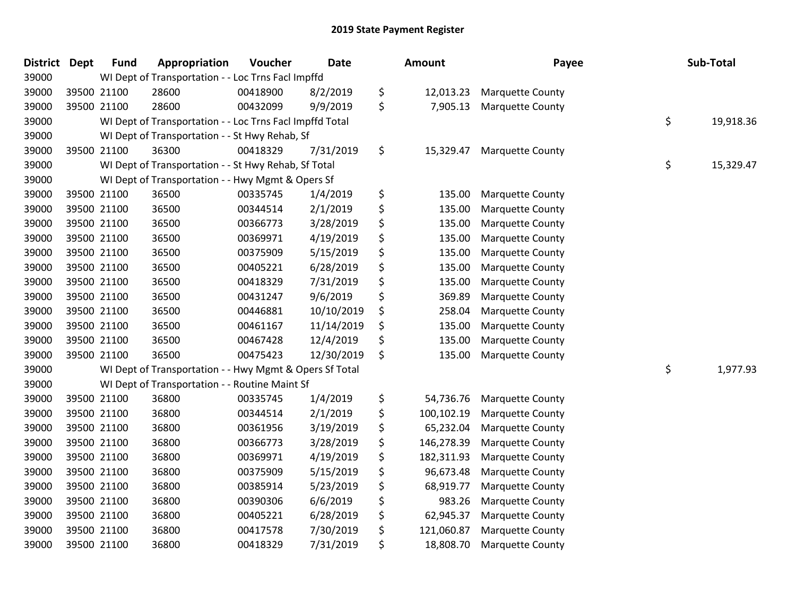| <b>District</b> | <b>Dept</b> | <b>Fund</b> | Appropriation                                            | Voucher  | <b>Date</b> | <b>Amount</b>    | Payee                   | Sub-Total       |
|-----------------|-------------|-------------|----------------------------------------------------------|----------|-------------|------------------|-------------------------|-----------------|
| 39000           |             |             | WI Dept of Transportation - - Loc Trns Facl Impffd       |          |             |                  |                         |                 |
| 39000           |             | 39500 21100 | 28600                                                    | 00418900 | 8/2/2019    | \$<br>12,013.23  | <b>Marquette County</b> |                 |
| 39000           |             | 39500 21100 | 28600                                                    | 00432099 | 9/9/2019    | \$<br>7,905.13   | <b>Marquette County</b> |                 |
| 39000           |             |             | WI Dept of Transportation - - Loc Trns Facl Impffd Total |          |             |                  |                         | \$<br>19,918.36 |
| 39000           |             |             | WI Dept of Transportation - - St Hwy Rehab, Sf           |          |             |                  |                         |                 |
| 39000           |             | 39500 21100 | 36300                                                    | 00418329 | 7/31/2019   | \$<br>15,329.47  | <b>Marquette County</b> |                 |
| 39000           |             |             | WI Dept of Transportation - - St Hwy Rehab, Sf Total     |          |             |                  |                         | \$<br>15,329.47 |
| 39000           |             |             | WI Dept of Transportation - - Hwy Mgmt & Opers Sf        |          |             |                  |                         |                 |
| 39000           |             | 39500 21100 | 36500                                                    | 00335745 | 1/4/2019    | \$<br>135.00     | <b>Marquette County</b> |                 |
| 39000           |             | 39500 21100 | 36500                                                    | 00344514 | 2/1/2019    | \$<br>135.00     | Marquette County        |                 |
| 39000           |             | 39500 21100 | 36500                                                    | 00366773 | 3/28/2019   | \$<br>135.00     | <b>Marquette County</b> |                 |
| 39000           |             | 39500 21100 | 36500                                                    | 00369971 | 4/19/2019   | \$<br>135.00     | <b>Marquette County</b> |                 |
| 39000           |             | 39500 21100 | 36500                                                    | 00375909 | 5/15/2019   | \$<br>135.00     | <b>Marquette County</b> |                 |
| 39000           |             | 39500 21100 | 36500                                                    | 00405221 | 6/28/2019   | \$<br>135.00     | <b>Marquette County</b> |                 |
| 39000           |             | 39500 21100 | 36500                                                    | 00418329 | 7/31/2019   | \$<br>135.00     | <b>Marquette County</b> |                 |
| 39000           |             | 39500 21100 | 36500                                                    | 00431247 | 9/6/2019    | \$<br>369.89     | <b>Marquette County</b> |                 |
| 39000           |             | 39500 21100 | 36500                                                    | 00446881 | 10/10/2019  | \$<br>258.04     | <b>Marquette County</b> |                 |
| 39000           |             | 39500 21100 | 36500                                                    | 00461167 | 11/14/2019  | \$<br>135.00     | Marquette County        |                 |
| 39000           |             | 39500 21100 | 36500                                                    | 00467428 | 12/4/2019   | \$<br>135.00     | <b>Marquette County</b> |                 |
| 39000           |             | 39500 21100 | 36500                                                    | 00475423 | 12/30/2019  | \$<br>135.00     | <b>Marquette County</b> |                 |
| 39000           |             |             | WI Dept of Transportation - - Hwy Mgmt & Opers Sf Total  |          |             |                  |                         | \$<br>1,977.93  |
| 39000           |             |             | WI Dept of Transportation - - Routine Maint Sf           |          |             |                  |                         |                 |
| 39000           |             | 39500 21100 | 36800                                                    | 00335745 | 1/4/2019    | \$<br>54,736.76  | <b>Marquette County</b> |                 |
| 39000           |             | 39500 21100 | 36800                                                    | 00344514 | 2/1/2019    | \$<br>100,102.19 | Marquette County        |                 |
| 39000           |             | 39500 21100 | 36800                                                    | 00361956 | 3/19/2019   | \$<br>65,232.04  | <b>Marquette County</b> |                 |
| 39000           |             | 39500 21100 | 36800                                                    | 00366773 | 3/28/2019   | \$<br>146,278.39 | <b>Marquette County</b> |                 |
| 39000           |             | 39500 21100 | 36800                                                    | 00369971 | 4/19/2019   | \$<br>182,311.93 | Marquette County        |                 |
| 39000           |             | 39500 21100 | 36800                                                    | 00375909 | 5/15/2019   | \$<br>96,673.48  | <b>Marquette County</b> |                 |
| 39000           |             | 39500 21100 | 36800                                                    | 00385914 | 5/23/2019   | \$<br>68,919.77  | <b>Marquette County</b> |                 |
| 39000           |             | 39500 21100 | 36800                                                    | 00390306 | 6/6/2019    | \$<br>983.26     | <b>Marquette County</b> |                 |
| 39000           |             | 39500 21100 | 36800                                                    | 00405221 | 6/28/2019   | \$<br>62,945.37  | <b>Marquette County</b> |                 |
| 39000           |             | 39500 21100 | 36800                                                    | 00417578 | 7/30/2019   | \$<br>121,060.87 | <b>Marquette County</b> |                 |
| 39000           |             | 39500 21100 | 36800                                                    | 00418329 | 7/31/2019   | \$<br>18,808.70  | <b>Marquette County</b> |                 |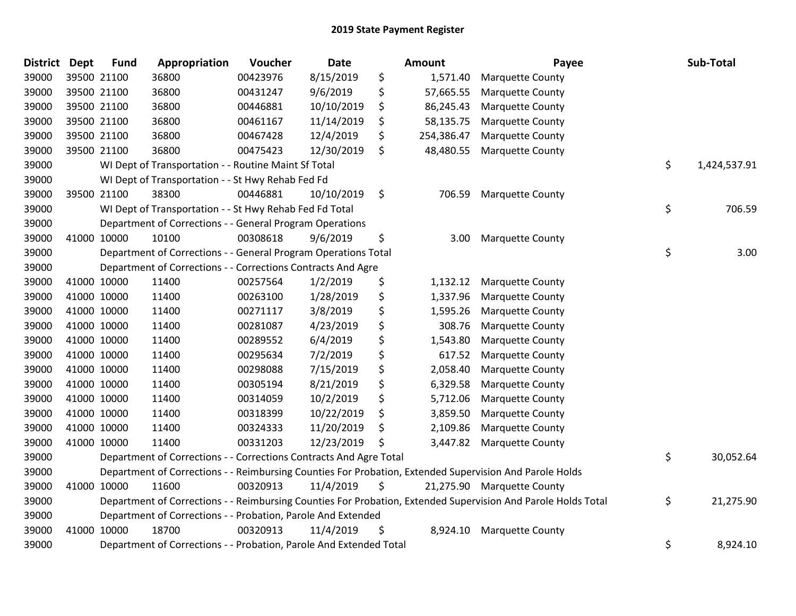| <b>District</b> | <b>Dept</b> | <b>Fund</b> | Appropriation                                                      | Voucher  | <b>Date</b> | <b>Amount</b>    | Payee                                                                                                         | Sub-Total          |
|-----------------|-------------|-------------|--------------------------------------------------------------------|----------|-------------|------------------|---------------------------------------------------------------------------------------------------------------|--------------------|
| 39000           |             | 39500 21100 | 36800                                                              | 00423976 | 8/15/2019   | \$<br>1,571.40   | <b>Marquette County</b>                                                                                       |                    |
| 39000           |             | 39500 21100 | 36800                                                              | 00431247 | 9/6/2019    | \$<br>57,665.55  | <b>Marquette County</b>                                                                                       |                    |
| 39000           |             | 39500 21100 | 36800                                                              | 00446881 | 10/10/2019  | \$<br>86,245.43  | <b>Marquette County</b>                                                                                       |                    |
| 39000           |             | 39500 21100 | 36800                                                              | 00461167 | 11/14/2019  | \$<br>58,135.75  | <b>Marquette County</b>                                                                                       |                    |
| 39000           |             | 39500 21100 | 36800                                                              | 00467428 | 12/4/2019   | \$<br>254,386.47 | <b>Marquette County</b>                                                                                       |                    |
| 39000           |             | 39500 21100 | 36800                                                              | 00475423 | 12/30/2019  | \$<br>48,480.55  | <b>Marquette County</b>                                                                                       |                    |
| 39000           |             |             | WI Dept of Transportation - - Routine Maint Sf Total               |          |             |                  |                                                                                                               | \$<br>1,424,537.91 |
| 39000           |             |             | WI Dept of Transportation - - St Hwy Rehab Fed Fd                  |          |             |                  |                                                                                                               |                    |
| 39000           |             | 39500 21100 | 38300                                                              | 00446881 | 10/10/2019  | \$<br>706.59     | <b>Marquette County</b>                                                                                       |                    |
| 39000           |             |             | WI Dept of Transportation - - St Hwy Rehab Fed Fd Total            |          |             |                  |                                                                                                               | \$<br>706.59       |
| 39000           |             |             | Department of Corrections - - General Program Operations           |          |             |                  |                                                                                                               |                    |
| 39000           |             | 41000 10000 | 10100                                                              | 00308618 | 9/6/2019    | \$<br>3.00       | <b>Marquette County</b>                                                                                       |                    |
| 39000           |             |             | Department of Corrections - - General Program Operations Total     |          |             |                  |                                                                                                               | \$<br>3.00         |
| 39000           |             |             | Department of Corrections - - Corrections Contracts And Agre       |          |             |                  |                                                                                                               |                    |
| 39000           |             | 41000 10000 | 11400                                                              | 00257564 | 1/2/2019    | \$<br>1,132.12   | <b>Marquette County</b>                                                                                       |                    |
| 39000           |             | 41000 10000 | 11400                                                              | 00263100 | 1/28/2019   | \$<br>1,337.96   | <b>Marquette County</b>                                                                                       |                    |
| 39000           |             | 41000 10000 | 11400                                                              | 00271117 | 3/8/2019    | \$<br>1,595.26   | <b>Marquette County</b>                                                                                       |                    |
| 39000           |             | 41000 10000 | 11400                                                              | 00281087 | 4/23/2019   | \$<br>308.76     | <b>Marquette County</b>                                                                                       |                    |
| 39000           |             | 41000 10000 | 11400                                                              | 00289552 | 6/4/2019    | \$<br>1,543.80   | Marquette County                                                                                              |                    |
| 39000           |             | 41000 10000 | 11400                                                              | 00295634 | 7/2/2019    | \$<br>617.52     | <b>Marquette County</b>                                                                                       |                    |
| 39000           |             | 41000 10000 | 11400                                                              | 00298088 | 7/15/2019   | \$<br>2,058.40   | <b>Marquette County</b>                                                                                       |                    |
| 39000           |             | 41000 10000 | 11400                                                              | 00305194 | 8/21/2019   | \$<br>6,329.58   | <b>Marquette County</b>                                                                                       |                    |
| 39000           |             | 41000 10000 | 11400                                                              | 00314059 | 10/2/2019   | \$<br>5,712.06   | <b>Marquette County</b>                                                                                       |                    |
| 39000           |             | 41000 10000 | 11400                                                              | 00318399 | 10/22/2019  | \$<br>3,859.50   | <b>Marquette County</b>                                                                                       |                    |
| 39000           |             | 41000 10000 | 11400                                                              | 00324333 | 11/20/2019  | \$<br>2,109.86   | <b>Marquette County</b>                                                                                       |                    |
| 39000           |             | 41000 10000 | 11400                                                              | 00331203 | 12/23/2019  | \$<br>3,447.82   | <b>Marquette County</b>                                                                                       |                    |
| 39000           |             |             | Department of Corrections - - Corrections Contracts And Agre Total |          |             |                  |                                                                                                               | \$<br>30,052.64    |
| 39000           |             |             |                                                                    |          |             |                  | Department of Corrections - - Reimbursing Counties For Probation, Extended Supervision And Parole Holds       |                    |
| 39000           |             | 41000 10000 | 11600                                                              | 00320913 | 11/4/2019   | \$               | 21,275.90 Marquette County                                                                                    |                    |
| 39000           |             |             |                                                                    |          |             |                  | Department of Corrections - - Reimbursing Counties For Probation, Extended Supervision And Parole Holds Total | \$<br>21,275.90    |
| 39000           |             |             | Department of Corrections - - Probation, Parole And Extended       |          |             |                  |                                                                                                               |                    |
| 39000           |             | 41000 10000 | 18700                                                              | 00320913 | 11/4/2019   | \$<br>8,924.10   | <b>Marquette County</b>                                                                                       |                    |
| 39000           |             |             | Department of Corrections - - Probation, Parole And Extended Total |          |             |                  |                                                                                                               | \$<br>8,924.10     |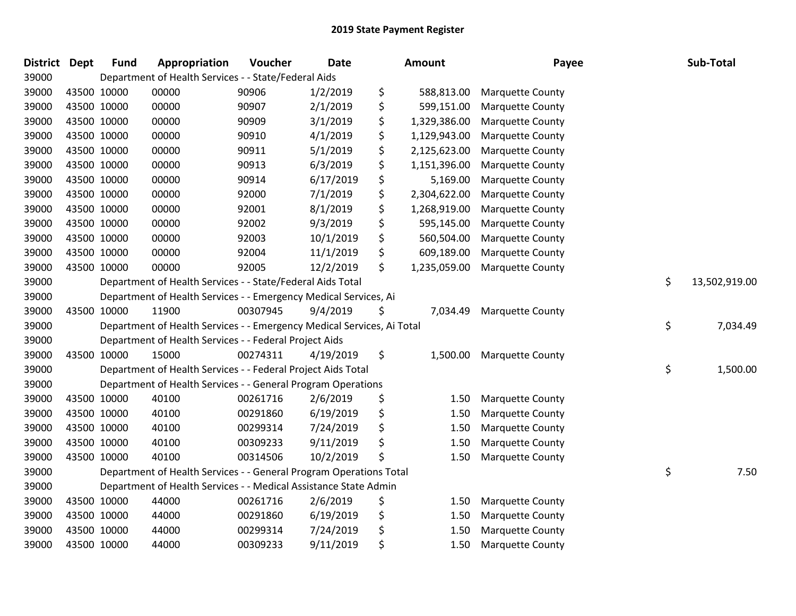| <b>District</b> | <b>Dept</b> | <b>Fund</b> | Appropriation                                                          | Voucher  | <b>Date</b> | Amount             | Payee                   | Sub-Total           |
|-----------------|-------------|-------------|------------------------------------------------------------------------|----------|-------------|--------------------|-------------------------|---------------------|
| 39000           |             |             | Department of Health Services - - State/Federal Aids                   |          |             |                    |                         |                     |
| 39000           | 43500 10000 |             | 00000                                                                  | 90906    | 1/2/2019    | \$<br>588,813.00   | <b>Marquette County</b> |                     |
| 39000           | 43500 10000 |             | 00000                                                                  | 90907    | 2/1/2019    | \$<br>599,151.00   | <b>Marquette County</b> |                     |
| 39000           | 43500 10000 |             | 00000                                                                  | 90909    | 3/1/2019    | \$<br>1,329,386.00 | <b>Marquette County</b> |                     |
| 39000           | 43500 10000 |             | 00000                                                                  | 90910    | 4/1/2019    | \$<br>1,129,943.00 | <b>Marquette County</b> |                     |
| 39000           | 43500 10000 |             | 00000                                                                  | 90911    | 5/1/2019    | \$<br>2,125,623.00 | <b>Marquette County</b> |                     |
| 39000           | 43500 10000 |             | 00000                                                                  | 90913    | 6/3/2019    | \$<br>1,151,396.00 | <b>Marquette County</b> |                     |
| 39000           | 43500 10000 |             | 00000                                                                  | 90914    | 6/17/2019   | \$<br>5,169.00     | <b>Marquette County</b> |                     |
| 39000           | 43500 10000 |             | 00000                                                                  | 92000    | 7/1/2019    | \$<br>2,304,622.00 | <b>Marquette County</b> |                     |
| 39000           | 43500 10000 |             | 00000                                                                  | 92001    | 8/1/2019    | \$<br>1,268,919.00 | <b>Marquette County</b> |                     |
| 39000           | 43500 10000 |             | 00000                                                                  | 92002    | 9/3/2019    | \$<br>595,145.00   | <b>Marquette County</b> |                     |
| 39000           | 43500 10000 |             | 00000                                                                  | 92003    | 10/1/2019   | \$<br>560,504.00   | <b>Marquette County</b> |                     |
| 39000           | 43500 10000 |             | 00000                                                                  | 92004    | 11/1/2019   | \$<br>609,189.00   | <b>Marquette County</b> |                     |
| 39000           | 43500 10000 |             | 00000                                                                  | 92005    | 12/2/2019   | \$<br>1,235,059.00 | <b>Marquette County</b> |                     |
| 39000           |             |             | Department of Health Services - - State/Federal Aids Total             |          |             |                    |                         | \$<br>13,502,919.00 |
| 39000           |             |             | Department of Health Services - - Emergency Medical Services, Ai       |          |             |                    |                         |                     |
| 39000           |             | 43500 10000 | 11900                                                                  | 00307945 | 9/4/2019    | \$<br>7,034.49     | <b>Marquette County</b> |                     |
| 39000           |             |             | Department of Health Services - - Emergency Medical Services, Ai Total |          |             |                    |                         | \$<br>7,034.49      |
| 39000           |             |             | Department of Health Services - - Federal Project Aids                 |          |             |                    |                         |                     |
| 39000           | 43500 10000 |             | 15000                                                                  | 00274311 | 4/19/2019   | \$<br>1,500.00     | <b>Marquette County</b> |                     |
| 39000           |             |             | Department of Health Services - - Federal Project Aids Total           |          |             |                    |                         | \$<br>1,500.00      |
| 39000           |             |             | Department of Health Services - - General Program Operations           |          |             |                    |                         |                     |
| 39000           | 43500 10000 |             | 40100                                                                  | 00261716 | 2/6/2019    | \$<br>1.50         | <b>Marquette County</b> |                     |
| 39000           | 43500 10000 |             | 40100                                                                  | 00291860 | 6/19/2019   | \$<br>1.50         | <b>Marquette County</b> |                     |
| 39000           | 43500 10000 |             | 40100                                                                  | 00299314 | 7/24/2019   | \$<br>1.50         | <b>Marquette County</b> |                     |
| 39000           |             | 43500 10000 | 40100                                                                  | 00309233 | 9/11/2019   | \$<br>1.50         | <b>Marquette County</b> |                     |
| 39000           | 43500 10000 |             | 40100                                                                  | 00314506 | 10/2/2019   | \$<br>1.50         | <b>Marquette County</b> |                     |
| 39000           |             |             | Department of Health Services - - General Program Operations Total     |          |             |                    |                         | \$<br>7.50          |
| 39000           |             |             | Department of Health Services - - Medical Assistance State Admin       |          |             |                    |                         |                     |
| 39000           | 43500 10000 |             | 44000                                                                  | 00261716 | 2/6/2019    | \$<br>1.50         | <b>Marquette County</b> |                     |
| 39000           | 43500 10000 |             | 44000                                                                  | 00291860 | 6/19/2019   | \$<br>1.50         | <b>Marquette County</b> |                     |
| 39000           | 43500 10000 |             | 44000                                                                  | 00299314 | 7/24/2019   | \$<br>1.50         | <b>Marquette County</b> |                     |
| 39000           | 43500 10000 |             | 44000                                                                  | 00309233 | 9/11/2019   | \$<br>1.50         | <b>Marquette County</b> |                     |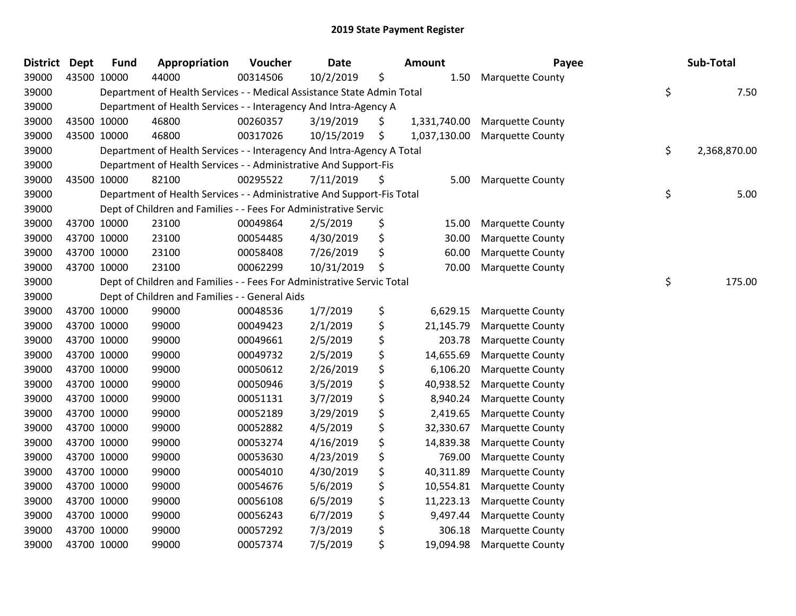| <b>District</b> | <b>Dept</b> | <b>Fund</b> | Appropriation                                                          | Voucher  | <b>Date</b> | Amount             | Payee                   | Sub-Total          |
|-----------------|-------------|-------------|------------------------------------------------------------------------|----------|-------------|--------------------|-------------------------|--------------------|
| 39000           | 43500 10000 |             | 44000                                                                  | 00314506 | 10/2/2019   | \$<br>1.50         | <b>Marquette County</b> |                    |
| 39000           |             |             | Department of Health Services - - Medical Assistance State Admin Total |          |             |                    |                         | \$<br>7.50         |
| 39000           |             |             | Department of Health Services - - Interagency And Intra-Agency A       |          |             |                    |                         |                    |
| 39000           |             | 43500 10000 | 46800                                                                  | 00260357 | 3/19/2019   | \$<br>1,331,740.00 | <b>Marquette County</b> |                    |
| 39000           |             | 43500 10000 | 46800                                                                  | 00317026 | 10/15/2019  | \$<br>1,037,130.00 | <b>Marquette County</b> |                    |
| 39000           |             |             | Department of Health Services - - Interagency And Intra-Agency A Total |          |             |                    |                         | \$<br>2,368,870.00 |
| 39000           |             |             | Department of Health Services - - Administrative And Support-Fis       |          |             |                    |                         |                    |
| 39000           |             | 43500 10000 | 82100                                                                  | 00295522 | 7/11/2019   | \$<br>5.00         | <b>Marquette County</b> |                    |
| 39000           |             |             | Department of Health Services - - Administrative And Support-Fis Total |          |             |                    |                         | \$<br>5.00         |
| 39000           |             |             | Dept of Children and Families - - Fees For Administrative Servic       |          |             |                    |                         |                    |
| 39000           |             | 43700 10000 | 23100                                                                  | 00049864 | 2/5/2019    | \$<br>15.00        | <b>Marquette County</b> |                    |
| 39000           |             | 43700 10000 | 23100                                                                  | 00054485 | 4/30/2019   | \$<br>30.00        | <b>Marquette County</b> |                    |
| 39000           |             | 43700 10000 | 23100                                                                  | 00058408 | 7/26/2019   | \$<br>60.00        | <b>Marquette County</b> |                    |
| 39000           |             | 43700 10000 | 23100                                                                  | 00062299 | 10/31/2019  | \$<br>70.00        | <b>Marquette County</b> |                    |
| 39000           |             |             | Dept of Children and Families - - Fees For Administrative Servic Total |          |             |                    |                         | \$<br>175.00       |
| 39000           |             |             | Dept of Children and Families - - General Aids                         |          |             |                    |                         |                    |
| 39000           |             | 43700 10000 | 99000                                                                  | 00048536 | 1/7/2019    | \$<br>6,629.15     | <b>Marquette County</b> |                    |
| 39000           |             | 43700 10000 | 99000                                                                  | 00049423 | 2/1/2019    | \$<br>21,145.79    | <b>Marquette County</b> |                    |
| 39000           |             | 43700 10000 | 99000                                                                  | 00049661 | 2/5/2019    | \$<br>203.78       | <b>Marquette County</b> |                    |
| 39000           |             | 43700 10000 | 99000                                                                  | 00049732 | 2/5/2019    | \$<br>14,655.69    | <b>Marquette County</b> |                    |
| 39000           |             | 43700 10000 | 99000                                                                  | 00050612 | 2/26/2019   | \$<br>6,106.20     | <b>Marquette County</b> |                    |
| 39000           |             | 43700 10000 | 99000                                                                  | 00050946 | 3/5/2019    | \$<br>40,938.52    | <b>Marquette County</b> |                    |
| 39000           |             | 43700 10000 | 99000                                                                  | 00051131 | 3/7/2019    | \$<br>8,940.24     | <b>Marquette County</b> |                    |
| 39000           |             | 43700 10000 | 99000                                                                  | 00052189 | 3/29/2019   | \$<br>2,419.65     | <b>Marquette County</b> |                    |
| 39000           |             | 43700 10000 | 99000                                                                  | 00052882 | 4/5/2019    | \$<br>32,330.67    | <b>Marquette County</b> |                    |
| 39000           |             | 43700 10000 | 99000                                                                  | 00053274 | 4/16/2019   | \$<br>14,839.38    | <b>Marquette County</b> |                    |
| 39000           |             | 43700 10000 | 99000                                                                  | 00053630 | 4/23/2019   | \$<br>769.00       | <b>Marquette County</b> |                    |
| 39000           |             | 43700 10000 | 99000                                                                  | 00054010 | 4/30/2019   | \$<br>40,311.89    | <b>Marquette County</b> |                    |
| 39000           |             | 43700 10000 | 99000                                                                  | 00054676 | 5/6/2019    | \$<br>10,554.81    | <b>Marquette County</b> |                    |
| 39000           |             | 43700 10000 | 99000                                                                  | 00056108 | 6/5/2019    | \$<br>11,223.13    | <b>Marquette County</b> |                    |
| 39000           |             | 43700 10000 | 99000                                                                  | 00056243 | 6/7/2019    | \$<br>9,497.44     | <b>Marquette County</b> |                    |
| 39000           |             | 43700 10000 | 99000                                                                  | 00057292 | 7/3/2019    | \$<br>306.18       | <b>Marquette County</b> |                    |
| 39000           |             | 43700 10000 | 99000                                                                  | 00057374 | 7/5/2019    | \$<br>19,094.98    | <b>Marquette County</b> |                    |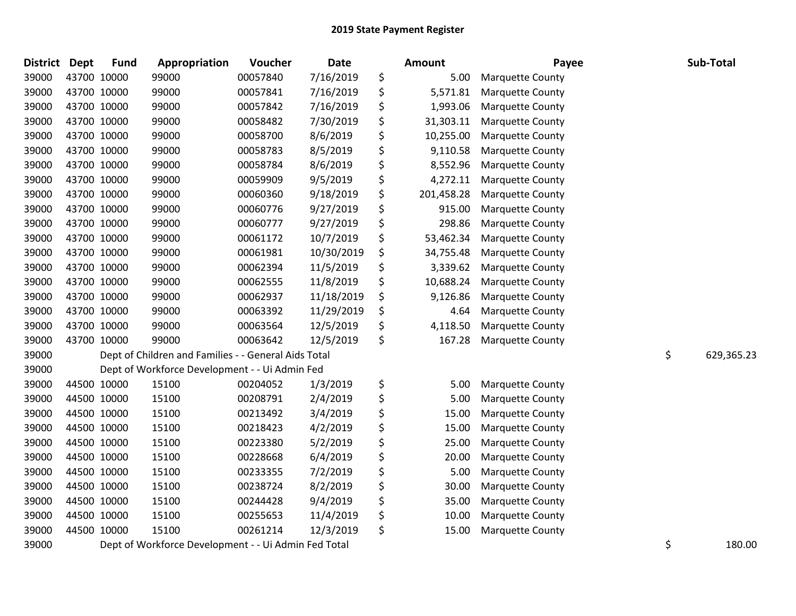| <b>District</b> | <b>Dept</b> | <b>Fund</b> | Appropriation                                        | Voucher  | Date       | Amount           | Payee                   | Sub-Total        |
|-----------------|-------------|-------------|------------------------------------------------------|----------|------------|------------------|-------------------------|------------------|
| 39000           |             | 43700 10000 | 99000                                                | 00057840 | 7/16/2019  | \$<br>5.00       | <b>Marquette County</b> |                  |
| 39000           |             | 43700 10000 | 99000                                                | 00057841 | 7/16/2019  | \$<br>5,571.81   | <b>Marquette County</b> |                  |
| 39000           |             | 43700 10000 | 99000                                                | 00057842 | 7/16/2019  | \$<br>1,993.06   | <b>Marquette County</b> |                  |
| 39000           |             | 43700 10000 | 99000                                                | 00058482 | 7/30/2019  | \$<br>31,303.11  | <b>Marquette County</b> |                  |
| 39000           |             | 43700 10000 | 99000                                                | 00058700 | 8/6/2019   | \$<br>10,255.00  | <b>Marquette County</b> |                  |
| 39000           |             | 43700 10000 | 99000                                                | 00058783 | 8/5/2019   | \$<br>9,110.58   | <b>Marquette County</b> |                  |
| 39000           |             | 43700 10000 | 99000                                                | 00058784 | 8/6/2019   | \$<br>8,552.96   | <b>Marquette County</b> |                  |
| 39000           |             | 43700 10000 | 99000                                                | 00059909 | 9/5/2019   | \$<br>4,272.11   | <b>Marquette County</b> |                  |
| 39000           |             | 43700 10000 | 99000                                                | 00060360 | 9/18/2019  | \$<br>201,458.28 | <b>Marquette County</b> |                  |
| 39000           |             | 43700 10000 | 99000                                                | 00060776 | 9/27/2019  | \$<br>915.00     | <b>Marquette County</b> |                  |
| 39000           |             | 43700 10000 | 99000                                                | 00060777 | 9/27/2019  | \$<br>298.86     | <b>Marquette County</b> |                  |
| 39000           |             | 43700 10000 | 99000                                                | 00061172 | 10/7/2019  | \$<br>53,462.34  | <b>Marquette County</b> |                  |
| 39000           |             | 43700 10000 | 99000                                                | 00061981 | 10/30/2019 | \$<br>34,755.48  | <b>Marquette County</b> |                  |
| 39000           |             | 43700 10000 | 99000                                                | 00062394 | 11/5/2019  | \$<br>3,339.62   | <b>Marquette County</b> |                  |
| 39000           |             | 43700 10000 | 99000                                                | 00062555 | 11/8/2019  | \$<br>10,688.24  | <b>Marquette County</b> |                  |
| 39000           |             | 43700 10000 | 99000                                                | 00062937 | 11/18/2019 | \$<br>9,126.86   | <b>Marquette County</b> |                  |
| 39000           |             | 43700 10000 | 99000                                                | 00063392 | 11/29/2019 | \$<br>4.64       | <b>Marquette County</b> |                  |
| 39000           |             | 43700 10000 | 99000                                                | 00063564 | 12/5/2019  | \$<br>4,118.50   | Marquette County        |                  |
| 39000           |             | 43700 10000 | 99000                                                | 00063642 | 12/5/2019  | \$<br>167.28     | Marquette County        |                  |
| 39000           |             |             | Dept of Children and Families - - General Aids Total |          |            |                  |                         | \$<br>629,365.23 |
| 39000           |             |             | Dept of Workforce Development - - Ui Admin Fed       |          |            |                  |                         |                  |
| 39000           |             | 44500 10000 | 15100                                                | 00204052 | 1/3/2019   | \$<br>5.00       | Marquette County        |                  |
| 39000           |             | 44500 10000 | 15100                                                | 00208791 | 2/4/2019   | \$<br>5.00       | <b>Marquette County</b> |                  |
| 39000           |             | 44500 10000 | 15100                                                | 00213492 | 3/4/2019   | \$<br>15.00      | <b>Marquette County</b> |                  |
| 39000           |             | 44500 10000 | 15100                                                | 00218423 | 4/2/2019   | \$<br>15.00      | <b>Marquette County</b> |                  |
| 39000           |             | 44500 10000 | 15100                                                | 00223380 | 5/2/2019   | \$<br>25.00      | <b>Marquette County</b> |                  |
| 39000           |             | 44500 10000 | 15100                                                | 00228668 | 6/4/2019   | \$<br>20.00      | <b>Marquette County</b> |                  |
| 39000           |             | 44500 10000 | 15100                                                | 00233355 | 7/2/2019   | \$<br>5.00       | <b>Marquette County</b> |                  |
| 39000           |             | 44500 10000 | 15100                                                | 00238724 | 8/2/2019   | \$<br>30.00      | Marquette County        |                  |
| 39000           |             | 44500 10000 | 15100                                                | 00244428 | 9/4/2019   | \$<br>35.00      | <b>Marquette County</b> |                  |
| 39000           |             | 44500 10000 | 15100                                                | 00255653 | 11/4/2019  | \$<br>10.00      | Marquette County        |                  |
| 39000           |             | 44500 10000 | 15100                                                | 00261214 | 12/3/2019  | \$<br>15.00      | <b>Marquette County</b> |                  |
| 39000           |             |             | Dept of Workforce Development - - Ui Admin Fed Total |          |            |                  |                         | \$<br>180.00     |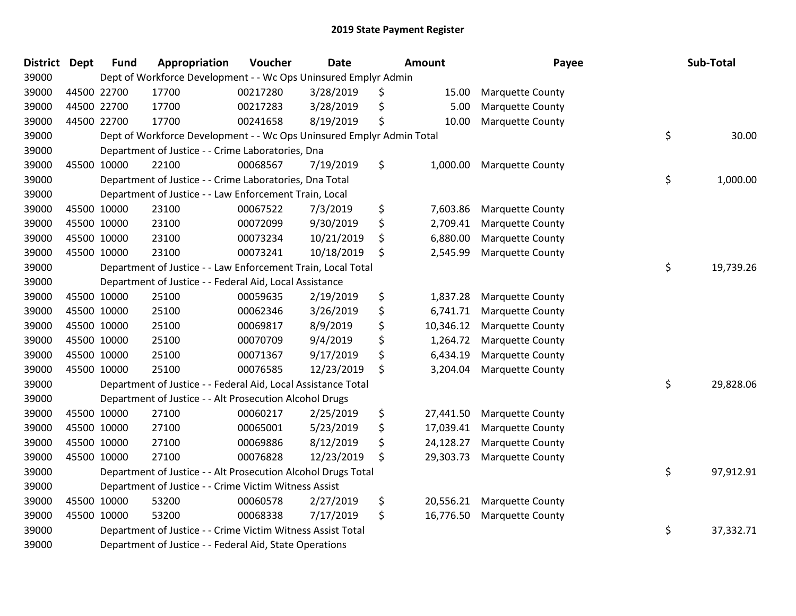| <b>District</b> | <b>Dept</b> | <b>Fund</b> | Appropriation                                                         | Voucher  | <b>Date</b> | <b>Amount</b>   | Payee                   | Sub-Total       |
|-----------------|-------------|-------------|-----------------------------------------------------------------------|----------|-------------|-----------------|-------------------------|-----------------|
| 39000           |             |             | Dept of Workforce Development - - Wc Ops Uninsured Emplyr Admin       |          |             |                 |                         |                 |
| 39000           |             | 44500 22700 | 17700                                                                 | 00217280 | 3/28/2019   | \$<br>15.00     | <b>Marquette County</b> |                 |
| 39000           |             | 44500 22700 | 17700                                                                 | 00217283 | 3/28/2019   | \$<br>5.00      | <b>Marquette County</b> |                 |
| 39000           | 44500 22700 |             | 17700                                                                 | 00241658 | 8/19/2019   | \$<br>10.00     | <b>Marquette County</b> |                 |
| 39000           |             |             | Dept of Workforce Development - - Wc Ops Uninsured Emplyr Admin Total |          |             |                 |                         | \$<br>30.00     |
| 39000           |             |             | Department of Justice - - Crime Laboratories, Dna                     |          |             |                 |                         |                 |
| 39000           |             | 45500 10000 | 22100                                                                 | 00068567 | 7/19/2019   | \$<br>1,000.00  | <b>Marquette County</b> |                 |
| 39000           |             |             | Department of Justice - - Crime Laboratories, Dna Total               |          |             |                 |                         | \$<br>1,000.00  |
| 39000           |             |             | Department of Justice - - Law Enforcement Train, Local                |          |             |                 |                         |                 |
| 39000           |             | 45500 10000 | 23100                                                                 | 00067522 | 7/3/2019    | \$<br>7,603.86  | Marquette County        |                 |
| 39000           |             | 45500 10000 | 23100                                                                 | 00072099 | 9/30/2019   | \$<br>2,709.41  | <b>Marquette County</b> |                 |
| 39000           |             | 45500 10000 | 23100                                                                 | 00073234 | 10/21/2019  | \$<br>6,880.00  | <b>Marquette County</b> |                 |
| 39000           |             | 45500 10000 | 23100                                                                 | 00073241 | 10/18/2019  | \$<br>2,545.99  | <b>Marquette County</b> |                 |
| 39000           |             |             | Department of Justice - - Law Enforcement Train, Local Total          |          |             |                 |                         | \$<br>19,739.26 |
| 39000           |             |             | Department of Justice - - Federal Aid, Local Assistance               |          |             |                 |                         |                 |
| 39000           |             | 45500 10000 | 25100                                                                 | 00059635 | 2/19/2019   | \$<br>1,837.28  | <b>Marquette County</b> |                 |
| 39000           | 45500 10000 |             | 25100                                                                 | 00062346 | 3/26/2019   | \$<br>6,741.71  | <b>Marquette County</b> |                 |
| 39000           | 45500 10000 |             | 25100                                                                 | 00069817 | 8/9/2019    | \$<br>10,346.12 | <b>Marquette County</b> |                 |
| 39000           |             | 45500 10000 | 25100                                                                 | 00070709 | 9/4/2019    | \$<br>1,264.72  | Marquette County        |                 |
| 39000           | 45500 10000 |             | 25100                                                                 | 00071367 | 9/17/2019   | \$<br>6,434.19  | <b>Marquette County</b> |                 |
| 39000           |             | 45500 10000 | 25100                                                                 | 00076585 | 12/23/2019  | \$<br>3,204.04  | <b>Marquette County</b> |                 |
| 39000           |             |             | Department of Justice - - Federal Aid, Local Assistance Total         |          |             |                 |                         | \$<br>29,828.06 |
| 39000           |             |             | Department of Justice - - Alt Prosecution Alcohol Drugs               |          |             |                 |                         |                 |
| 39000           |             | 45500 10000 | 27100                                                                 | 00060217 | 2/25/2019   | \$<br>27,441.50 | <b>Marquette County</b> |                 |
| 39000           |             | 45500 10000 | 27100                                                                 | 00065001 | 5/23/2019   | \$<br>17,039.41 | Marquette County        |                 |
| 39000           |             | 45500 10000 | 27100                                                                 | 00069886 | 8/12/2019   | \$<br>24,128.27 | <b>Marquette County</b> |                 |
| 39000           |             | 45500 10000 | 27100                                                                 | 00076828 | 12/23/2019  | \$<br>29,303.73 | <b>Marquette County</b> |                 |
| 39000           |             |             | Department of Justice - - Alt Prosecution Alcohol Drugs Total         |          |             |                 |                         | \$<br>97,912.91 |
| 39000           |             |             | Department of Justice - - Crime Victim Witness Assist                 |          |             |                 |                         |                 |
| 39000           |             | 45500 10000 | 53200                                                                 | 00060578 | 2/27/2019   | \$<br>20,556.21 | <b>Marquette County</b> |                 |
| 39000           |             | 45500 10000 | 53200                                                                 | 00068338 | 7/17/2019   | \$<br>16,776.50 | <b>Marquette County</b> |                 |
| 39000           |             |             | Department of Justice - - Crime Victim Witness Assist Total           |          |             |                 |                         | \$<br>37,332.71 |
| 39000           |             |             | Department of Justice - - Federal Aid, State Operations               |          |             |                 |                         |                 |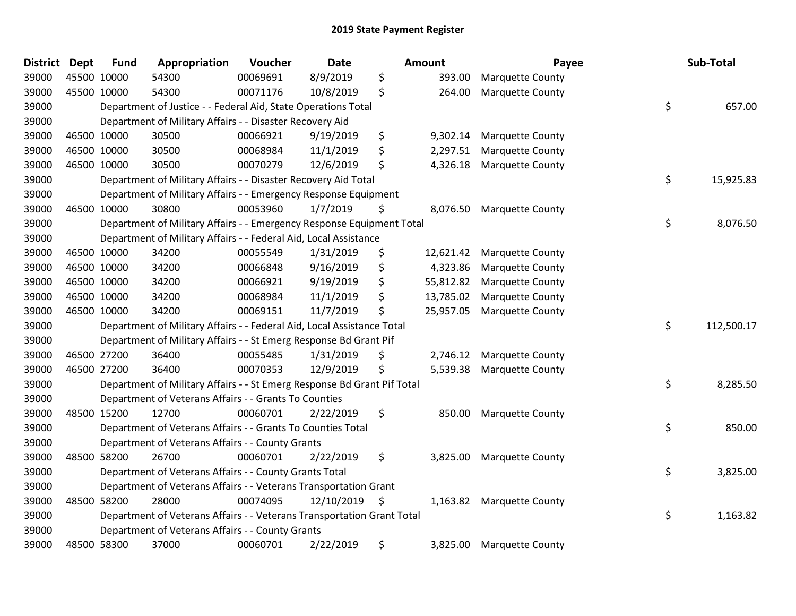| <b>District Dept</b> | <b>Fund</b> | Appropriation                                                           | Voucher  | <b>Date</b>   | <b>Amount</b>   | Payee                   | Sub-Total        |
|----------------------|-------------|-------------------------------------------------------------------------|----------|---------------|-----------------|-------------------------|------------------|
| 39000                | 45500 10000 | 54300                                                                   | 00069691 | 8/9/2019      | \$<br>393.00    | <b>Marquette County</b> |                  |
| 39000                | 45500 10000 | 54300                                                                   | 00071176 | 10/8/2019     | \$<br>264.00    | <b>Marquette County</b> |                  |
| 39000                |             | Department of Justice - - Federal Aid, State Operations Total           |          |               |                 |                         | \$<br>657.00     |
| 39000                |             | Department of Military Affairs - - Disaster Recovery Aid                |          |               |                 |                         |                  |
| 39000                | 46500 10000 | 30500                                                                   | 00066921 | 9/19/2019     | \$<br>9,302.14  | Marquette County        |                  |
| 39000                | 46500 10000 | 30500                                                                   | 00068984 | 11/1/2019     | \$<br>2,297.51  | <b>Marquette County</b> |                  |
| 39000                | 46500 10000 | 30500                                                                   | 00070279 | 12/6/2019     | \$<br>4,326.18  | <b>Marquette County</b> |                  |
| 39000                |             | Department of Military Affairs - - Disaster Recovery Aid Total          |          |               |                 |                         | \$<br>15,925.83  |
| 39000                |             | Department of Military Affairs - - Emergency Response Equipment         |          |               |                 |                         |                  |
| 39000                | 46500 10000 | 30800                                                                   | 00053960 | 1/7/2019      | \$<br>8,076.50  | <b>Marquette County</b> |                  |
| 39000                |             | Department of Military Affairs - - Emergency Response Equipment Total   |          |               |                 |                         | \$<br>8,076.50   |
| 39000                |             | Department of Military Affairs - - Federal Aid, Local Assistance        |          |               |                 |                         |                  |
| 39000                | 46500 10000 | 34200                                                                   | 00055549 | 1/31/2019     | \$<br>12,621.42 | <b>Marquette County</b> |                  |
| 39000                | 46500 10000 | 34200                                                                   | 00066848 | 9/16/2019     | \$<br>4,323.86  | <b>Marquette County</b> |                  |
| 39000                | 46500 10000 | 34200                                                                   | 00066921 | 9/19/2019     | \$<br>55,812.82 | <b>Marquette County</b> |                  |
| 39000                | 46500 10000 | 34200                                                                   | 00068984 | 11/1/2019     | \$<br>13,785.02 | <b>Marquette County</b> |                  |
| 39000                | 46500 10000 | 34200                                                                   | 00069151 | 11/7/2019     | \$<br>25,957.05 | <b>Marquette County</b> |                  |
| 39000                |             | Department of Military Affairs - - Federal Aid, Local Assistance Total  |          |               |                 |                         | \$<br>112,500.17 |
| 39000                |             | Department of Military Affairs - - St Emerg Response Bd Grant Pif       |          |               |                 |                         |                  |
| 39000                | 46500 27200 | 36400                                                                   | 00055485 | 1/31/2019     | \$<br>2,746.12  | <b>Marquette County</b> |                  |
| 39000                | 46500 27200 | 36400                                                                   | 00070353 | 12/9/2019     | \$<br>5,539.38  | <b>Marquette County</b> |                  |
| 39000                |             | Department of Military Affairs - - St Emerg Response Bd Grant Pif Total |          |               |                 |                         | \$<br>8,285.50   |
| 39000                |             | Department of Veterans Affairs - - Grants To Counties                   |          |               |                 |                         |                  |
| 39000                | 48500 15200 | 12700                                                                   | 00060701 | 2/22/2019     | \$<br>850.00    | <b>Marquette County</b> |                  |
| 39000                |             | Department of Veterans Affairs - - Grants To Counties Total             |          |               |                 |                         | \$<br>850.00     |
| 39000                |             | Department of Veterans Affairs - - County Grants                        |          |               |                 |                         |                  |
| 39000                | 48500 58200 | 26700                                                                   | 00060701 | 2/22/2019     | \$<br>3,825.00  | <b>Marquette County</b> |                  |
| 39000                |             | Department of Veterans Affairs - - County Grants Total                  |          |               |                 |                         | \$<br>3,825.00   |
| 39000                |             | Department of Veterans Affairs - - Veterans Transportation Grant        |          |               |                 |                         |                  |
| 39000                | 48500 58200 | 28000                                                                   | 00074095 | 12/10/2019 \$ | 1,163.82        | <b>Marquette County</b> |                  |
| 39000                |             | Department of Veterans Affairs - - Veterans Transportation Grant Total  |          |               |                 |                         | \$<br>1,163.82   |
| 39000                |             | Department of Veterans Affairs - - County Grants                        |          |               |                 |                         |                  |
| 39000                | 48500 58300 | 37000                                                                   | 00060701 | 2/22/2019     | \$<br>3,825.00  | <b>Marquette County</b> |                  |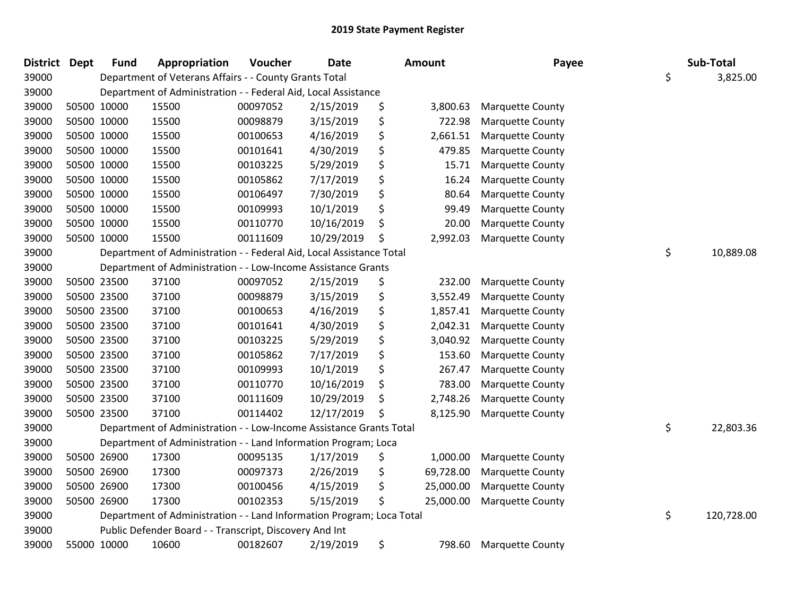| <b>District</b> | <b>Dept</b> | <b>Fund</b> | Appropriation                                                         | Voucher  | <b>Date</b> | Amount          | Payee                   | Sub-Total        |
|-----------------|-------------|-------------|-----------------------------------------------------------------------|----------|-------------|-----------------|-------------------------|------------------|
| 39000           |             |             | Department of Veterans Affairs - - County Grants Total                |          |             |                 |                         | \$<br>3,825.00   |
| 39000           |             |             | Department of Administration - - Federal Aid, Local Assistance        |          |             |                 |                         |                  |
| 39000           |             | 50500 10000 | 15500                                                                 | 00097052 | 2/15/2019   | \$<br>3,800.63  | <b>Marquette County</b> |                  |
| 39000           |             | 50500 10000 | 15500                                                                 | 00098879 | 3/15/2019   | \$<br>722.98    | <b>Marquette County</b> |                  |
| 39000           |             | 50500 10000 | 15500                                                                 | 00100653 | 4/16/2019   | \$<br>2,661.51  | <b>Marquette County</b> |                  |
| 39000           |             | 50500 10000 | 15500                                                                 | 00101641 | 4/30/2019   | \$<br>479.85    | <b>Marquette County</b> |                  |
| 39000           |             | 50500 10000 | 15500                                                                 | 00103225 | 5/29/2019   | \$<br>15.71     | <b>Marquette County</b> |                  |
| 39000           |             | 50500 10000 | 15500                                                                 | 00105862 | 7/17/2019   | \$<br>16.24     | <b>Marquette County</b> |                  |
| 39000           |             | 50500 10000 | 15500                                                                 | 00106497 | 7/30/2019   | \$<br>80.64     | <b>Marquette County</b> |                  |
| 39000           |             | 50500 10000 | 15500                                                                 | 00109993 | 10/1/2019   | \$<br>99.49     | <b>Marquette County</b> |                  |
| 39000           |             | 50500 10000 | 15500                                                                 | 00110770 | 10/16/2019  | \$<br>20.00     | <b>Marquette County</b> |                  |
| 39000           |             | 50500 10000 | 15500                                                                 | 00111609 | 10/29/2019  | \$<br>2,992.03  | <b>Marquette County</b> |                  |
| 39000           |             |             | Department of Administration - - Federal Aid, Local Assistance Total  |          |             |                 |                         | \$<br>10,889.08  |
| 39000           |             |             | Department of Administration - - Low-Income Assistance Grants         |          |             |                 |                         |                  |
| 39000           |             | 50500 23500 | 37100                                                                 | 00097052 | 2/15/2019   | \$<br>232.00    | <b>Marquette County</b> |                  |
| 39000           |             | 50500 23500 | 37100                                                                 | 00098879 | 3/15/2019   | \$<br>3,552.49  | <b>Marquette County</b> |                  |
| 39000           |             | 50500 23500 | 37100                                                                 | 00100653 | 4/16/2019   | \$<br>1,857.41  | Marquette County        |                  |
| 39000           |             | 50500 23500 | 37100                                                                 | 00101641 | 4/30/2019   | \$<br>2,042.31  | <b>Marquette County</b> |                  |
| 39000           |             | 50500 23500 | 37100                                                                 | 00103225 | 5/29/2019   | \$<br>3,040.92  | <b>Marquette County</b> |                  |
| 39000           |             | 50500 23500 | 37100                                                                 | 00105862 | 7/17/2019   | \$<br>153.60    | <b>Marquette County</b> |                  |
| 39000           |             | 50500 23500 | 37100                                                                 | 00109993 | 10/1/2019   | \$<br>267.47    | <b>Marquette County</b> |                  |
| 39000           |             | 50500 23500 | 37100                                                                 | 00110770 | 10/16/2019  | \$<br>783.00    | <b>Marquette County</b> |                  |
| 39000           | 50500 23500 |             | 37100                                                                 | 00111609 | 10/29/2019  | \$<br>2,748.26  | <b>Marquette County</b> |                  |
| 39000           |             | 50500 23500 | 37100                                                                 | 00114402 | 12/17/2019  | \$<br>8,125.90  | <b>Marquette County</b> |                  |
| 39000           |             |             | Department of Administration - - Low-Income Assistance Grants Total   |          |             |                 |                         | \$<br>22,803.36  |
| 39000           |             |             | Department of Administration - - Land Information Program; Loca       |          |             |                 |                         |                  |
| 39000           |             | 50500 26900 | 17300                                                                 | 00095135 | 1/17/2019   | \$<br>1,000.00  | <b>Marquette County</b> |                  |
| 39000           |             | 50500 26900 | 17300                                                                 | 00097373 | 2/26/2019   | \$<br>69,728.00 | <b>Marquette County</b> |                  |
| 39000           |             | 50500 26900 | 17300                                                                 | 00100456 | 4/15/2019   | \$<br>25,000.00 | Marquette County        |                  |
| 39000           |             | 50500 26900 | 17300                                                                 | 00102353 | 5/15/2019   | \$<br>25,000.00 | <b>Marquette County</b> |                  |
| 39000           |             |             | Department of Administration - - Land Information Program; Loca Total |          |             |                 |                         | \$<br>120,728.00 |
| 39000           |             |             | Public Defender Board - - Transcript, Discovery And Int               |          |             |                 |                         |                  |
| 39000           |             | 55000 10000 | 10600                                                                 | 00182607 | 2/19/2019   | \$<br>798.60    | <b>Marquette County</b> |                  |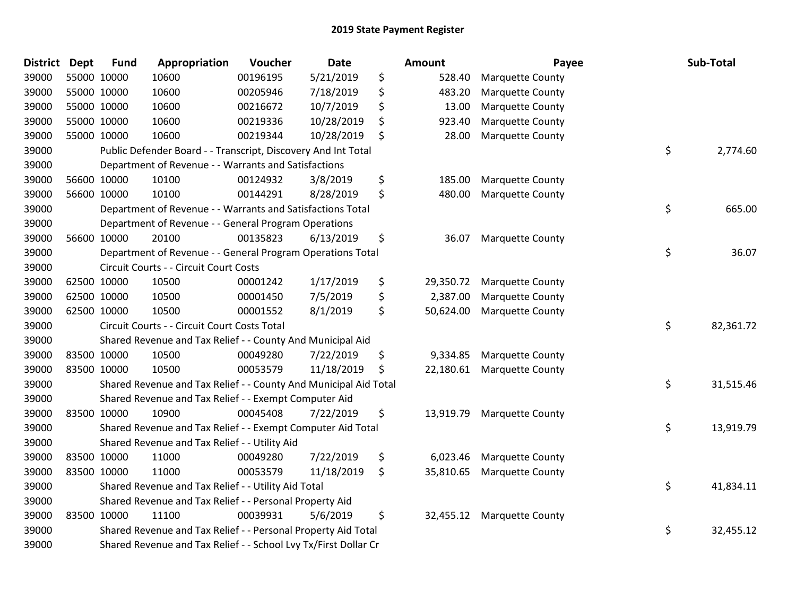| <b>District</b> | <b>Dept</b> | <b>Fund</b> | Appropriation                                                    | Voucher  | <b>Date</b> | <b>Amount</b>   | Payee                      | Sub-Total       |
|-----------------|-------------|-------------|------------------------------------------------------------------|----------|-------------|-----------------|----------------------------|-----------------|
| 39000           |             | 55000 10000 | 10600                                                            | 00196195 | 5/21/2019   | \$<br>528.40    | <b>Marquette County</b>    |                 |
| 39000           |             | 55000 10000 | 10600                                                            | 00205946 | 7/18/2019   | \$<br>483.20    | <b>Marquette County</b>    |                 |
| 39000           |             | 55000 10000 | 10600                                                            | 00216672 | 10/7/2019   | \$<br>13.00     | <b>Marquette County</b>    |                 |
| 39000           |             | 55000 10000 | 10600                                                            | 00219336 | 10/28/2019  | \$<br>923.40    | <b>Marquette County</b>    |                 |
| 39000           |             | 55000 10000 | 10600                                                            | 00219344 | 10/28/2019  | \$<br>28.00     | <b>Marquette County</b>    |                 |
| 39000           |             |             | Public Defender Board - - Transcript, Discovery And Int Total    |          |             |                 |                            | \$<br>2,774.60  |
| 39000           |             |             | Department of Revenue - - Warrants and Satisfactions             |          |             |                 |                            |                 |
| 39000           |             | 56600 10000 | 10100                                                            | 00124932 | 3/8/2019    | \$<br>185.00    | <b>Marquette County</b>    |                 |
| 39000           |             | 56600 10000 | 10100                                                            | 00144291 | 8/28/2019   | \$<br>480.00    | <b>Marquette County</b>    |                 |
| 39000           |             |             | Department of Revenue - - Warrants and Satisfactions Total       |          |             |                 |                            | \$<br>665.00    |
| 39000           |             |             | Department of Revenue - - General Program Operations             |          |             |                 |                            |                 |
| 39000           |             | 56600 10000 | 20100                                                            | 00135823 | 6/13/2019   | \$<br>36.07     | <b>Marquette County</b>    |                 |
| 39000           |             |             | Department of Revenue - - General Program Operations Total       |          |             |                 |                            | \$<br>36.07     |
| 39000           |             |             | Circuit Courts - - Circuit Court Costs                           |          |             |                 |                            |                 |
| 39000           |             | 62500 10000 | 10500                                                            | 00001242 | 1/17/2019   | \$<br>29,350.72 | <b>Marquette County</b>    |                 |
| 39000           |             | 62500 10000 | 10500                                                            | 00001450 | 7/5/2019    | \$<br>2,387.00  | <b>Marquette County</b>    |                 |
| 39000           |             | 62500 10000 | 10500                                                            | 00001552 | 8/1/2019    | \$<br>50,624.00 | <b>Marquette County</b>    |                 |
| 39000           |             |             | Circuit Courts - - Circuit Court Costs Total                     |          |             |                 |                            | \$<br>82,361.72 |
| 39000           |             |             | Shared Revenue and Tax Relief - - County And Municipal Aid       |          |             |                 |                            |                 |
| 39000           |             | 83500 10000 | 10500                                                            | 00049280 | 7/22/2019   | \$<br>9,334.85  | <b>Marquette County</b>    |                 |
| 39000           |             | 83500 10000 | 10500                                                            | 00053579 | 11/18/2019  | \$<br>22,180.61 | <b>Marquette County</b>    |                 |
| 39000           |             |             | Shared Revenue and Tax Relief - - County And Municipal Aid Total |          |             |                 |                            | \$<br>31,515.46 |
| 39000           |             |             | Shared Revenue and Tax Relief - - Exempt Computer Aid            |          |             |                 |                            |                 |
| 39000           |             | 83500 10000 | 10900                                                            | 00045408 | 7/22/2019   | \$<br>13,919.79 | <b>Marquette County</b>    |                 |
| 39000           |             |             | Shared Revenue and Tax Relief - - Exempt Computer Aid Total      |          |             |                 |                            | \$<br>13,919.79 |
| 39000           |             |             | Shared Revenue and Tax Relief - - Utility Aid                    |          |             |                 |                            |                 |
| 39000           |             | 83500 10000 | 11000                                                            | 00049280 | 7/22/2019   | \$<br>6,023.46  | <b>Marquette County</b>    |                 |
| 39000           |             | 83500 10000 | 11000                                                            | 00053579 | 11/18/2019  | \$<br>35,810.65 | <b>Marquette County</b>    |                 |
| 39000           |             |             | Shared Revenue and Tax Relief - - Utility Aid Total              |          |             |                 |                            | \$<br>41,834.11 |
| 39000           |             |             | Shared Revenue and Tax Relief - - Personal Property Aid          |          |             |                 |                            |                 |
| 39000           |             | 83500 10000 | 11100                                                            | 00039931 | 5/6/2019    | \$              | 32,455.12 Marquette County |                 |
| 39000           |             |             | Shared Revenue and Tax Relief - - Personal Property Aid Total    |          |             |                 |                            | \$<br>32,455.12 |
| 39000           |             |             | Shared Revenue and Tax Relief - - School Lvy Tx/First Dollar Cr  |          |             |                 |                            |                 |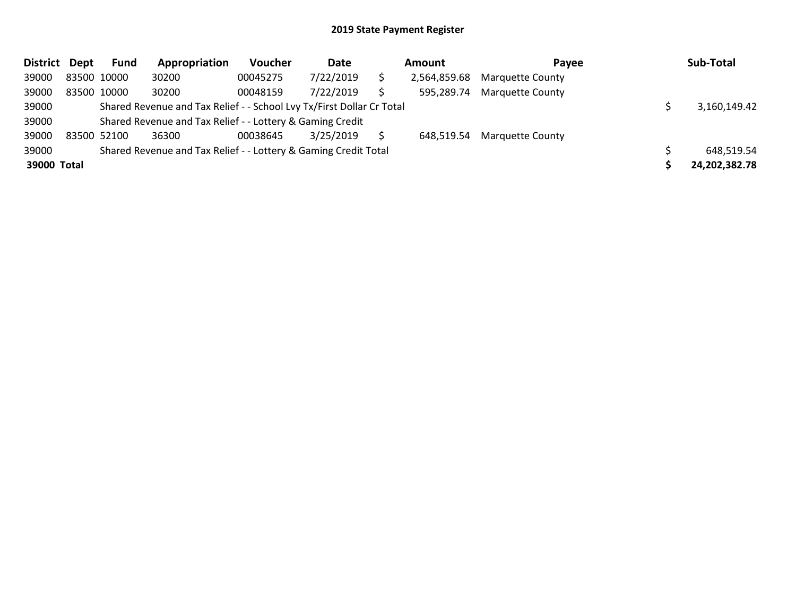| District Dept |             | <b>Fund</b> | Appropriation                                                         | Voucher  | Date      | Amount       | Payee                   | Sub-Total     |
|---------------|-------------|-------------|-----------------------------------------------------------------------|----------|-----------|--------------|-------------------------|---------------|
| 39000         | 83500 10000 |             | 30200                                                                 | 00045275 | 7/22/2019 | 2,564,859.68 | <b>Marquette County</b> |               |
| 39000         | 83500 10000 |             | 30200                                                                 | 00048159 | 7/22/2019 | 595,289.74   | <b>Marquette County</b> |               |
| 39000         |             |             | Shared Revenue and Tax Relief - - School Lvy Tx/First Dollar Cr Total |          |           |              |                         | 3,160,149.42  |
| 39000         |             |             | Shared Revenue and Tax Relief - - Lottery & Gaming Credit             |          |           |              |                         |               |
| 39000         |             | 83500 52100 | 36300                                                                 | 00038645 | 3/25/2019 | 648.519.54   | <b>Marquette County</b> |               |
| 39000         |             |             | Shared Revenue and Tax Relief - - Lottery & Gaming Credit Total       |          |           |              |                         | 648,519.54    |
| 39000 Total   |             |             |                                                                       |          |           |              |                         | 24,202,382.78 |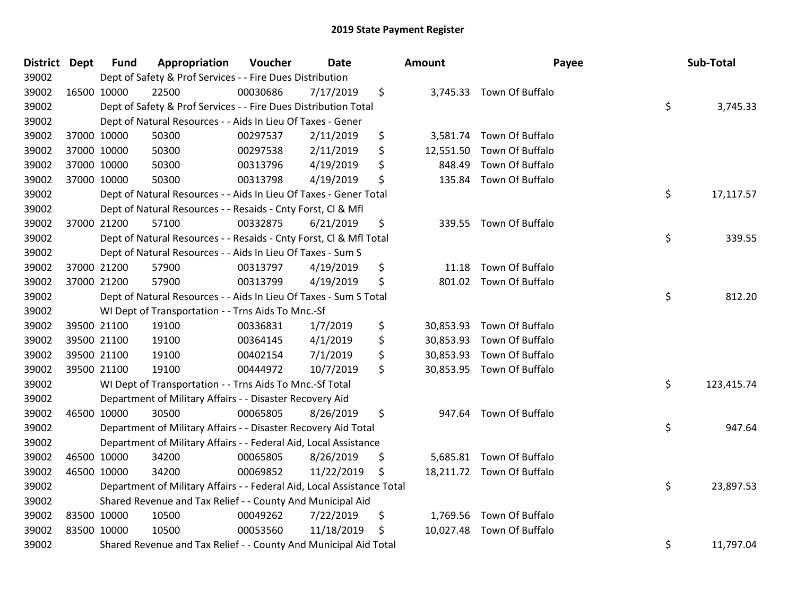| District Dept |             | <b>Fund</b> | Appropriation                                                          | Voucher  | <b>Date</b> | Amount         | Payee                     | Sub-Total        |
|---------------|-------------|-------------|------------------------------------------------------------------------|----------|-------------|----------------|---------------------------|------------------|
| 39002         |             |             | Dept of Safety & Prof Services - - Fire Dues Distribution              |          |             |                |                           |                  |
| 39002         | 16500 10000 |             | 22500                                                                  | 00030686 | 7/17/2019   | \$             | 3,745.33 Town Of Buffalo  |                  |
| 39002         |             |             | Dept of Safety & Prof Services - - Fire Dues Distribution Total        |          |             |                |                           | \$<br>3,745.33   |
| 39002         |             |             | Dept of Natural Resources - - Aids In Lieu Of Taxes - Gener            |          |             |                |                           |                  |
| 39002         |             | 37000 10000 | 50300                                                                  | 00297537 | 2/11/2019   | \$<br>3,581.74 | Town Of Buffalo           |                  |
| 39002         |             | 37000 10000 | 50300                                                                  | 00297538 | 2/11/2019   | \$             | 12,551.50 Town Of Buffalo |                  |
| 39002         |             | 37000 10000 | 50300                                                                  | 00313796 | 4/19/2019   | \$<br>848.49   | Town Of Buffalo           |                  |
| 39002         |             | 37000 10000 | 50300                                                                  | 00313798 | 4/19/2019   | \$<br>135.84   | Town Of Buffalo           |                  |
| 39002         |             |             | Dept of Natural Resources - - Aids In Lieu Of Taxes - Gener Total      |          |             |                |                           | \$<br>17,117.57  |
| 39002         |             |             | Dept of Natural Resources - - Resaids - Cnty Forst, Cl & Mfl           |          |             |                |                           |                  |
| 39002         |             | 37000 21200 | 57100                                                                  | 00332875 | 6/21/2019   | \$             | 339.55 Town Of Buffalo    |                  |
| 39002         |             |             | Dept of Natural Resources - - Resaids - Cnty Forst, CI & Mfl Total     |          |             |                |                           | \$<br>339.55     |
| 39002         |             |             | Dept of Natural Resources - - Aids In Lieu Of Taxes - Sum S            |          |             |                |                           |                  |
| 39002         |             | 37000 21200 | 57900                                                                  | 00313797 | 4/19/2019   | \$<br>11.18    | Town Of Buffalo           |                  |
| 39002         |             | 37000 21200 | 57900                                                                  | 00313799 | 4/19/2019   | \$<br>801.02   | Town Of Buffalo           |                  |
| 39002         |             |             | Dept of Natural Resources - - Aids In Lieu Of Taxes - Sum S Total      |          |             |                |                           | \$<br>812.20     |
| 39002         |             |             | WI Dept of Transportation - - Trns Aids To Mnc.-Sf                     |          |             |                |                           |                  |
| 39002         |             | 39500 21100 | 19100                                                                  | 00336831 | 1/7/2019    | \$             | 30,853.93 Town Of Buffalo |                  |
| 39002         |             | 39500 21100 | 19100                                                                  | 00364145 | 4/1/2019    | \$             | 30,853.93 Town Of Buffalo |                  |
| 39002         |             | 39500 21100 | 19100                                                                  | 00402154 | 7/1/2019    | \$             | 30,853.93 Town Of Buffalo |                  |
| 39002         |             | 39500 21100 | 19100                                                                  | 00444972 | 10/7/2019   | \$             | 30,853.95 Town Of Buffalo |                  |
| 39002         |             |             | WI Dept of Transportation - - Trns Aids To Mnc.-Sf Total               |          |             |                |                           | \$<br>123,415.74 |
| 39002         |             |             | Department of Military Affairs - - Disaster Recovery Aid               |          |             |                |                           |                  |
| 39002         | 46500 10000 |             | 30500                                                                  | 00065805 | 8/26/2019   | \$             | 947.64 Town Of Buffalo    |                  |
| 39002         |             |             | Department of Military Affairs - - Disaster Recovery Aid Total         |          |             |                |                           | \$<br>947.64     |
| 39002         |             |             | Department of Military Affairs - - Federal Aid, Local Assistance       |          |             |                |                           |                  |
| 39002         |             | 46500 10000 | 34200                                                                  | 00065805 | 8/26/2019   | \$             | 5,685.81 Town Of Buffalo  |                  |
| 39002         | 46500 10000 |             | 34200                                                                  | 00069852 | 11/22/2019  | \$             | 18,211.72 Town Of Buffalo |                  |
| 39002         |             |             | Department of Military Affairs - - Federal Aid, Local Assistance Total |          |             |                |                           | \$<br>23,897.53  |
| 39002         |             |             | Shared Revenue and Tax Relief - - County And Municipal Aid             |          |             |                |                           |                  |
| 39002         | 83500 10000 |             | 10500                                                                  | 00049262 | 7/22/2019   | \$             | 1,769.56 Town Of Buffalo  |                  |
| 39002         | 83500 10000 |             | 10500                                                                  | 00053560 | 11/18/2019  | \$             | 10,027.48 Town Of Buffalo |                  |
| 39002         |             |             | Shared Revenue and Tax Relief - - County And Municipal Aid Total       |          |             |                |                           | \$<br>11,797.04  |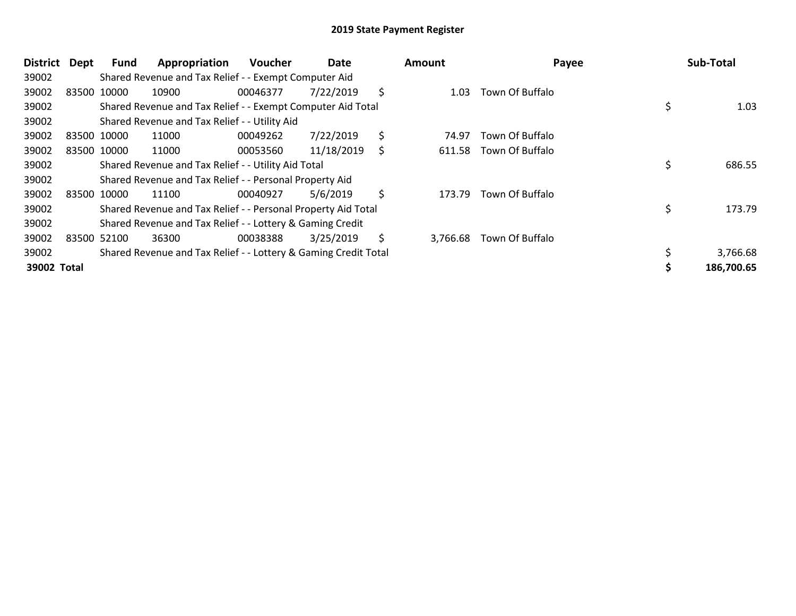| District    | Dept  | <b>Fund</b> | Appropriation                                                   | <b>Voucher</b> | Date       |    | <b>Amount</b> | Payee           | Sub-Total    |
|-------------|-------|-------------|-----------------------------------------------------------------|----------------|------------|----|---------------|-----------------|--------------|
| 39002       |       |             | Shared Revenue and Tax Relief - - Exempt Computer Aid           |                |            |    |               |                 |              |
| 39002       | 83500 | 10000       | 10900                                                           | 00046377       | 7/22/2019  | \$ | 1.03          | Town Of Buffalo |              |
| 39002       |       |             | Shared Revenue and Tax Relief - - Exempt Computer Aid Total     |                |            |    |               |                 | 1.03         |
| 39002       |       |             | Shared Revenue and Tax Relief - - Utility Aid                   |                |            |    |               |                 |              |
| 39002       |       | 83500 10000 | 11000                                                           | 00049262       | 7/22/2019  | \$ | 74.97         | Town Of Buffalo |              |
| 39002       |       | 83500 10000 | 11000                                                           | 00053560       | 11/18/2019 | S  | 611.58        | Town Of Buffalo |              |
| 39002       |       |             | Shared Revenue and Tax Relief - - Utility Aid Total             |                |            |    |               |                 | \$<br>686.55 |
| 39002       |       |             | Shared Revenue and Tax Relief - - Personal Property Aid         |                |            |    |               |                 |              |
| 39002       |       | 83500 10000 | 11100                                                           | 00040927       | 5/6/2019   | \$ | 173.79        | Town Of Buffalo |              |
| 39002       |       |             | Shared Revenue and Tax Relief - - Personal Property Aid Total   |                |            |    |               |                 | \$<br>173.79 |
| 39002       |       |             | Shared Revenue and Tax Relief - - Lottery & Gaming Credit       |                |            |    |               |                 |              |
| 39002       |       | 83500 52100 | 36300                                                           | 00038388       | 3/25/2019  | \$ | 3,766.68      | Town Of Buffalo |              |
| 39002       |       |             | Shared Revenue and Tax Relief - - Lottery & Gaming Credit Total |                |            |    |               |                 | 3,766.68     |
| 39002 Total |       |             |                                                                 |                |            |    |               |                 | 186,700.65   |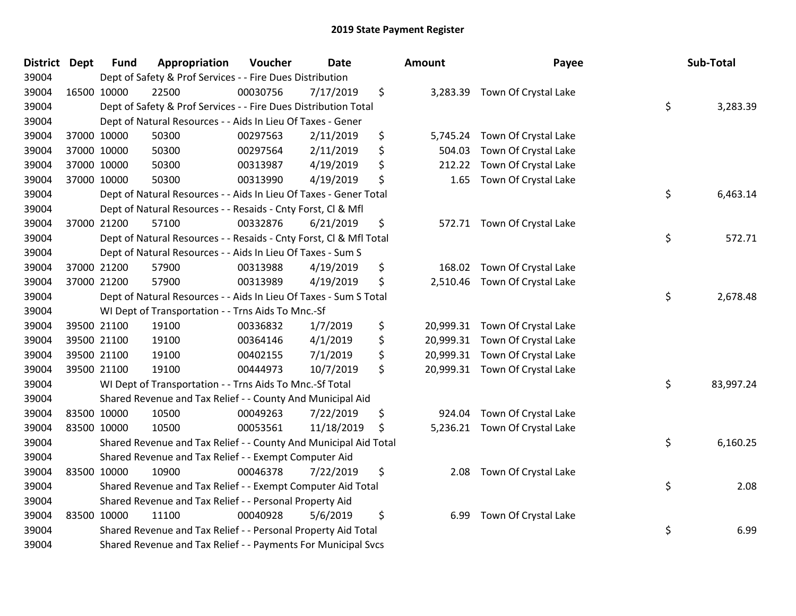| District Dept | <b>Fund</b> | Appropriation                                                      | Voucher  | <b>Date</b> | <b>Amount</b>   | Payee                          | Sub-Total       |
|---------------|-------------|--------------------------------------------------------------------|----------|-------------|-----------------|--------------------------------|-----------------|
| 39004         |             | Dept of Safety & Prof Services - - Fire Dues Distribution          |          |             |                 |                                |                 |
| 39004         | 16500 10000 | 22500                                                              | 00030756 | 7/17/2019   | \$<br>3,283.39  | Town Of Crystal Lake           |                 |
| 39004         |             | Dept of Safety & Prof Services - - Fire Dues Distribution Total    |          |             |                 |                                | \$<br>3,283.39  |
| 39004         |             | Dept of Natural Resources - - Aids In Lieu Of Taxes - Gener        |          |             |                 |                                |                 |
| 39004         | 37000 10000 | 50300                                                              | 00297563 | 2/11/2019   | \$<br>5,745.24  | Town Of Crystal Lake           |                 |
| 39004         | 37000 10000 | 50300                                                              | 00297564 | 2/11/2019   | \$<br>504.03    | Town Of Crystal Lake           |                 |
| 39004         | 37000 10000 | 50300                                                              | 00313987 | 4/19/2019   | \$<br>212.22    | Town Of Crystal Lake           |                 |
| 39004         | 37000 10000 | 50300                                                              | 00313990 | 4/19/2019   | \$<br>1.65      | Town Of Crystal Lake           |                 |
| 39004         |             | Dept of Natural Resources - - Aids In Lieu Of Taxes - Gener Total  |          |             |                 |                                | \$<br>6,463.14  |
| 39004         |             | Dept of Natural Resources - - Resaids - Cnty Forst, Cl & Mfl       |          |             |                 |                                |                 |
| 39004         | 37000 21200 | 57100                                                              | 00332876 | 6/21/2019   | \$              | 572.71 Town Of Crystal Lake    |                 |
| 39004         |             | Dept of Natural Resources - - Resaids - Cnty Forst, Cl & Mfl Total |          |             |                 |                                | \$<br>572.71    |
| 39004         |             | Dept of Natural Resources - - Aids In Lieu Of Taxes - Sum S        |          |             |                 |                                |                 |
| 39004         | 37000 21200 | 57900                                                              | 00313988 | 4/19/2019   | \$<br>168.02    | Town Of Crystal Lake           |                 |
| 39004         | 37000 21200 | 57900                                                              | 00313989 | 4/19/2019   | \$<br>2,510.46  | Town Of Crystal Lake           |                 |
| 39004         |             | Dept of Natural Resources - - Aids In Lieu Of Taxes - Sum S Total  |          |             |                 |                                | \$<br>2,678.48  |
| 39004         |             | WI Dept of Transportation - - Trns Aids To Mnc.-Sf                 |          |             |                 |                                |                 |
| 39004         | 39500 21100 | 19100                                                              | 00336832 | 1/7/2019    | \$              | 20,999.31 Town Of Crystal Lake |                 |
| 39004         | 39500 21100 | 19100                                                              | 00364146 | 4/1/2019    | \$<br>20,999.31 | Town Of Crystal Lake           |                 |
| 39004         | 39500 21100 | 19100                                                              | 00402155 | 7/1/2019    | \$<br>20,999.31 | Town Of Crystal Lake           |                 |
| 39004         | 39500 21100 | 19100                                                              | 00444973 | 10/7/2019   | \$              | 20,999.31 Town Of Crystal Lake |                 |
| 39004         |             | WI Dept of Transportation - - Trns Aids To Mnc.-Sf Total           |          |             |                 |                                | \$<br>83,997.24 |
| 39004         |             | Shared Revenue and Tax Relief - - County And Municipal Aid         |          |             |                 |                                |                 |
| 39004         | 83500 10000 | 10500                                                              | 00049263 | 7/22/2019   | \$<br>924.04    | Town Of Crystal Lake           |                 |
| 39004         | 83500 10000 | 10500                                                              | 00053561 | 11/18/2019  | \$<br>5,236.21  | Town Of Crystal Lake           |                 |
| 39004         |             | Shared Revenue and Tax Relief - - County And Municipal Aid Total   |          |             |                 |                                | \$<br>6,160.25  |
| 39004         |             | Shared Revenue and Tax Relief - - Exempt Computer Aid              |          |             |                 |                                |                 |
| 39004         | 83500 10000 | 10900                                                              | 00046378 | 7/22/2019   | \$<br>2.08      | Town Of Crystal Lake           |                 |
| 39004         |             | Shared Revenue and Tax Relief - - Exempt Computer Aid Total        |          |             |                 |                                | \$<br>2.08      |
| 39004         |             | Shared Revenue and Tax Relief - - Personal Property Aid            |          |             |                 |                                |                 |
| 39004         | 83500 10000 | 11100                                                              | 00040928 | 5/6/2019    | \$<br>6.99      | Town Of Crystal Lake           |                 |
| 39004         |             | Shared Revenue and Tax Relief - - Personal Property Aid Total      |          |             |                 |                                | \$<br>6.99      |
| 39004         |             | Shared Revenue and Tax Relief - - Payments For Municipal Svcs      |          |             |                 |                                |                 |

| າount     | Payee                | Sub-Total       |
|-----------|----------------------|-----------------|
| 3,283.39  | Town Of Crystal Lake | \$<br>3,283.39  |
| 5,745.24  | Town Of Crystal Lake |                 |
| 504.03    | Town Of Crystal Lake |                 |
| 212.22    | Town Of Crystal Lake |                 |
| 1.65      | Town Of Crystal Lake |                 |
|           |                      | \$<br>6,463.14  |
| 572.71    | Town Of Crystal Lake |                 |
|           |                      | \$<br>572.71    |
| 168.02    | Town Of Crystal Lake |                 |
| 2,510.46  | Town Of Crystal Lake |                 |
|           |                      | \$<br>2,678.48  |
| 20,999.31 | Town Of Crystal Lake |                 |
| 20,999.31 | Town Of Crystal Lake |                 |
| 20,999.31 | Town Of Crystal Lake |                 |
| 20,999.31 | Town Of Crystal Lake |                 |
|           |                      | \$<br>83,997.24 |
| 924.04    | Town Of Crystal Lake |                 |
| 5,236.21  | Town Of Crystal Lake |                 |
|           |                      | \$<br>6,160.25  |
| 2.08      | Town Of Crystal Lake |                 |
|           |                      | \$<br>2.08      |
| 6.99      | Town Of Crystal Lake |                 |
|           |                      | \$<br>6.99      |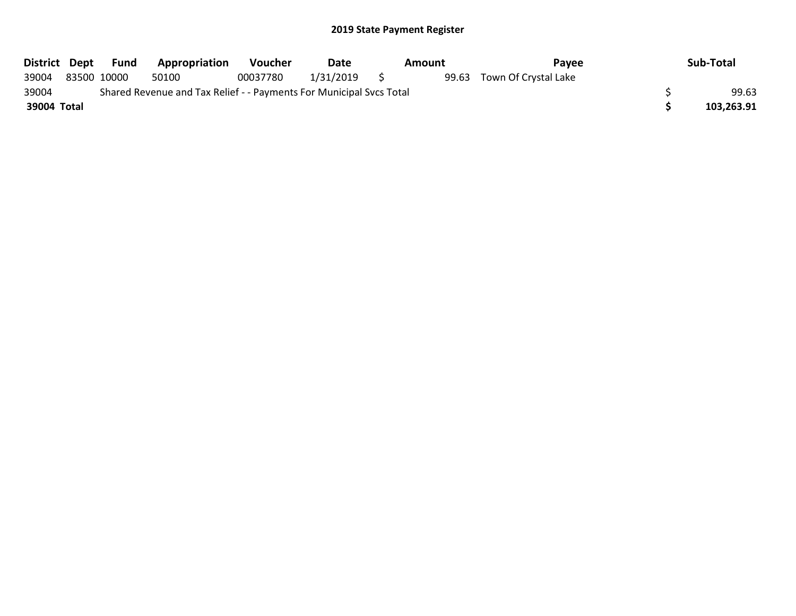| District Dept | Fund        | Appropriation                                                       | <b>Voucher</b> | Date      | Amount | Payee                | Sub-Total  |
|---------------|-------------|---------------------------------------------------------------------|----------------|-----------|--------|----------------------|------------|
| 39004         | 83500 10000 | 50100                                                               | 00037780       | 1/31/2019 | 99.63  | Town Of Crystal Lake |            |
| 39004         |             | Shared Revenue and Tax Relief - - Payments For Municipal Svcs Total |                |           |        |                      | 99.63      |
| 39004 Total   |             |                                                                     |                |           |        |                      | 103,263.91 |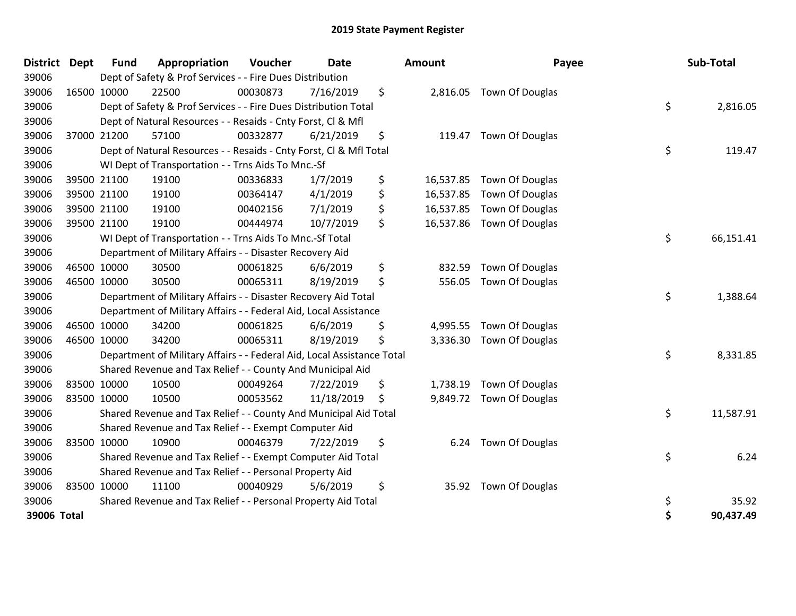| <b>District</b> | Dept | <b>Fund</b> | Appropriation                                                          | Voucher  | <b>Date</b> | Amount          | Payee                    |    | Sub-Total |
|-----------------|------|-------------|------------------------------------------------------------------------|----------|-------------|-----------------|--------------------------|----|-----------|
| 39006           |      |             | Dept of Safety & Prof Services - - Fire Dues Distribution              |          |             |                 |                          |    |           |
| 39006           |      | 16500 10000 | 22500                                                                  | 00030873 | 7/16/2019   | \$              | 2,816.05 Town Of Douglas |    |           |
| 39006           |      |             | Dept of Safety & Prof Services - - Fire Dues Distribution Total        |          |             |                 |                          | \$ | 2,816.05  |
| 39006           |      |             | Dept of Natural Resources - - Resaids - Cnty Forst, CI & Mfl           |          |             |                 |                          |    |           |
| 39006           |      | 37000 21200 | 57100                                                                  | 00332877 | 6/21/2019   | \$              | 119.47 Town Of Douglas   |    |           |
| 39006           |      |             | Dept of Natural Resources - - Resaids - Cnty Forst, CI & Mfl Total     |          |             |                 |                          | \$ | 119.47    |
| 39006           |      |             | WI Dept of Transportation - - Trns Aids To Mnc.-Sf                     |          |             |                 |                          |    |           |
| 39006           |      | 39500 21100 | 19100                                                                  | 00336833 | 1/7/2019    | \$<br>16,537.85 | Town Of Douglas          |    |           |
| 39006           |      | 39500 21100 | 19100                                                                  | 00364147 | 4/1/2019    | \$<br>16,537.85 | <b>Town Of Douglas</b>   |    |           |
| 39006           |      | 39500 21100 | 19100                                                                  | 00402156 | 7/1/2019    | \$<br>16,537.85 | Town Of Douglas          |    |           |
| 39006           |      | 39500 21100 | 19100                                                                  | 00444974 | 10/7/2019   | \$<br>16,537.86 | Town Of Douglas          |    |           |
| 39006           |      |             | WI Dept of Transportation - - Trns Aids To Mnc.-Sf Total               |          |             |                 |                          | \$ | 66,151.41 |
| 39006           |      |             | Department of Military Affairs - - Disaster Recovery Aid               |          |             |                 |                          |    |           |
| 39006           |      | 46500 10000 | 30500                                                                  | 00061825 | 6/6/2019    | \$<br>832.59    | Town Of Douglas          |    |           |
| 39006           |      | 46500 10000 | 30500                                                                  | 00065311 | 8/19/2019   | \$<br>556.05    | <b>Town Of Douglas</b>   |    |           |
| 39006           |      |             | Department of Military Affairs - - Disaster Recovery Aid Total         |          |             |                 |                          | \$ | 1,388.64  |
| 39006           |      |             | Department of Military Affairs - - Federal Aid, Local Assistance       |          |             |                 |                          |    |           |
| 39006           |      | 46500 10000 | 34200                                                                  | 00061825 | 6/6/2019    | \$<br>4,995.55  | Town Of Douglas          |    |           |
| 39006           |      | 46500 10000 | 34200                                                                  | 00065311 | 8/19/2019   | \$<br>3,336.30  | Town Of Douglas          |    |           |
| 39006           |      |             | Department of Military Affairs - - Federal Aid, Local Assistance Total |          |             |                 |                          | \$ | 8,331.85  |
| 39006           |      |             | Shared Revenue and Tax Relief - - County And Municipal Aid             |          |             |                 |                          |    |           |
| 39006           |      | 83500 10000 | 10500                                                                  | 00049264 | 7/22/2019   | \$              | 1,738.19 Town Of Douglas |    |           |
| 39006           |      | 83500 10000 | 10500                                                                  | 00053562 | 11/18/2019  | \$              | 9,849.72 Town Of Douglas |    |           |
| 39006           |      |             | Shared Revenue and Tax Relief - - County And Municipal Aid Total       |          |             |                 |                          | \$ | 11,587.91 |
| 39006           |      |             | Shared Revenue and Tax Relief - - Exempt Computer Aid                  |          |             |                 |                          |    |           |
| 39006           |      | 83500 10000 | 10900                                                                  | 00046379 | 7/22/2019   | \$<br>6.24      | <b>Town Of Douglas</b>   |    |           |
| 39006           |      |             | Shared Revenue and Tax Relief - - Exempt Computer Aid Total            |          |             |                 |                          | \$ | 6.24      |
| 39006           |      |             | Shared Revenue and Tax Relief - - Personal Property Aid                |          |             |                 |                          |    |           |
| 39006           |      | 83500 10000 | 11100                                                                  | 00040929 | 5/6/2019    | \$              | 35.92 Town Of Douglas    |    |           |
| 39006           |      |             | Shared Revenue and Tax Relief - - Personal Property Aid Total          |          |             |                 |                          | \$ | 35.92     |
| 39006 Total     |      |             |                                                                        |          |             |                 |                          | Ś  | 90,437.49 |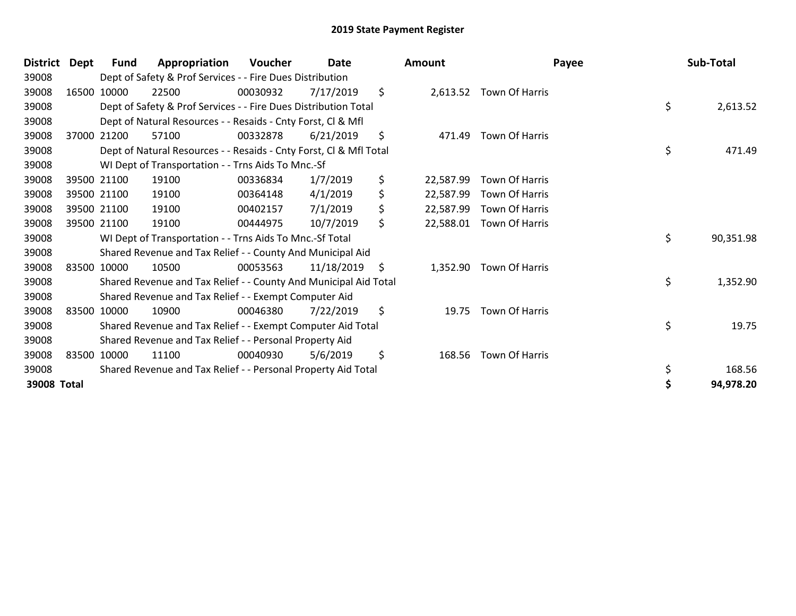| <b>District</b> | Dept | Fund        | Appropriation                                                      | Voucher  | <b>Date</b> | Amount          |                | Payee | Sub-Total |
|-----------------|------|-------------|--------------------------------------------------------------------|----------|-------------|-----------------|----------------|-------|-----------|
| 39008           |      |             | Dept of Safety & Prof Services - - Fire Dues Distribution          |          |             |                 |                |       |           |
| 39008           |      | 16500 10000 | 22500                                                              | 00030932 | 7/17/2019   | \$<br>2,613.52  | Town Of Harris |       |           |
| 39008           |      |             | Dept of Safety & Prof Services - - Fire Dues Distribution Total    |          |             |                 |                | \$    | 2,613.52  |
| 39008           |      |             | Dept of Natural Resources - - Resaids - Cnty Forst, CI & Mfl       |          |             |                 |                |       |           |
| 39008           |      | 37000 21200 | 57100                                                              | 00332878 | 6/21/2019   | \$<br>471.49    | Town Of Harris |       |           |
| 39008           |      |             | Dept of Natural Resources - - Resaids - Cnty Forst, Cl & Mfl Total |          |             |                 |                | \$    | 471.49    |
| 39008           |      |             | WI Dept of Transportation - - Trns Aids To Mnc.-Sf                 |          |             |                 |                |       |           |
| 39008           |      | 39500 21100 | 19100                                                              | 00336834 | 1/7/2019    | \$<br>22,587.99 | Town Of Harris |       |           |
| 39008           |      | 39500 21100 | 19100                                                              | 00364148 | 4/1/2019    | \$<br>22,587.99 | Town Of Harris |       |           |
| 39008           |      | 39500 21100 | 19100                                                              | 00402157 | 7/1/2019    | \$<br>22,587.99 | Town Of Harris |       |           |
| 39008           |      | 39500 21100 | 19100                                                              | 00444975 | 10/7/2019   | \$<br>22,588.01 | Town Of Harris |       |           |
| 39008           |      |             | WI Dept of Transportation - - Trns Aids To Mnc.-Sf Total           |          |             |                 |                | \$    | 90,351.98 |
| 39008           |      |             | Shared Revenue and Tax Relief - - County And Municipal Aid         |          |             |                 |                |       |           |
| 39008           |      | 83500 10000 | 10500                                                              | 00053563 | 11/18/2019  | \$<br>1,352.90  | Town Of Harris |       |           |
| 39008           |      |             | Shared Revenue and Tax Relief - - County And Municipal Aid Total   |          |             |                 |                | \$    | 1,352.90  |
| 39008           |      |             | Shared Revenue and Tax Relief - - Exempt Computer Aid              |          |             |                 |                |       |           |
| 39008           |      | 83500 10000 | 10900                                                              | 00046380 | 7/22/2019   | \$<br>19.75     | Town Of Harris |       |           |
| 39008           |      |             | Shared Revenue and Tax Relief - - Exempt Computer Aid Total        |          |             |                 |                | \$    | 19.75     |
| 39008           |      |             | Shared Revenue and Tax Relief - - Personal Property Aid            |          |             |                 |                |       |           |
| 39008           |      | 83500 10000 | 11100                                                              | 00040930 | 5/6/2019    | \$<br>168.56    | Town Of Harris |       |           |
| 39008           |      |             | Shared Revenue and Tax Relief - - Personal Property Aid Total      |          |             |                 |                | \$    | 168.56    |
| 39008 Total     |      |             |                                                                    |          |             |                 |                | Ś     | 94,978.20 |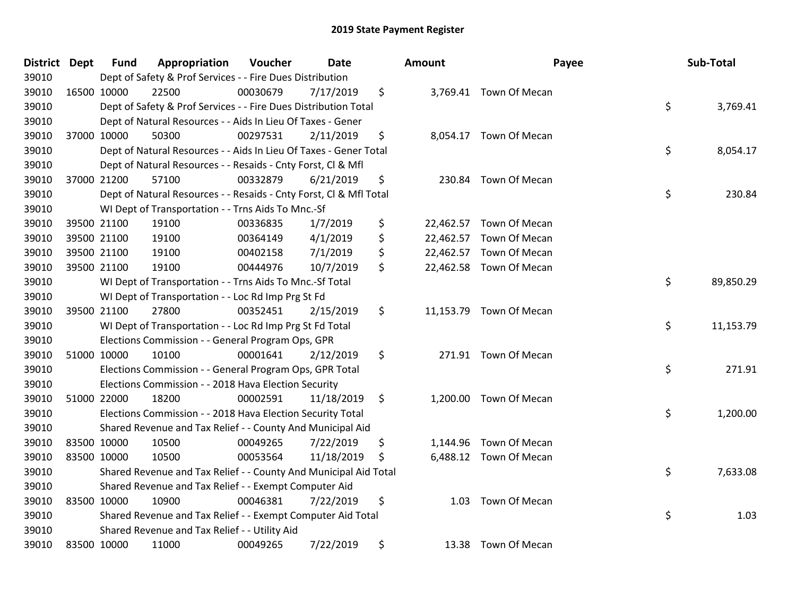| District Dept |             | <b>Fund</b> | Appropriation                                                      | Voucher  | <b>Date</b> |               | Amount   | Payee                   | Sub-Total       |
|---------------|-------------|-------------|--------------------------------------------------------------------|----------|-------------|---------------|----------|-------------------------|-----------------|
| 39010         |             |             | Dept of Safety & Prof Services - - Fire Dues Distribution          |          |             |               |          |                         |                 |
| 39010         |             | 16500 10000 | 22500                                                              | 00030679 | 7/17/2019   | \$            |          | 3,769.41 Town Of Mecan  |                 |
| 39010         |             |             | Dept of Safety & Prof Services - - Fire Dues Distribution Total    |          |             |               |          |                         | \$<br>3,769.41  |
| 39010         |             |             | Dept of Natural Resources - - Aids In Lieu Of Taxes - Gener        |          |             |               |          |                         |                 |
| 39010         |             | 37000 10000 | 50300                                                              | 00297531 | 2/11/2019   | \$            |          | 8,054.17 Town Of Mecan  |                 |
| 39010         |             |             | Dept of Natural Resources - - Aids In Lieu Of Taxes - Gener Total  |          |             |               |          |                         | \$<br>8,054.17  |
| 39010         |             |             | Dept of Natural Resources - - Resaids - Cnty Forst, Cl & Mfl       |          |             |               |          |                         |                 |
| 39010         |             | 37000 21200 | 57100                                                              | 00332879 | 6/21/2019   | \$            |          | 230.84 Town Of Mecan    |                 |
| 39010         |             |             | Dept of Natural Resources - - Resaids - Cnty Forst, CI & Mfl Total |          |             |               |          |                         | \$<br>230.84    |
| 39010         |             |             | WI Dept of Transportation - - Trns Aids To Mnc.-Sf                 |          |             |               |          |                         |                 |
| 39010         |             | 39500 21100 | 19100                                                              | 00336835 | 1/7/2019    | \$            |          | 22,462.57 Town Of Mecan |                 |
| 39010         |             | 39500 21100 | 19100                                                              | 00364149 | 4/1/2019    | \$            |          | 22,462.57 Town Of Mecan |                 |
| 39010         |             | 39500 21100 | 19100                                                              | 00402158 | 7/1/2019    | \$            |          | 22,462.57 Town Of Mecan |                 |
| 39010         |             | 39500 21100 | 19100                                                              | 00444976 | 10/7/2019   | \$            |          | 22,462.58 Town Of Mecan |                 |
| 39010         |             |             | WI Dept of Transportation - - Trns Aids To Mnc.-Sf Total           |          |             |               |          |                         | \$<br>89,850.29 |
| 39010         |             |             | WI Dept of Transportation - - Loc Rd Imp Prg St Fd                 |          |             |               |          |                         |                 |
| 39010         |             | 39500 21100 | 27800                                                              | 00352451 | 2/15/2019   | \$            |          | 11,153.79 Town Of Mecan |                 |
| 39010         |             |             | WI Dept of Transportation - - Loc Rd Imp Prg St Fd Total           |          |             |               |          |                         | \$<br>11,153.79 |
| 39010         |             |             | Elections Commission - - General Program Ops, GPR                  |          |             |               |          |                         |                 |
| 39010         | 51000 10000 |             | 10100                                                              | 00001641 | 2/12/2019   | \$            |          | 271.91 Town Of Mecan    |                 |
| 39010         |             |             | Elections Commission - - General Program Ops, GPR Total            |          |             |               |          |                         | \$<br>271.91    |
| 39010         |             |             | Elections Commission - - 2018 Hava Election Security               |          |             |               |          |                         |                 |
| 39010         |             | 51000 22000 | 18200                                                              | 00002591 | 11/18/2019  | $\ddot{\phi}$ |          | 1,200.00 Town Of Mecan  |                 |
| 39010         |             |             | Elections Commission - - 2018 Hava Election Security Total         |          |             |               |          |                         | \$<br>1,200.00  |
| 39010         |             |             | Shared Revenue and Tax Relief - - County And Municipal Aid         |          |             |               |          |                         |                 |
| 39010         |             | 83500 10000 | 10500                                                              | 00049265 | 7/22/2019   | \$            | 1,144.96 | Town Of Mecan           |                 |
| 39010         |             | 83500 10000 | 10500                                                              | 00053564 | 11/18/2019  | \$            |          | 6,488.12 Town Of Mecan  |                 |
| 39010         |             |             | Shared Revenue and Tax Relief - - County And Municipal Aid Total   |          |             |               |          |                         | \$<br>7,633.08  |
| 39010         |             |             | Shared Revenue and Tax Relief - - Exempt Computer Aid              |          |             |               |          |                         |                 |
| 39010         |             | 83500 10000 | 10900                                                              | 00046381 | 7/22/2019   | \$            | 1.03     | Town Of Mecan           |                 |
| 39010         |             |             | Shared Revenue and Tax Relief - - Exempt Computer Aid Total        |          |             |               |          |                         | \$<br>1.03      |
| 39010         |             |             | Shared Revenue and Tax Relief - - Utility Aid                      |          |             |               |          |                         |                 |
| 39010         | 83500 10000 |             | 11000                                                              | 00049265 | 7/22/2019   | \$            |          | 13.38 Town Of Mecan     |                 |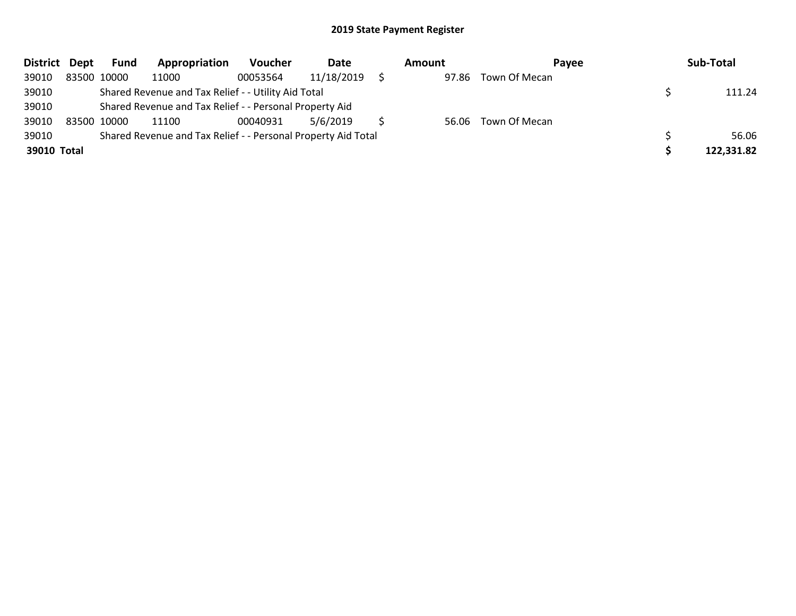| District Dept |             | <b>Fund</b> | Appropriation                                                 | <b>Voucher</b> | Date       | Amount | <b>Pavee</b>        | Sub-Total  |
|---------------|-------------|-------------|---------------------------------------------------------------|----------------|------------|--------|---------------------|------------|
| 39010         |             | 83500 10000 | 11000                                                         | 00053564       | 11/18/2019 | 97.86  | Town Of Mecan       |            |
| 39010         |             |             | Shared Revenue and Tax Relief - - Utility Aid Total           |                |            |        |                     | 111.24     |
| 39010         |             |             | Shared Revenue and Tax Relief - - Personal Property Aid       |                |            |        |                     |            |
| 39010         | 83500 10000 |             | 11100                                                         | 00040931       | 5/6/2019   |        | 56.06 Town Of Mecan |            |
| 39010         |             |             | Shared Revenue and Tax Relief - - Personal Property Aid Total |                |            |        |                     | 56.06      |
| 39010 Total   |             |             |                                                               |                |            |        |                     | 122,331.82 |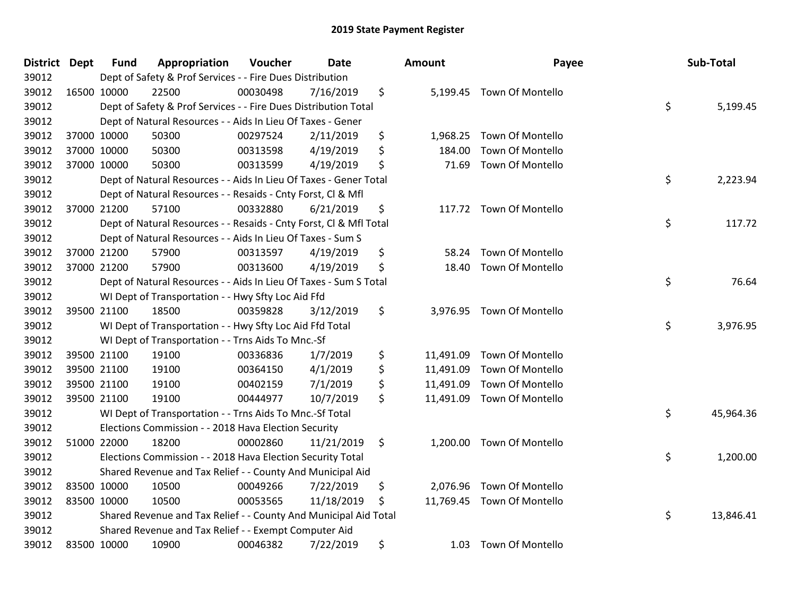| <b>District</b> | <b>Dept</b> | <b>Fund</b> | Appropriation                                                      | Voucher  | Date       | <b>Amount</b>   | Payee                      | Sub-Total       |
|-----------------|-------------|-------------|--------------------------------------------------------------------|----------|------------|-----------------|----------------------------|-----------------|
| 39012           |             |             | Dept of Safety & Prof Services - - Fire Dues Distribution          |          |            |                 |                            |                 |
| 39012           |             | 16500 10000 | 22500                                                              | 00030498 | 7/16/2019  | \$              | 5,199.45 Town Of Montello  |                 |
| 39012           |             |             | Dept of Safety & Prof Services - - Fire Dues Distribution Total    |          |            |                 |                            | \$<br>5,199.45  |
| 39012           |             |             | Dept of Natural Resources - - Aids In Lieu Of Taxes - Gener        |          |            |                 |                            |                 |
| 39012           |             | 37000 10000 | 50300                                                              | 00297524 | 2/11/2019  | \$<br>1,968.25  | Town Of Montello           |                 |
| 39012           |             | 37000 10000 | 50300                                                              | 00313598 | 4/19/2019  | \$<br>184.00    | Town Of Montello           |                 |
| 39012           |             | 37000 10000 | 50300                                                              | 00313599 | 4/19/2019  | \$<br>71.69     | Town Of Montello           |                 |
| 39012           |             |             | Dept of Natural Resources - - Aids In Lieu Of Taxes - Gener Total  |          |            |                 |                            | \$<br>2,223.94  |
| 39012           |             |             | Dept of Natural Resources - - Resaids - Cnty Forst, CI & Mfl       |          |            |                 |                            |                 |
| 39012           |             | 37000 21200 | 57100                                                              | 00332880 | 6/21/2019  | \$              | 117.72 Town Of Montello    |                 |
| 39012           |             |             | Dept of Natural Resources - - Resaids - Cnty Forst, Cl & Mfl Total |          |            |                 |                            | \$<br>117.72    |
| 39012           |             |             | Dept of Natural Resources - - Aids In Lieu Of Taxes - Sum S        |          |            |                 |                            |                 |
| 39012           |             | 37000 21200 | 57900                                                              | 00313597 | 4/19/2019  | \$<br>58.24     | Town Of Montello           |                 |
| 39012           |             | 37000 21200 | 57900                                                              | 00313600 | 4/19/2019  | \$<br>18.40     | Town Of Montello           |                 |
| 39012           |             |             | Dept of Natural Resources - - Aids In Lieu Of Taxes - Sum S Total  |          |            |                 |                            | \$<br>76.64     |
| 39012           |             |             | WI Dept of Transportation - - Hwy Sfty Loc Aid Ffd                 |          |            |                 |                            |                 |
| 39012           |             | 39500 21100 | 18500                                                              | 00359828 | 3/12/2019  | \$<br>3,976.95  | Town Of Montello           |                 |
| 39012           |             |             | WI Dept of Transportation - - Hwy Sfty Loc Aid Ffd Total           |          |            |                 |                            | \$<br>3,976.95  |
| 39012           |             |             | WI Dept of Transportation - - Trns Aids To Mnc.-Sf                 |          |            |                 |                            |                 |
| 39012           |             | 39500 21100 | 19100                                                              | 00336836 | 1/7/2019   | \$<br>11,491.09 | Town Of Montello           |                 |
| 39012           |             | 39500 21100 | 19100                                                              | 00364150 | 4/1/2019   | \$<br>11,491.09 | Town Of Montello           |                 |
| 39012           |             | 39500 21100 | 19100                                                              | 00402159 | 7/1/2019   | \$<br>11,491.09 | Town Of Montello           |                 |
| 39012           |             | 39500 21100 | 19100                                                              | 00444977 | 10/7/2019  | \$              | 11,491.09 Town Of Montello |                 |
| 39012           |             |             | WI Dept of Transportation - - Trns Aids To Mnc.-Sf Total           |          |            |                 |                            | \$<br>45,964.36 |
| 39012           |             |             | Elections Commission - - 2018 Hava Election Security               |          |            |                 |                            |                 |
| 39012           |             | 51000 22000 | 18200                                                              | 00002860 | 11/21/2019 | \$<br>1,200.00  | Town Of Montello           |                 |
| 39012           |             |             | Elections Commission - - 2018 Hava Election Security Total         |          |            |                 |                            | \$<br>1,200.00  |
| 39012           |             |             | Shared Revenue and Tax Relief - - County And Municipal Aid         |          |            |                 |                            |                 |
| 39012           | 83500 10000 |             | 10500                                                              | 00049266 | 7/22/2019  | \$<br>2,076.96  | Town Of Montello           |                 |
| 39012           |             | 83500 10000 | 10500                                                              | 00053565 | 11/18/2019 | \$              | 11,769.45 Town Of Montello |                 |
| 39012           |             |             | Shared Revenue and Tax Relief - - County And Municipal Aid Total   |          |            |                 |                            | \$<br>13,846.41 |
| 39012           |             |             | Shared Revenue and Tax Relief - - Exempt Computer Aid              |          |            |                 |                            |                 |
| 39012           |             | 83500 10000 | 10900                                                              | 00046382 | 7/22/2019  | \$<br>1.03      | <b>Town Of Montello</b>    |                 |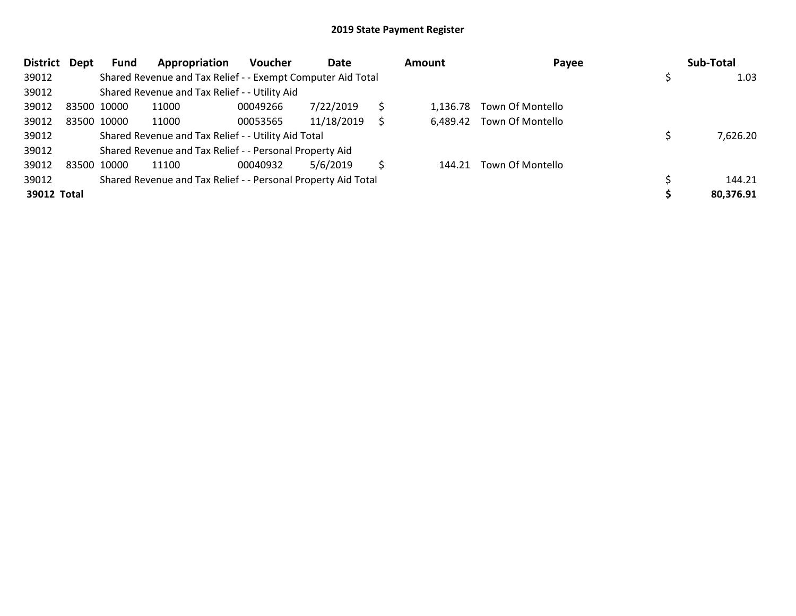| <b>District</b> | Dept | Fund        | Appropriation                                                 | <b>Voucher</b> | Date       |   | <b>Amount</b> | Payee                     | Sub-Total |
|-----------------|------|-------------|---------------------------------------------------------------|----------------|------------|---|---------------|---------------------------|-----------|
| 39012           |      |             | Shared Revenue and Tax Relief - - Exempt Computer Aid Total   |                |            |   |               |                           | 1.03      |
| 39012           |      |             | Shared Revenue and Tax Relief - - Utility Aid                 |                |            |   |               |                           |           |
| 39012           |      | 83500 10000 | 11000                                                         | 00049266       | 7/22/2019  | Ś | 1.136.78      | Town Of Montello          |           |
| 39012           |      | 83500 10000 | 11000                                                         | 00053565       | 11/18/2019 | S |               | 6,489.42 Town Of Montello |           |
| 39012           |      |             | Shared Revenue and Tax Relief - - Utility Aid Total           |                |            |   |               |                           | 7,626.20  |
| 39012           |      |             | Shared Revenue and Tax Relief - - Personal Property Aid       |                |            |   |               |                           |           |
| 39012           |      | 83500 10000 | 11100                                                         | 00040932       | 5/6/2019   | S |               | 144.21 Town Of Montello   |           |
| 39012           |      |             | Shared Revenue and Tax Relief - - Personal Property Aid Total |                |            |   |               |                           | 144.21    |
| 39012 Total     |      |             |                                                               |                |            |   |               |                           | 80,376.91 |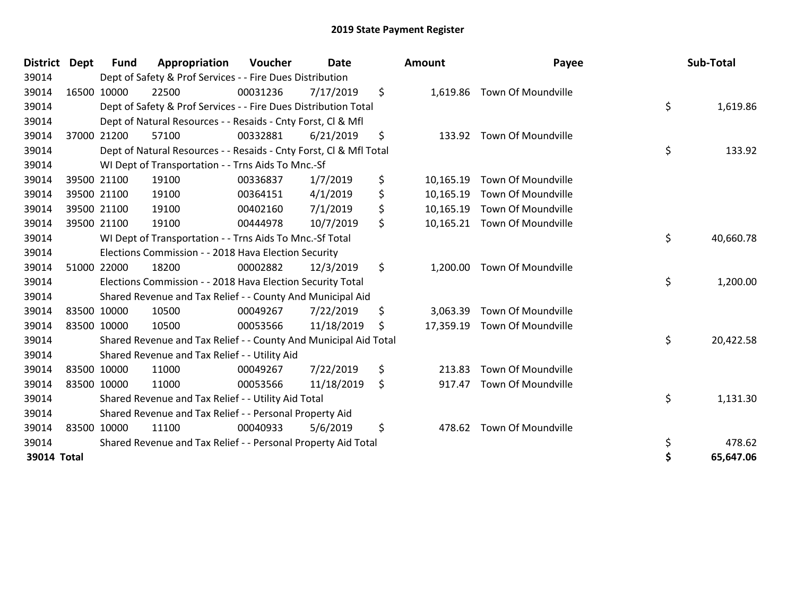| <b>District</b> | Dept | <b>Fund</b> | Appropriation                                                      | Voucher  | <b>Date</b>     | Amount          | Payee                        | Sub-Total       |
|-----------------|------|-------------|--------------------------------------------------------------------|----------|-----------------|-----------------|------------------------------|-----------------|
| 39014           |      |             | Dept of Safety & Prof Services - - Fire Dues Distribution          |          |                 |                 |                              |                 |
| 39014           |      | 16500 10000 | 22500                                                              | 00031236 | 7/17/2019       | \$              | 1,619.86 Town Of Moundville  |                 |
| 39014           |      |             | Dept of Safety & Prof Services - - Fire Dues Distribution Total    |          |                 |                 |                              | \$<br>1,619.86  |
| 39014           |      |             | Dept of Natural Resources - - Resaids - Cnty Forst, CI & Mfl       |          |                 |                 |                              |                 |
| 39014           |      | 37000 21200 | 57100                                                              | 00332881 | 6/21/2019       | \$<br>133.92    | Town Of Moundville           |                 |
| 39014           |      |             | Dept of Natural Resources - - Resaids - Cnty Forst, Cl & Mfl Total |          |                 |                 |                              | \$<br>133.92    |
| 39014           |      |             | WI Dept of Transportation - - Trns Aids To Mnc.-Sf                 |          |                 |                 |                              |                 |
| 39014           |      | 39500 21100 | 19100                                                              | 00336837 | 1/7/2019        | \$<br>10,165.19 | Town Of Moundville           |                 |
| 39014           |      | 39500 21100 | 19100                                                              | 00364151 | 4/1/2019        | \$<br>10,165.19 | Town Of Moundville           |                 |
| 39014           |      | 39500 21100 | 19100                                                              | 00402160 | 7/1/2019        | \$<br>10,165.19 | Town Of Moundville           |                 |
| 39014           |      | 39500 21100 | 19100                                                              | 00444978 | 10/7/2019       | \$<br>10,165.21 | Town Of Moundville           |                 |
| 39014           |      |             | WI Dept of Transportation - - Trns Aids To Mnc.-Sf Total           |          | \$<br>40,660.78 |                 |                              |                 |
| 39014           |      |             | Elections Commission - - 2018 Hava Election Security               |          |                 |                 |                              |                 |
| 39014           |      | 51000 22000 | 18200                                                              | 00002882 | 12/3/2019       | \$<br>1,200.00  | Town Of Moundville           |                 |
| 39014           |      |             | Elections Commission - - 2018 Hava Election Security Total         |          |                 |                 |                              | \$<br>1,200.00  |
| 39014           |      |             | Shared Revenue and Tax Relief - - County And Municipal Aid         |          |                 |                 |                              |                 |
| 39014           |      | 83500 10000 | 10500                                                              | 00049267 | 7/22/2019       | \$<br>3.063.39  | Town Of Moundville           |                 |
| 39014           |      | 83500 10000 | 10500                                                              | 00053566 | 11/18/2019      | \$              | 17,359.19 Town Of Moundville |                 |
| 39014           |      |             | Shared Revenue and Tax Relief - - County And Municipal Aid Total   |          |                 |                 |                              | \$<br>20,422.58 |
| 39014           |      |             | Shared Revenue and Tax Relief - - Utility Aid                      |          |                 |                 |                              |                 |
| 39014           |      | 83500 10000 | 11000                                                              | 00049267 | 7/22/2019       | \$<br>213.83    | Town Of Moundville           |                 |
| 39014           |      | 83500 10000 | 11000                                                              | 00053566 | 11/18/2019      | \$<br>917.47    | Town Of Moundville           |                 |
| 39014           |      |             | Shared Revenue and Tax Relief - - Utility Aid Total                |          |                 |                 |                              | \$<br>1,131.30  |
| 39014           |      |             | Shared Revenue and Tax Relief - - Personal Property Aid            |          |                 |                 |                              |                 |
| 39014           |      | 83500 10000 | 11100                                                              | 00040933 | 5/6/2019        | \$<br>478.62    | Town Of Moundville           |                 |
| 39014           |      |             | Shared Revenue and Tax Relief - - Personal Property Aid Total      |          |                 |                 |                              | \$<br>478.62    |
| 39014 Total     |      |             |                                                                    |          |                 |                 |                              | \$<br>65,647.06 |

| District Dept |             | <b>Fund</b> | Appropriation                                                      | <b>Voucher</b> | Date       |     | <b>Amount</b> | Payee                        | Sub-Total       |
|---------------|-------------|-------------|--------------------------------------------------------------------|----------------|------------|-----|---------------|------------------------------|-----------------|
| 39014         |             |             | Dept of Safety & Prof Services - - Fire Dues Distribution          |                |            |     |               |                              |                 |
| 39014         | 16500 10000 |             | 22500                                                              | 00031236       | 7/17/2019  | \$  |               | 1,619.86 Town Of Moundville  |                 |
| 39014         |             |             | Dept of Safety & Prof Services - - Fire Dues Distribution Total    |                |            |     |               |                              | \$<br>1,619.86  |
| 39014         |             |             | Dept of Natural Resources - - Resaids - Cnty Forst, CI & Mfl       |                |            |     |               |                              |                 |
| 39014         | 37000 21200 |             | 57100                                                              | 00332881       | 6/21/2019  | \$  | 133.92        | Town Of Moundville           |                 |
| 39014         |             |             | Dept of Natural Resources - - Resaids - Cnty Forst, CI & Mfl Total |                |            |     |               |                              | \$<br>133.92    |
| 39014         |             |             | WI Dept of Transportation - - Trns Aids To Mnc.-Sf                 |                |            |     |               |                              |                 |
| 39014         | 39500 21100 |             | 19100                                                              | 00336837       | 1/7/2019   | \$, | 10,165.19     | <b>Town Of Moundville</b>    |                 |
| 39014         | 39500 21100 |             | 19100                                                              | 00364151       | 4/1/2019   | \$  | 10,165.19     | <b>Town Of Moundville</b>    |                 |
| 39014         |             | 39500 21100 | 19100                                                              | 00402160       | 7/1/2019   | \$  | 10,165.19     | Town Of Moundville           |                 |
| 39014         | 39500 21100 |             | 19100                                                              | 00444978       | 10/7/2019  | \$  |               | 10,165.21 Town Of Moundville |                 |
| 39014         |             |             | WI Dept of Transportation - - Trns Aids To Mnc.-Sf Total           |                |            |     |               |                              | \$<br>40,660.78 |
| 39014         |             |             | Elections Commission - - 2018 Hava Election Security               |                |            |     |               |                              |                 |
| 39014         |             | 51000 22000 | 18200                                                              | 00002882       | 12/3/2019  | \$  | 1,200.00      | Town Of Moundville           |                 |
| 39014         |             |             | Elections Commission - - 2018 Hava Election Security Total         |                |            |     |               |                              | \$<br>1,200.00  |
| 39014         |             |             | Shared Revenue and Tax Relief - - County And Municipal Aid         |                |            |     |               |                              |                 |
| 39014         |             | 83500 10000 | 10500                                                              | 00049267       | 7/22/2019  | \$  | 3,063.39      | <b>Town Of Moundville</b>    |                 |
| 39014         | 83500 10000 |             | 10500                                                              | 00053566       | 11/18/2019 | S   |               | 17,359.19 Town Of Moundville |                 |
| 39014         |             |             | Shared Revenue and Tax Relief - - County And Municipal Aid Total   |                |            |     |               |                              | \$<br>20,422.58 |
| 39014         |             |             | Shared Revenue and Tax Relief - - Utility Aid                      |                |            |     |               |                              |                 |
| 39014         | 83500 10000 |             | 11000                                                              | 00049267       | 7/22/2019  | \$  | 213.83        | <b>Town Of Moundville</b>    |                 |
| 39014         | 83500 10000 |             | 11000                                                              | 00053566       | 11/18/2019 | \$  | 917.47        | Town Of Moundville           |                 |
| 39014         |             |             | Shared Revenue and Tax Relief - - Utility Aid Total                |                |            |     |               |                              | \$<br>1,131.30  |
| 39014         |             |             | Shared Revenue and Tax Relief - - Personal Property Aid            |                |            |     |               |                              |                 |
| 39014         | 83500 10000 |             | 11100                                                              | 00040933       | 5/6/2019   | \$  | 478.62        | Town Of Moundville           |                 |
| 39014         |             |             | Shared Revenue and Tax Relief - - Personal Property Aid Total      |                |            |     |               |                              | \$<br>478.62    |
| 39014 Total   |             |             |                                                                    |                |            |     |               |                              | 65,647.06       |
|               |             |             |                                                                    |                |            |     |               |                              |                 |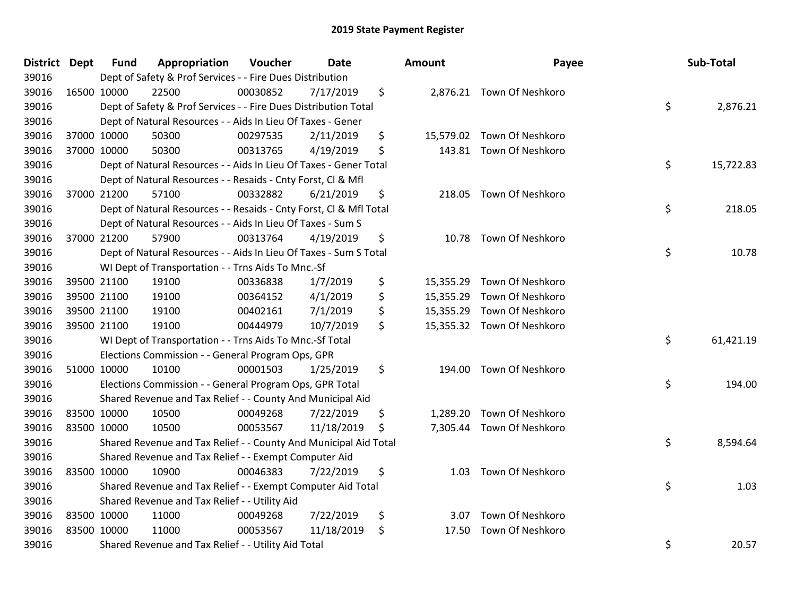| <b>District</b> | <b>Dept</b> | <b>Fund</b> | Appropriation                                                      | Voucher  | Date       |    | Amount    | Payee                      |    | Sub-Total |
|-----------------|-------------|-------------|--------------------------------------------------------------------|----------|------------|----|-----------|----------------------------|----|-----------|
| 39016           |             |             | Dept of Safety & Prof Services - - Fire Dues Distribution          |          |            |    |           |                            |    |           |
| 39016           |             | 16500 10000 | 22500                                                              | 00030852 | 7/17/2019  | \$ |           | 2,876.21 Town Of Neshkoro  |    |           |
| 39016           |             |             | Dept of Safety & Prof Services - - Fire Dues Distribution Total    |          |            |    |           |                            | \$ | 2,876.21  |
| 39016           |             |             | Dept of Natural Resources - - Aids In Lieu Of Taxes - Gener        |          |            |    |           |                            |    |           |
| 39016           |             | 37000 10000 | 50300                                                              | 00297535 | 2/11/2019  | \$ |           | 15,579.02 Town Of Neshkoro |    |           |
| 39016           |             | 37000 10000 | 50300                                                              | 00313765 | 4/19/2019  | \$ |           | 143.81 Town Of Neshkoro    |    |           |
| 39016           |             |             | Dept of Natural Resources - - Aids In Lieu Of Taxes - Gener Total  |          |            |    |           |                            | \$ | 15,722.83 |
| 39016           |             |             | Dept of Natural Resources - - Resaids - Cnty Forst, Cl & Mfl       |          |            |    |           |                            |    |           |
| 39016           |             | 37000 21200 | 57100                                                              | 00332882 | 6/21/2019  | \$ |           | 218.05 Town Of Neshkoro    |    |           |
| 39016           |             |             | Dept of Natural Resources - - Resaids - Cnty Forst, CI & Mfl Total |          |            |    |           |                            | \$ | 218.05    |
| 39016           |             |             | Dept of Natural Resources - - Aids In Lieu Of Taxes - Sum S        |          |            |    |           |                            |    |           |
| 39016           |             | 37000 21200 | 57900                                                              | 00313764 | 4/19/2019  | \$ |           | 10.78 Town Of Neshkoro     |    |           |
| 39016           |             |             | Dept of Natural Resources - - Aids In Lieu Of Taxes - Sum S Total  |          |            |    |           |                            | \$ | 10.78     |
| 39016           |             |             | WI Dept of Transportation - - Trns Aids To Mnc.-Sf                 |          |            |    |           |                            |    |           |
| 39016           |             | 39500 21100 | 19100                                                              | 00336838 | 1/7/2019   | \$ |           | 15,355.29 Town Of Neshkoro |    |           |
| 39016           |             | 39500 21100 | 19100                                                              | 00364152 | 4/1/2019   | \$ | 15,355.29 | Town Of Neshkoro           |    |           |
| 39016           |             | 39500 21100 | 19100                                                              | 00402161 | 7/1/2019   | \$ |           | 15,355.29 Town Of Neshkoro |    |           |
| 39016           |             | 39500 21100 | 19100                                                              | 00444979 | 10/7/2019  | \$ |           | 15,355.32 Town Of Neshkoro |    |           |
| 39016           |             |             | WI Dept of Transportation - - Trns Aids To Mnc.-Sf Total           |          |            |    |           |                            | \$ | 61,421.19 |
| 39016           |             |             | Elections Commission - - General Program Ops, GPR                  |          |            |    |           |                            |    |           |
| 39016           |             | 51000 10000 | 10100                                                              | 00001503 | 1/25/2019  | \$ |           | 194.00 Town Of Neshkoro    |    |           |
| 39016           |             |             | Elections Commission - - General Program Ops, GPR Total            |          |            |    |           |                            | \$ | 194.00    |
| 39016           |             |             | Shared Revenue and Tax Relief - - County And Municipal Aid         |          |            |    |           |                            |    |           |
| 39016           | 83500 10000 |             | 10500                                                              | 00049268 | 7/22/2019  | \$ |           | 1,289.20 Town Of Neshkoro  |    |           |
| 39016           |             | 83500 10000 | 10500                                                              | 00053567 | 11/18/2019 | \$ |           | 7,305.44 Town Of Neshkoro  |    |           |
| 39016           |             |             | Shared Revenue and Tax Relief - - County And Municipal Aid Total   |          |            |    |           |                            | \$ | 8,594.64  |
| 39016           |             |             | Shared Revenue and Tax Relief - - Exempt Computer Aid              |          |            |    |           |                            |    |           |
| 39016           |             | 83500 10000 | 10900                                                              | 00046383 | 7/22/2019  | \$ | 1.03      | Town Of Neshkoro           |    |           |
| 39016           |             |             | Shared Revenue and Tax Relief - - Exempt Computer Aid Total        |          |            |    |           |                            | \$ | 1.03      |
| 39016           |             |             | Shared Revenue and Tax Relief - - Utility Aid                      |          |            |    |           |                            |    |           |
| 39016           |             | 83500 10000 | 11000                                                              | 00049268 | 7/22/2019  | \$ | 3.07      | Town Of Neshkoro           |    |           |
| 39016           |             | 83500 10000 | 11000                                                              | 00053567 | 11/18/2019 | \$ | 17.50     | <b>Town Of Neshkoro</b>    |    |           |
| 39016           |             |             | Shared Revenue and Tax Relief - - Utility Aid Total                |          |            |    |           |                            | \$ | 20.57     |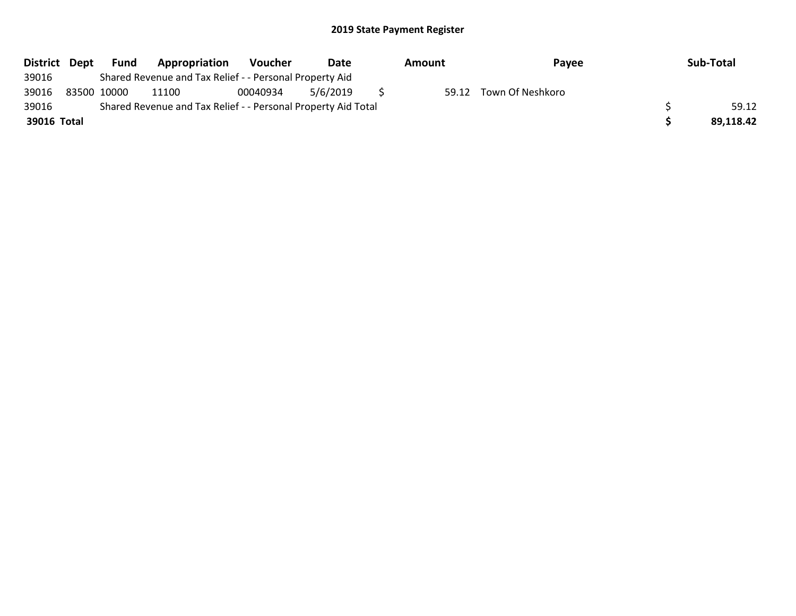| District Dept | Fund        | Appropriation                                                 | Voucher  | Date     | Amount | Payee            | Sub-Total |
|---------------|-------------|---------------------------------------------------------------|----------|----------|--------|------------------|-----------|
| 39016         |             | Shared Revenue and Tax Relief - - Personal Property Aid       |          |          |        |                  |           |
| 39016         | 83500 10000 | 11100                                                         | 00040934 | 5/6/2019 | 59.12  | Town Of Neshkoro |           |
| 39016         |             | Shared Revenue and Tax Relief - - Personal Property Aid Total |          |          |        |                  | 59.12     |
| 39016 Total   |             |                                                               |          |          |        |                  | 89.118.42 |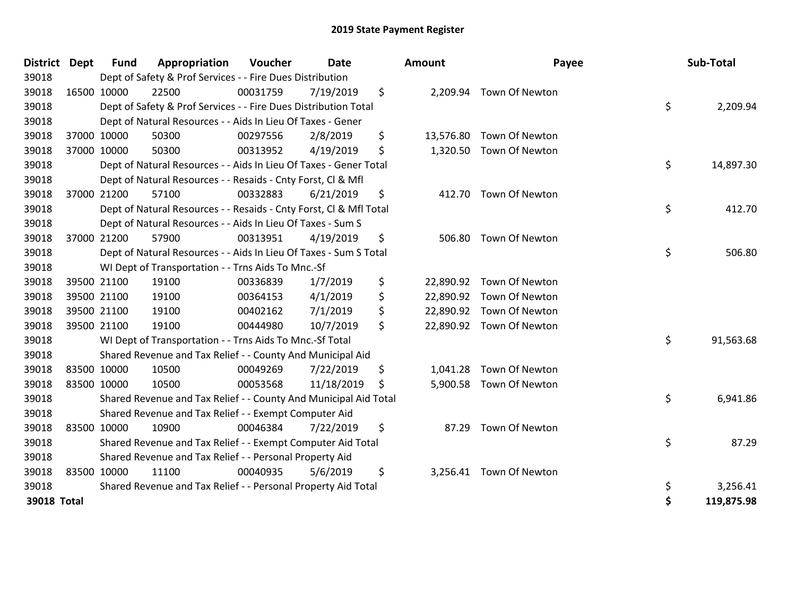| <b>District</b>    | Dept | <b>Fund</b> | Appropriation                                                      | Voucher  | Date       | Amount          | Payee                    | Sub-Total        |
|--------------------|------|-------------|--------------------------------------------------------------------|----------|------------|-----------------|--------------------------|------------------|
| 39018              |      |             | Dept of Safety & Prof Services - - Fire Dues Distribution          |          |            |                 |                          |                  |
| 39018              |      | 16500 10000 | 22500                                                              | 00031759 | 7/19/2019  | \$              | 2,209.94 Town Of Newton  |                  |
| 39018              |      |             | Dept of Safety & Prof Services - - Fire Dues Distribution Total    |          |            |                 |                          | \$<br>2,209.94   |
| 39018              |      |             | Dept of Natural Resources - - Aids In Lieu Of Taxes - Gener        |          |            |                 |                          |                  |
| 39018              |      | 37000 10000 | 50300                                                              | 00297556 | 2/8/2019   | \$<br>13,576.80 | Town Of Newton           |                  |
| 39018              |      | 37000 10000 | 50300                                                              | 00313952 | 4/19/2019  | \$<br>1,320.50  | Town Of Newton           |                  |
| 39018              |      |             | Dept of Natural Resources - - Aids In Lieu Of Taxes - Gener Total  |          |            |                 |                          | \$<br>14,897.30  |
| 39018              |      |             | Dept of Natural Resources - - Resaids - Cnty Forst, Cl & Mfl       |          |            |                 |                          |                  |
| 39018              |      | 37000 21200 | 57100                                                              | 00332883 | 6/21/2019  | \$<br>412.70    | Town Of Newton           |                  |
| 39018              |      |             | Dept of Natural Resources - - Resaids - Cnty Forst, CI & Mfl Total |          |            |                 |                          | \$<br>412.70     |
| 39018              |      |             | Dept of Natural Resources - - Aids In Lieu Of Taxes - Sum S        |          |            |                 |                          |                  |
| 39018              |      | 37000 21200 | 57900                                                              | 00313951 | 4/19/2019  | \$<br>506.80    | Town Of Newton           |                  |
| 39018              |      |             | Dept of Natural Resources - - Aids In Lieu Of Taxes - Sum S Total  |          |            |                 |                          | \$<br>506.80     |
| 39018              |      |             | WI Dept of Transportation - - Trns Aids To Mnc.-Sf                 |          |            |                 |                          |                  |
| 39018              |      | 39500 21100 | 19100                                                              | 00336839 | 1/7/2019   | \$              | 22,890.92 Town Of Newton |                  |
| 39018              |      | 39500 21100 | 19100                                                              | 00364153 | 4/1/2019   | \$<br>22,890.92 | Town Of Newton           |                  |
| 39018              |      | 39500 21100 | 19100                                                              | 00402162 | 7/1/2019   | \$<br>22,890.92 | Town Of Newton           |                  |
| 39018              |      | 39500 21100 | 19100                                                              | 00444980 | 10/7/2019  | \$              | 22,890.92 Town Of Newton |                  |
| 39018              |      |             | WI Dept of Transportation - - Trns Aids To Mnc.-Sf Total           |          |            |                 |                          | \$<br>91,563.68  |
| 39018              |      |             | Shared Revenue and Tax Relief - - County And Municipal Aid         |          |            |                 |                          |                  |
| 39018              |      | 83500 10000 | 10500                                                              | 00049269 | 7/22/2019  | \$<br>1,041.28  | Town Of Newton           |                  |
| 39018              |      | 83500 10000 | 10500                                                              | 00053568 | 11/18/2019 | \$<br>5,900.58  | Town Of Newton           |                  |
| 39018              |      |             | Shared Revenue and Tax Relief - - County And Municipal Aid Total   |          |            |                 |                          | \$<br>6,941.86   |
| 39018              |      |             | Shared Revenue and Tax Relief - - Exempt Computer Aid              |          |            |                 |                          |                  |
| 39018              |      | 83500 10000 | 10900                                                              | 00046384 | 7/22/2019  | \$<br>87.29     | Town Of Newton           |                  |
| 39018              |      |             | Shared Revenue and Tax Relief - - Exempt Computer Aid Total        |          |            |                 |                          | \$<br>87.29      |
| 39018              |      |             | Shared Revenue and Tax Relief - - Personal Property Aid            |          |            |                 |                          |                  |
| 39018              |      | 83500 10000 | 11100                                                              | 00040935 | 5/6/2019   | \$              | 3,256.41 Town Of Newton  |                  |
| 39018              |      |             | Shared Revenue and Tax Relief - - Personal Property Aid Total      |          |            |                 |                          | \$<br>3,256.41   |
| <b>39018 Total</b> |      |             |                                                                    |          |            |                 |                          | \$<br>119,875.98 |

| unt      | Payee                    |          | Sub-Total              |
|----------|--------------------------|----------|------------------------|
| 2,209.94 | Town Of Newton           | \$       | 2,209.94               |
|          | 13,576.80 Town Of Newton |          |                        |
| 1,320.50 | Town Of Newton           | \$       | 14,897.30              |
| 412.70   | <b>Town Of Newton</b>    |          |                        |
|          |                          | \$       | 412.70                 |
| 506.80   | Town Of Newton           | \$       | 506.80                 |
| 2,890.92 | Town Of Newton           |          |                        |
| 2,890.92 | Town Of Newton           |          |                        |
|          | 22,890.92 Town Of Newton |          |                        |
| 2,890.92 | Town Of Newton           |          |                        |
|          |                          | \$       | 91,563.68              |
|          | 1,041.28 Town Of Newton  |          |                        |
| 5,900.58 | Town Of Newton           |          |                        |
|          |                          | \$       | 6,941.86               |
| 87.29    | <b>Town Of Newton</b>    | \$       |                        |
|          |                          |          | 87.29                  |
| 3,256.41 | Town Of Newton           |          |                        |
|          |                          | \$<br>\$ | 3,256.41<br>119,875.98 |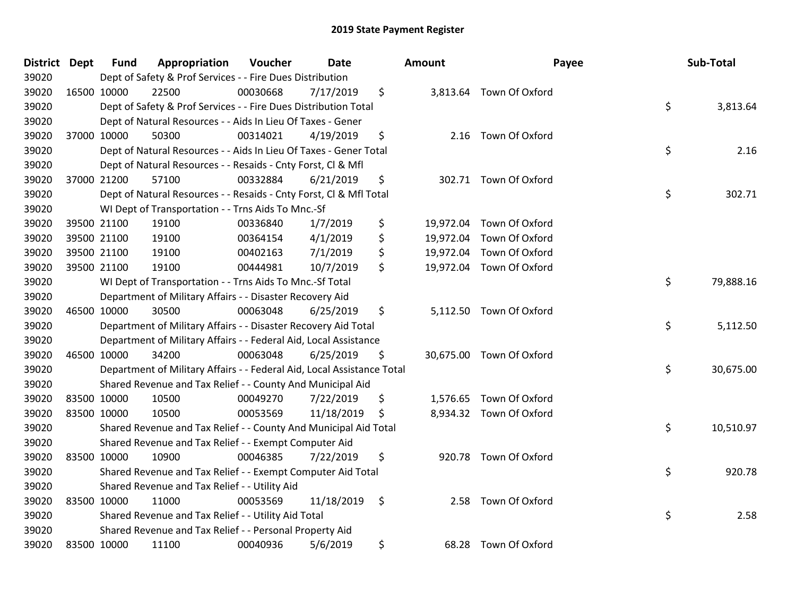| District Dept |             | <b>Fund</b> | Appropriation                                                          | Voucher  | <b>Date</b> | <b>Amount</b> | Payee                    | Sub-Total       |
|---------------|-------------|-------------|------------------------------------------------------------------------|----------|-------------|---------------|--------------------------|-----------------|
| 39020         |             |             | Dept of Safety & Prof Services - - Fire Dues Distribution              |          |             |               |                          |                 |
| 39020         |             | 16500 10000 | 22500                                                                  | 00030668 | 7/17/2019   | \$            | 3,813.64 Town Of Oxford  |                 |
| 39020         |             |             | Dept of Safety & Prof Services - - Fire Dues Distribution Total        |          |             |               |                          | \$<br>3,813.64  |
| 39020         |             |             | Dept of Natural Resources - - Aids In Lieu Of Taxes - Gener            |          |             |               |                          |                 |
| 39020         |             | 37000 10000 | 50300                                                                  | 00314021 | 4/19/2019   | \$            | 2.16 Town Of Oxford      |                 |
| 39020         |             |             | Dept of Natural Resources - - Aids In Lieu Of Taxes - Gener Total      |          |             |               |                          | \$<br>2.16      |
| 39020         |             |             | Dept of Natural Resources - - Resaids - Cnty Forst, Cl & Mfl           |          |             |               |                          |                 |
| 39020         |             | 37000 21200 | 57100                                                                  | 00332884 | 6/21/2019   | \$            | 302.71 Town Of Oxford    |                 |
| 39020         |             |             | Dept of Natural Resources - - Resaids - Cnty Forst, CI & Mfl Total     |          |             |               |                          | \$<br>302.71    |
| 39020         |             |             | WI Dept of Transportation - - Trns Aids To Mnc.-Sf                     |          |             |               |                          |                 |
| 39020         |             | 39500 21100 | 19100                                                                  | 00336840 | 1/7/2019    | \$            | 19,972.04 Town Of Oxford |                 |
| 39020         |             | 39500 21100 | 19100                                                                  | 00364154 | 4/1/2019    | \$            | 19,972.04 Town Of Oxford |                 |
| 39020         |             | 39500 21100 | 19100                                                                  | 00402163 | 7/1/2019    | \$            | 19,972.04 Town Of Oxford |                 |
| 39020         |             | 39500 21100 | 19100                                                                  | 00444981 | 10/7/2019   | \$            | 19,972.04 Town Of Oxford |                 |
| 39020         |             |             | WI Dept of Transportation - - Trns Aids To Mnc.-Sf Total               |          |             |               |                          | \$<br>79,888.16 |
| 39020         |             |             | Department of Military Affairs - - Disaster Recovery Aid               |          |             |               |                          |                 |
| 39020         |             | 46500 10000 | 30500                                                                  | 00063048 | 6/25/2019   | \$            | 5,112.50 Town Of Oxford  |                 |
| 39020         |             |             | Department of Military Affairs - - Disaster Recovery Aid Total         |          |             |               |                          | \$<br>5,112.50  |
| 39020         |             |             | Department of Military Affairs - - Federal Aid, Local Assistance       |          |             |               |                          |                 |
| 39020         | 46500 10000 |             | 34200                                                                  | 00063048 | 6/25/2019   | \$            | 30,675.00 Town Of Oxford |                 |
| 39020         |             |             | Department of Military Affairs - - Federal Aid, Local Assistance Total |          |             |               |                          | \$<br>30,675.00 |
| 39020         |             |             | Shared Revenue and Tax Relief - - County And Municipal Aid             |          |             |               |                          |                 |
| 39020         | 83500 10000 |             | 10500                                                                  | 00049270 | 7/22/2019   | \$            | 1,576.65 Town Of Oxford  |                 |
| 39020         | 83500 10000 |             | 10500                                                                  | 00053569 | 11/18/2019  | \$            | 8,934.32 Town Of Oxford  |                 |
| 39020         |             |             | Shared Revenue and Tax Relief - - County And Municipal Aid Total       |          |             |               |                          | \$<br>10,510.97 |
| 39020         |             |             | Shared Revenue and Tax Relief - - Exempt Computer Aid                  |          |             |               |                          |                 |
| 39020         | 83500 10000 |             | 10900                                                                  | 00046385 | 7/22/2019   | \$            | 920.78 Town Of Oxford    |                 |
| 39020         |             |             | Shared Revenue and Tax Relief - - Exempt Computer Aid Total            |          |             |               |                          | \$<br>920.78    |
| 39020         |             |             | Shared Revenue and Tax Relief - - Utility Aid                          |          |             |               |                          |                 |
| 39020         | 83500 10000 |             | 11000                                                                  | 00053569 | 11/18/2019  | \$            | 2.58 Town Of Oxford      |                 |
| 39020         |             |             | Shared Revenue and Tax Relief - - Utility Aid Total                    |          |             |               |                          | \$<br>2.58      |
| 39020         |             |             | Shared Revenue and Tax Relief - - Personal Property Aid                |          |             |               |                          |                 |
| 39020         | 83500 10000 |             | 11100                                                                  | 00040936 | 5/6/2019    | \$            | 68.28 Town Of Oxford     |                 |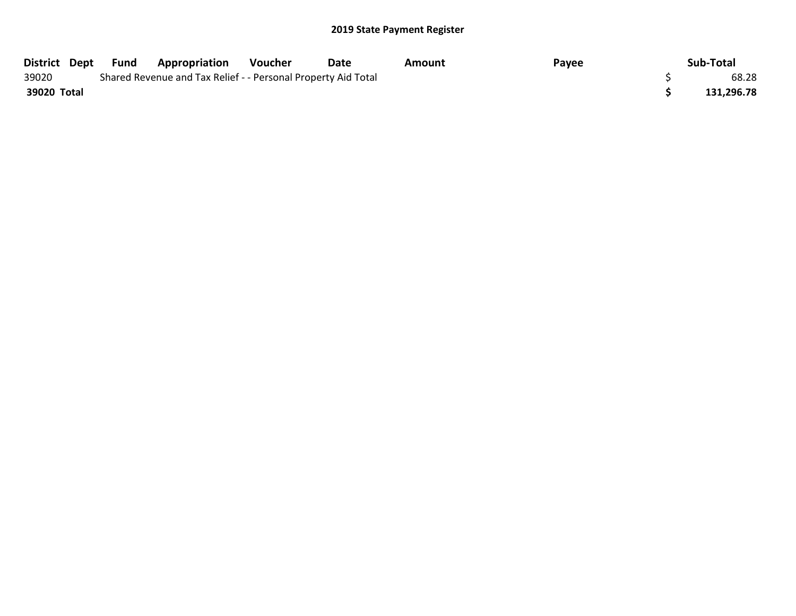|             | District Dept Fund | <b>Appropriation</b>                                          | Voucher | Date | Amount | Payee | Sub-Total  |
|-------------|--------------------|---------------------------------------------------------------|---------|------|--------|-------|------------|
| 39020       |                    | Shared Revenue and Tax Relief - - Personal Property Aid Total |         |      |        |       | 68.28      |
| 39020 Total |                    |                                                               |         |      |        |       | 131,296.78 |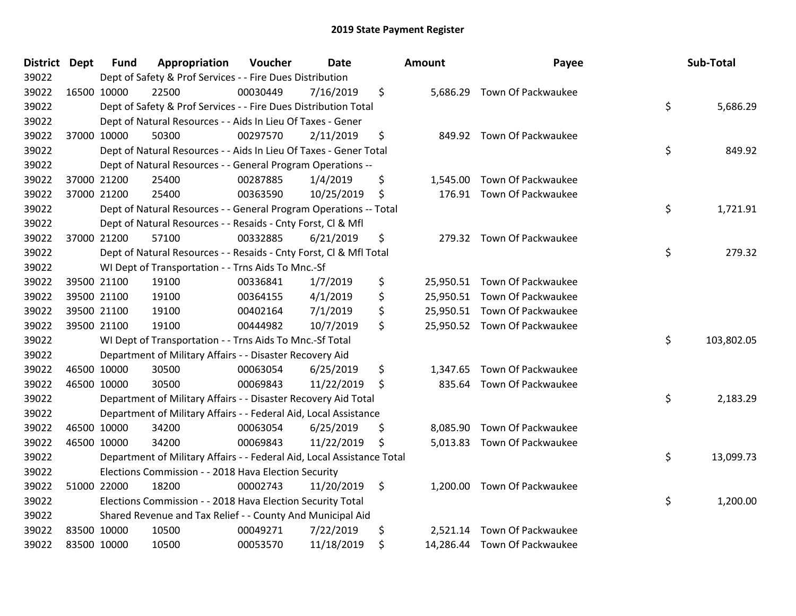| District Dept | Fund        | Appropriation                                                          | Voucher  | Date       | <b>Amount</b>  | Payee                        | Sub-Total        |
|---------------|-------------|------------------------------------------------------------------------|----------|------------|----------------|------------------------------|------------------|
| 39022         |             | Dept of Safety & Prof Services - - Fire Dues Distribution              |          |            |                |                              |                  |
| 39022         | 16500 10000 | 22500                                                                  | 00030449 | 7/16/2019  | \$             | 5,686.29 Town Of Packwaukee  |                  |
| 39022         |             | Dept of Safety & Prof Services - - Fire Dues Distribution Total        |          |            |                |                              | \$<br>5,686.29   |
| 39022         |             | Dept of Natural Resources - - Aids In Lieu Of Taxes - Gener            |          |            |                |                              |                  |
| 39022         | 37000 10000 | 50300                                                                  | 00297570 | 2/11/2019  | \$             | 849.92 Town Of Packwaukee    |                  |
| 39022         |             | Dept of Natural Resources - - Aids In Lieu Of Taxes - Gener Total      |          |            |                |                              | \$<br>849.92     |
| 39022         |             | Dept of Natural Resources - - General Program Operations --            |          |            |                |                              |                  |
| 39022         | 37000 21200 | 25400                                                                  | 00287885 | 1/4/2019   | \$<br>1,545.00 | Town Of Packwaukee           |                  |
| 39022         | 37000 21200 | 25400                                                                  | 00363590 | 10/25/2019 | \$             | 176.91 Town Of Packwaukee    |                  |
| 39022         |             | Dept of Natural Resources - - General Program Operations -- Total      |          |            |                |                              | \$<br>1,721.91   |
| 39022         |             | Dept of Natural Resources - - Resaids - Cnty Forst, Cl & Mfl           |          |            |                |                              |                  |
| 39022         | 37000 21200 | 57100                                                                  | 00332885 | 6/21/2019  | \$             | 279.32 Town Of Packwaukee    |                  |
| 39022         |             | Dept of Natural Resources - - Resaids - Cnty Forst, CI & Mfl Total     |          |            |                |                              | \$<br>279.32     |
| 39022         |             | WI Dept of Transportation - - Trns Aids To Mnc.-Sf                     |          |            |                |                              |                  |
| 39022         | 39500 21100 | 19100                                                                  | 00336841 | 1/7/2019   | \$             | 25,950.51 Town Of Packwaukee |                  |
| 39022         | 39500 21100 | 19100                                                                  | 00364155 | 4/1/2019   | \$             | 25,950.51 Town Of Packwaukee |                  |
| 39022         | 39500 21100 | 19100                                                                  | 00402164 | 7/1/2019   | \$             | 25,950.51 Town Of Packwaukee |                  |
| 39022         | 39500 21100 | 19100                                                                  | 00444982 | 10/7/2019  | \$             | 25,950.52 Town Of Packwaukee |                  |
| 39022         |             | WI Dept of Transportation - - Trns Aids To Mnc.-Sf Total               |          |            |                |                              | \$<br>103,802.05 |
| 39022         |             | Department of Military Affairs - - Disaster Recovery Aid               |          |            |                |                              |                  |
| 39022         | 46500 10000 | 30500                                                                  | 00063054 | 6/25/2019  | \$<br>1,347.65 | Town Of Packwaukee           |                  |
| 39022         | 46500 10000 | 30500                                                                  | 00069843 | 11/22/2019 | \$<br>835.64   | Town Of Packwaukee           |                  |
| 39022         |             | Department of Military Affairs - - Disaster Recovery Aid Total         |          |            |                |                              | \$<br>2,183.29   |
| 39022         |             | Department of Military Affairs - - Federal Aid, Local Assistance       |          |            |                |                              |                  |
| 39022         | 46500 10000 | 34200                                                                  | 00063054 | 6/25/2019  | \$<br>8,085.90 | Town Of Packwaukee           |                  |
| 39022         | 46500 10000 | 34200                                                                  | 00069843 | 11/22/2019 | \$<br>5,013.83 | Town Of Packwaukee           |                  |
| 39022         |             | Department of Military Affairs - - Federal Aid, Local Assistance Total |          |            |                |                              | \$<br>13,099.73  |
| 39022         |             | Elections Commission - - 2018 Hava Election Security                   |          |            |                |                              |                  |
| 39022         | 51000 22000 | 18200                                                                  | 00002743 | 11/20/2019 | \$<br>1,200.00 | Town Of Packwaukee           |                  |
| 39022         |             | Elections Commission - - 2018 Hava Election Security Total             |          |            |                |                              | \$<br>1,200.00   |
| 39022         |             | Shared Revenue and Tax Relief - - County And Municipal Aid             |          |            |                |                              |                  |
| 39022         | 83500 10000 | 10500                                                                  | 00049271 | 7/22/2019  | \$<br>2,521.14 | Town Of Packwaukee           |                  |
| 39022         | 83500 10000 | 10500                                                                  | 00053570 | 11/18/2019 | \$             | 14,286.44 Town Of Packwaukee |                  |

| ount      | Payee              | Sub-Total        |
|-----------|--------------------|------------------|
| 5,686.29  | Town Of Packwaukee | \$<br>5,686.29   |
| 849.92    | Town Of Packwaukee | \$<br>849.92     |
| 1,545.00  | Town Of Packwaukee |                  |
| 176.91    | Town Of Packwaukee | \$<br>1,721.91   |
| 279.32    | Town Of Packwaukee | \$<br>279.32     |
| 25,950.51 | Town Of Packwaukee |                  |
| 25,950.51 | Town Of Packwaukee |                  |
| 25,950.51 | Town Of Packwaukee |                  |
| 25,950.52 | Town Of Packwaukee | \$<br>103,802.05 |
| 1,347.65  | Town Of Packwaukee |                  |
| 835.64    | Town Of Packwaukee |                  |
|           |                    | \$<br>2,183.29   |
| 8,085.90  | Town Of Packwaukee |                  |
| 5,013.83  | Town Of Packwaukee |                  |
|           |                    | \$<br>13,099.73  |
| 1,200.00  | Town Of Packwaukee | \$<br>1,200.00   |
| 2,521.14  | Town Of Packwaukee |                  |
| 14,286.44 | Town Of Packwaukee |                  |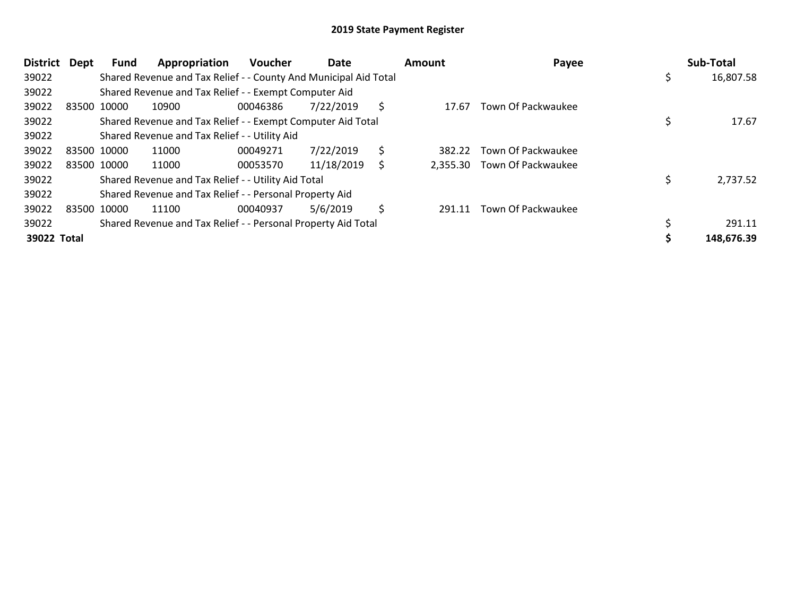| <b>District</b> | Dept        | Fund        | Appropriation                                                    | <b>Voucher</b> | Date       |     | <b>Amount</b> | Payee                       | Sub-Total  |
|-----------------|-------------|-------------|------------------------------------------------------------------|----------------|------------|-----|---------------|-----------------------------|------------|
| 39022           |             |             | Shared Revenue and Tax Relief - - County And Municipal Aid Total |                |            |     |               |                             | 16,807.58  |
| 39022           |             |             | Shared Revenue and Tax Relief - - Exempt Computer Aid            |                |            |     |               |                             |            |
| 39022           | 83500 10000 |             | 10900                                                            | 00046386       | 7/22/2019  | \$. | 17.67         | Town Of Packwaukee          |            |
| 39022           |             |             | Shared Revenue and Tax Relief - - Exempt Computer Aid Total      |                |            |     |               |                             | 17.67      |
| 39022           |             |             | Shared Revenue and Tax Relief - - Utility Aid                    |                |            |     |               |                             |            |
| 39022           | 83500 10000 |             | 11000                                                            | 00049271       | 7/22/2019  | \$  | 382.22        | Town Of Packwaukee          |            |
| 39022           |             | 83500 10000 | 11000                                                            | 00053570       | 11/18/2019 | \$  |               | 2,355.30 Town Of Packwaukee |            |
| 39022           |             |             | Shared Revenue and Tax Relief - - Utility Aid Total              |                |            |     |               |                             | 2,737.52   |
| 39022           |             |             | Shared Revenue and Tax Relief - - Personal Property Aid          |                |            |     |               |                             |            |
| 39022           | 83500 10000 |             | 11100                                                            | 00040937       | 5/6/2019   | \$  | 291.11        | Town Of Packwaukee          |            |
| 39022           |             |             | Shared Revenue and Tax Relief - - Personal Property Aid Total    |                |            |     |               |                             | 291.11     |
| 39022 Total     |             |             |                                                                  |                |            |     |               |                             | 148,676.39 |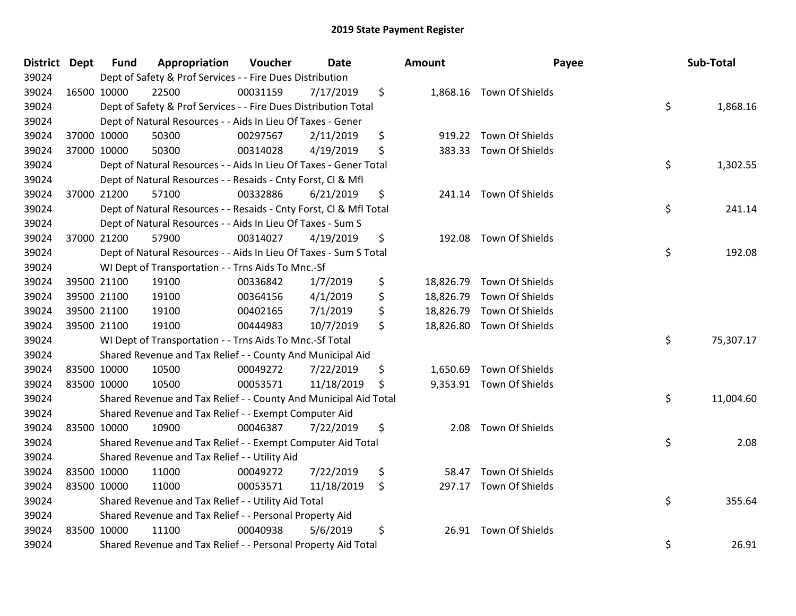| District Dept |             | <b>Fund</b> | Appropriation                                                      | Voucher  | Date       |    | Amount | Payee                     |    | Sub-Total |  |
|---------------|-------------|-------------|--------------------------------------------------------------------|----------|------------|----|--------|---------------------------|----|-----------|--|
| 39024         |             |             | Dept of Safety & Prof Services - - Fire Dues Distribution          |          |            |    |        |                           |    |           |  |
| 39024         |             | 16500 10000 | 22500                                                              | 00031159 | 7/17/2019  | \$ |        | 1,868.16 Town Of Shields  |    |           |  |
| 39024         |             |             | Dept of Safety & Prof Services - - Fire Dues Distribution Total    |          |            |    |        |                           | \$ | 1,868.16  |  |
| 39024         |             |             | Dept of Natural Resources - - Aids In Lieu Of Taxes - Gener        |          |            |    |        |                           |    |           |  |
| 39024         |             | 37000 10000 | 50300                                                              | 00297567 | 2/11/2019  | \$ | 919.22 | Town Of Shields           |    |           |  |
| 39024         |             | 37000 10000 | 50300                                                              | 00314028 | 4/19/2019  | \$ | 383.33 | Town Of Shields           |    |           |  |
| 39024         |             |             | Dept of Natural Resources - - Aids In Lieu Of Taxes - Gener Total  |          |            |    |        |                           | \$ | 1,302.55  |  |
| 39024         |             |             | Dept of Natural Resources - - Resaids - Cnty Forst, Cl & Mfl       |          |            |    |        |                           |    |           |  |
| 39024         |             | 37000 21200 | 57100                                                              | 00332886 | 6/21/2019  | \$ |        | 241.14 Town Of Shields    |    |           |  |
| 39024         |             |             | Dept of Natural Resources - - Resaids - Cnty Forst, CI & Mfl Total |          |            |    |        |                           | \$ | 241.14    |  |
| 39024         |             |             | Dept of Natural Resources - - Aids In Lieu Of Taxes - Sum S        |          |            |    |        |                           |    |           |  |
| 39024         |             | 37000 21200 | 57900                                                              | 00314027 | 4/19/2019  | \$ |        | 192.08 Town Of Shields    |    |           |  |
| 39024         |             |             | Dept of Natural Resources - - Aids In Lieu Of Taxes - Sum S Total  |          |            |    |        |                           | \$ | 192.08    |  |
| 39024         |             |             | WI Dept of Transportation - - Trns Aids To Mnc.-Sf                 |          |            |    |        |                           |    |           |  |
| 39024         |             | 39500 21100 | 19100                                                              | 00336842 | 1/7/2019   | \$ |        | 18,826.79 Town Of Shields |    |           |  |
| 39024         |             | 39500 21100 | 19100                                                              | 00364156 | 4/1/2019   | \$ |        | 18,826.79 Town Of Shields |    |           |  |
| 39024         |             | 39500 21100 | 19100                                                              | 00402165 | 7/1/2019   | \$ |        | 18,826.79 Town Of Shields |    |           |  |
| 39024         |             | 39500 21100 | 19100                                                              | 00444983 | 10/7/2019  | \$ |        | 18,826.80 Town Of Shields |    |           |  |
| 39024         |             |             | WI Dept of Transportation - - Trns Aids To Mnc.-Sf Total           |          |            |    |        |                           | \$ | 75,307.17 |  |
| 39024         |             |             | Shared Revenue and Tax Relief - - County And Municipal Aid         |          |            |    |        |                           |    |           |  |
| 39024         |             | 83500 10000 | 10500                                                              | 00049272 | 7/22/2019  | \$ |        | 1,650.69 Town Of Shields  |    |           |  |
| 39024         |             | 83500 10000 | 10500                                                              | 00053571 | 11/18/2019 | \$ |        | 9,353.91 Town Of Shields  |    |           |  |
| 39024         |             |             | Shared Revenue and Tax Relief - - County And Municipal Aid Total   |          |            |    |        |                           | \$ | 11,004.60 |  |
| 39024         |             |             | Shared Revenue and Tax Relief - - Exempt Computer Aid              |          |            |    |        |                           |    |           |  |
| 39024         |             | 83500 10000 | 10900                                                              | 00046387 | 7/22/2019  | \$ | 2.08   | Town Of Shields           |    |           |  |
| 39024         |             |             | Shared Revenue and Tax Relief - - Exempt Computer Aid Total        |          |            |    |        |                           | \$ | 2.08      |  |
| 39024         |             |             | Shared Revenue and Tax Relief - - Utility Aid                      |          |            |    |        |                           |    |           |  |
| 39024         |             | 83500 10000 | 11000                                                              | 00049272 | 7/22/2019  | \$ | 58.47  | Town Of Shields           |    |           |  |
| 39024         |             | 83500 10000 | 11000                                                              | 00053571 | 11/18/2019 | \$ |        | 297.17 Town Of Shields    |    |           |  |
| 39024         |             |             | Shared Revenue and Tax Relief - - Utility Aid Total                |          |            |    |        |                           | \$ | 355.64    |  |
| 39024         |             |             | Shared Revenue and Tax Relief - - Personal Property Aid            |          |            |    |        |                           |    |           |  |
| 39024         | 83500 10000 |             | 11100                                                              | 00040938 | 5/6/2019   | \$ |        | 26.91 Town Of Shields     |    |           |  |
| 39024         |             |             | Shared Revenue and Tax Relief - - Personal Property Aid Total      |          |            |    |        |                           | \$ | 26.91     |  |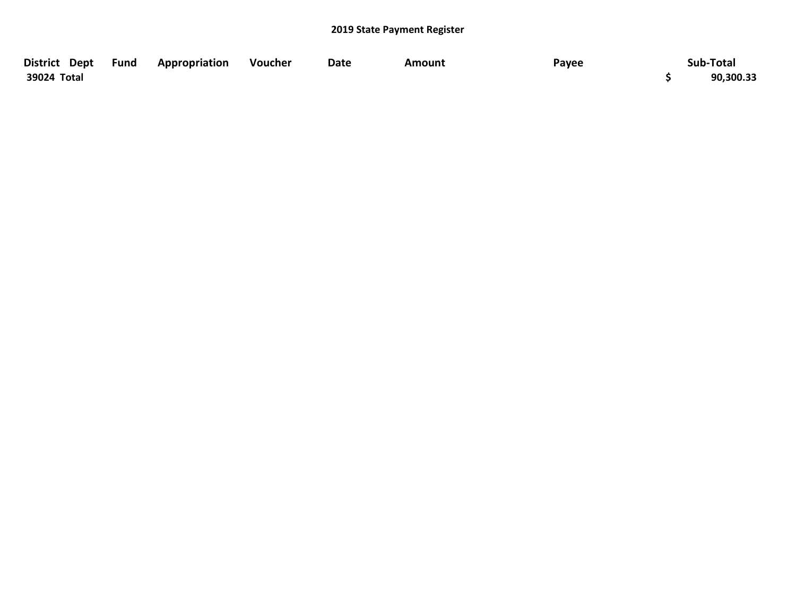| District Dept Fund | Appropriation | Voucher | Date | Amount | Payee | Sub-Total |
|--------------------|---------------|---------|------|--------|-------|-----------|
| 39024 Total        |               |         |      |        |       | 90,300.33 |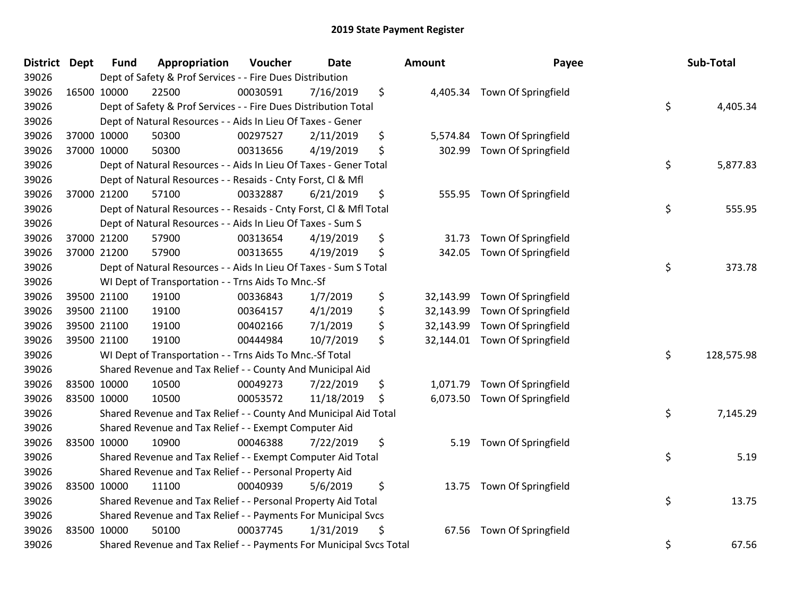| <b>District Dept</b> | <b>Fund</b> | Appropriation                                                       | Voucher  | <b>Date</b> | Amount          | Payee                         | Sub-Total        |
|----------------------|-------------|---------------------------------------------------------------------|----------|-------------|-----------------|-------------------------------|------------------|
| 39026                |             | Dept of Safety & Prof Services - - Fire Dues Distribution           |          |             |                 |                               |                  |
| 39026                | 16500 10000 | 22500                                                               | 00030591 | 7/16/2019   | \$              | 4,405.34 Town Of Springfield  |                  |
| 39026                |             | Dept of Safety & Prof Services - - Fire Dues Distribution Total     |          |             |                 |                               | \$<br>4,405.34   |
| 39026                |             | Dept of Natural Resources - - Aids In Lieu Of Taxes - Gener         |          |             |                 |                               |                  |
| 39026                | 37000 10000 | 50300                                                               | 00297527 | 2/11/2019   | \$<br>5,574.84  | Town Of Springfield           |                  |
| 39026                | 37000 10000 | 50300                                                               | 00313656 | 4/19/2019   | \$<br>302.99    | Town Of Springfield           |                  |
| 39026                |             | Dept of Natural Resources - - Aids In Lieu Of Taxes - Gener Total   |          |             |                 |                               | \$<br>5,877.83   |
| 39026                |             | Dept of Natural Resources - - Resaids - Cnty Forst, Cl & Mfl        |          |             |                 |                               |                  |
| 39026                | 37000 21200 | 57100                                                               | 00332887 | 6/21/2019   | \$              | 555.95 Town Of Springfield    |                  |
| 39026                |             | Dept of Natural Resources - - Resaids - Cnty Forst, Cl & Mfl Total  |          |             |                 |                               | \$<br>555.95     |
| 39026                |             | Dept of Natural Resources - - Aids In Lieu Of Taxes - Sum S         |          |             |                 |                               |                  |
| 39026                | 37000 21200 | 57900                                                               | 00313654 | 4/19/2019   | \$<br>31.73     | Town Of Springfield           |                  |
| 39026                | 37000 21200 | 57900                                                               | 00313655 | 4/19/2019   | \$<br>342.05    | Town Of Springfield           |                  |
| 39026                |             | Dept of Natural Resources - - Aids In Lieu Of Taxes - Sum S Total   |          |             |                 |                               | \$<br>373.78     |
| 39026                |             | WI Dept of Transportation - - Trns Aids To Mnc.-Sf                  |          |             |                 |                               |                  |
| 39026                | 39500 21100 | 19100                                                               | 00336843 | 1/7/2019    | \$<br>32,143.99 | Town Of Springfield           |                  |
| 39026                | 39500 21100 | 19100                                                               | 00364157 | 4/1/2019    | \$<br>32,143.99 | Town Of Springfield           |                  |
| 39026                | 39500 21100 | 19100                                                               | 00402166 | 7/1/2019    | \$<br>32,143.99 | Town Of Springfield           |                  |
| 39026                | 39500 21100 | 19100                                                               | 00444984 | 10/7/2019   | \$              | 32,144.01 Town Of Springfield |                  |
| 39026                |             | WI Dept of Transportation - - Trns Aids To Mnc.-Sf Total            |          |             |                 |                               | \$<br>128,575.98 |
| 39026                |             | Shared Revenue and Tax Relief - - County And Municipal Aid          |          |             |                 |                               |                  |
| 39026                | 83500 10000 | 10500                                                               | 00049273 | 7/22/2019   | \$<br>1,071.79  | Town Of Springfield           |                  |
| 39026                | 83500 10000 | 10500                                                               | 00053572 | 11/18/2019  | \$<br>6,073.50  | Town Of Springfield           |                  |
| 39026                |             | Shared Revenue and Tax Relief - - County And Municipal Aid Total    |          |             |                 |                               | \$<br>7,145.29   |
| 39026                |             | Shared Revenue and Tax Relief - - Exempt Computer Aid               |          |             |                 |                               |                  |
| 39026                | 83500 10000 | 10900                                                               | 00046388 | 7/22/2019   | \$<br>5.19      | Town Of Springfield           |                  |
| 39026                |             | Shared Revenue and Tax Relief - - Exempt Computer Aid Total         |          |             |                 |                               | \$<br>5.19       |
| 39026                |             | Shared Revenue and Tax Relief - - Personal Property Aid             |          |             |                 |                               |                  |
| 39026                | 83500 10000 | 11100                                                               | 00040939 | 5/6/2019    | \$              | 13.75 Town Of Springfield     |                  |
| 39026                |             | Shared Revenue and Tax Relief - - Personal Property Aid Total       |          |             |                 |                               | \$<br>13.75      |
| 39026                |             | Shared Revenue and Tax Relief - - Payments For Municipal Svcs       |          |             |                 |                               |                  |
| 39026                | 83500 10000 | 50100                                                               | 00037745 | 1/31/2019   | \$              | 67.56 Town Of Springfield     |                  |
| 39026                |             | Shared Revenue and Tax Relief - - Payments For Municipal Svcs Total |          |             |                 |                               | \$<br>67.56      |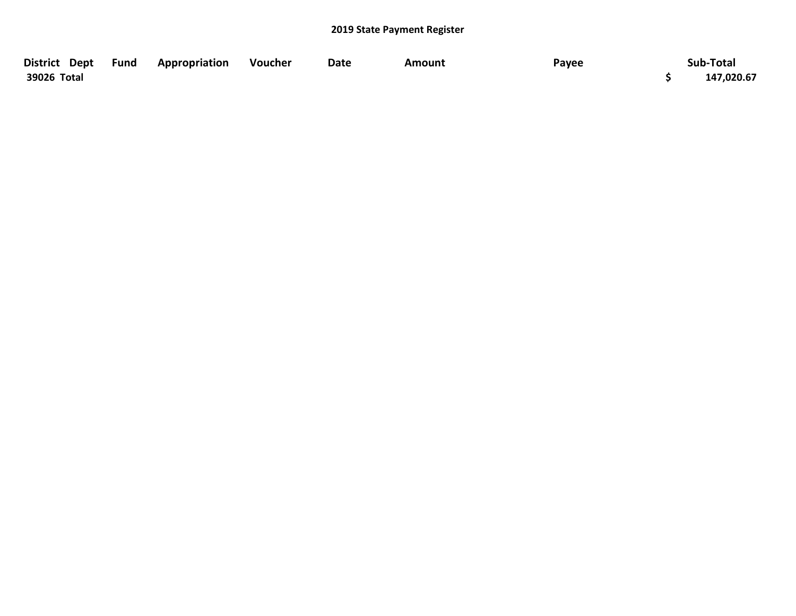| District Dept Fund | Appropriation | Voucher | Date | Amount | Payee | Sub-Total  |
|--------------------|---------------|---------|------|--------|-------|------------|
| 39026 Total        |               |         |      |        |       | 147,020.67 |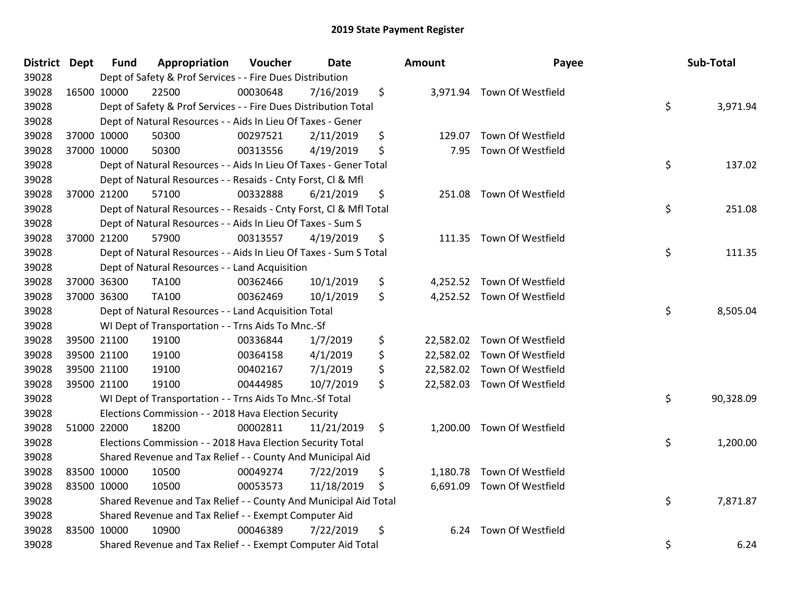| <b>District</b> | <b>Dept</b> | <b>Fund</b> | Appropriation                                                      | Voucher  | Date       | Amount          | Payee                       | Sub-Total       |
|-----------------|-------------|-------------|--------------------------------------------------------------------|----------|------------|-----------------|-----------------------------|-----------------|
| 39028           |             |             | Dept of Safety & Prof Services - - Fire Dues Distribution          |          |            |                 |                             |                 |
| 39028           |             | 16500 10000 | 22500                                                              | 00030648 | 7/16/2019  | \$              | 3,971.94 Town Of Westfield  |                 |
| 39028           |             |             | Dept of Safety & Prof Services - - Fire Dues Distribution Total    |          |            |                 |                             | \$<br>3,971.94  |
| 39028           |             |             | Dept of Natural Resources - - Aids In Lieu Of Taxes - Gener        |          |            |                 |                             |                 |
| 39028           |             | 37000 10000 | 50300                                                              | 00297521 | 2/11/2019  | \$<br>129.07    | Town Of Westfield           |                 |
| 39028           |             | 37000 10000 | 50300                                                              | 00313556 | 4/19/2019  | \$<br>7.95      | Town Of Westfield           |                 |
| 39028           |             |             | Dept of Natural Resources - - Aids In Lieu Of Taxes - Gener Total  |          |            |                 |                             | \$<br>137.02    |
| 39028           |             |             | Dept of Natural Resources - - Resaids - Cnty Forst, Cl & Mfl       |          |            |                 |                             |                 |
| 39028           |             | 37000 21200 | 57100                                                              | 00332888 | 6/21/2019  | \$<br>251.08    | Town Of Westfield           |                 |
| 39028           |             |             | Dept of Natural Resources - - Resaids - Cnty Forst, CI & Mfl Total |          |            |                 |                             | \$<br>251.08    |
| 39028           |             |             | Dept of Natural Resources - - Aids In Lieu Of Taxes - Sum S        |          |            |                 |                             |                 |
| 39028           |             | 37000 21200 | 57900                                                              | 00313557 | 4/19/2019  | \$              | 111.35 Town Of Westfield    |                 |
| 39028           |             |             | Dept of Natural Resources - - Aids In Lieu Of Taxes - Sum S Total  |          |            |                 |                             | \$<br>111.35    |
| 39028           |             |             | Dept of Natural Resources - - Land Acquisition                     |          |            |                 |                             |                 |
| 39028           |             | 37000 36300 | TA100                                                              | 00362466 | 10/1/2019  | \$<br>4,252.52  | Town Of Westfield           |                 |
| 39028           |             | 37000 36300 | TA100                                                              | 00362469 | 10/1/2019  | \$              | 4,252.52 Town Of Westfield  |                 |
| 39028           |             |             | Dept of Natural Resources - - Land Acquisition Total               |          |            |                 |                             | \$<br>8,505.04  |
| 39028           |             |             | WI Dept of Transportation - - Trns Aids To Mnc.-Sf                 |          |            |                 |                             |                 |
| 39028           |             | 39500 21100 | 19100                                                              | 00336844 | 1/7/2019   | \$              | 22,582.02 Town Of Westfield |                 |
| 39028           |             | 39500 21100 | 19100                                                              | 00364158 | 4/1/2019   | \$<br>22,582.02 | Town Of Westfield           |                 |
| 39028           |             | 39500 21100 | 19100                                                              | 00402167 | 7/1/2019   | \$              | 22,582.02 Town Of Westfield |                 |
| 39028           |             | 39500 21100 | 19100                                                              | 00444985 | 10/7/2019  | \$              | 22,582.03 Town Of Westfield |                 |
| 39028           |             |             | WI Dept of Transportation - - Trns Aids To Mnc.-Sf Total           |          |            |                 |                             | \$<br>90,328.09 |
| 39028           |             |             | Elections Commission - - 2018 Hava Election Security               |          |            |                 |                             |                 |
| 39028           |             | 51000 22000 | 18200                                                              | 00002811 | 11/21/2019 | \$<br>1,200.00  | Town Of Westfield           |                 |
| 39028           |             |             | Elections Commission - - 2018 Hava Election Security Total         |          |            |                 |                             | \$<br>1,200.00  |
| 39028           |             |             | Shared Revenue and Tax Relief - - County And Municipal Aid         |          |            |                 |                             |                 |
| 39028           |             | 83500 10000 | 10500                                                              | 00049274 | 7/22/2019  | \$<br>1,180.78  | Town Of Westfield           |                 |
| 39028           | 83500 10000 |             | 10500                                                              | 00053573 | 11/18/2019 | \$              | 6,691.09 Town Of Westfield  |                 |
| 39028           |             |             | Shared Revenue and Tax Relief - - County And Municipal Aid Total   |          |            |                 |                             | \$<br>7,871.87  |
| 39028           |             |             | Shared Revenue and Tax Relief - - Exempt Computer Aid              |          |            |                 |                             |                 |
| 39028           |             | 83500 10000 | 10900                                                              | 00046389 | 7/22/2019  | \$<br>6.24      | Town Of Westfield           |                 |
| 39028           |             |             | Shared Revenue and Tax Relief - - Exempt Computer Aid Total        |          |            |                 |                             | \$<br>6.24      |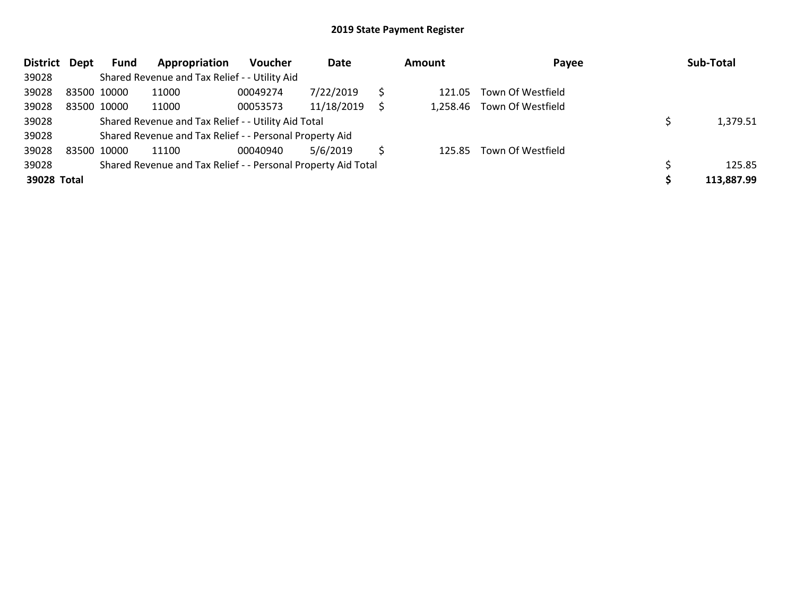| District Dept | Fund        | Appropriation                                                 | Voucher  | Date       |    | Amount | Payee                      | Sub-Total  |
|---------------|-------------|---------------------------------------------------------------|----------|------------|----|--------|----------------------------|------------|
| 39028         |             | Shared Revenue and Tax Relief - - Utility Aid                 |          |            |    |        |                            |            |
| 39028         | 83500 10000 | 11000                                                         | 00049274 | 7/22/2019  |    |        | 121.05 Town Of Westfield   |            |
| 39028         | 83500 10000 | 11000                                                         | 00053573 | 11/18/2019 |    |        | 1,258.46 Town Of Westfield |            |
| 39028         |             | Shared Revenue and Tax Relief - - Utility Aid Total           |          |            |    |        |                            | 1,379.51   |
| 39028         |             | Shared Revenue and Tax Relief - - Personal Property Aid       |          |            |    |        |                            |            |
| 39028         | 83500 10000 | 11100                                                         | 00040940 | 5/6/2019   | S. |        | 125.85 Town Of Westfield   |            |
| 39028         |             | Shared Revenue and Tax Relief - - Personal Property Aid Total |          |            |    |        |                            | 125.85     |
| 39028 Total   |             |                                                               |          |            |    |        |                            | 113,887.99 |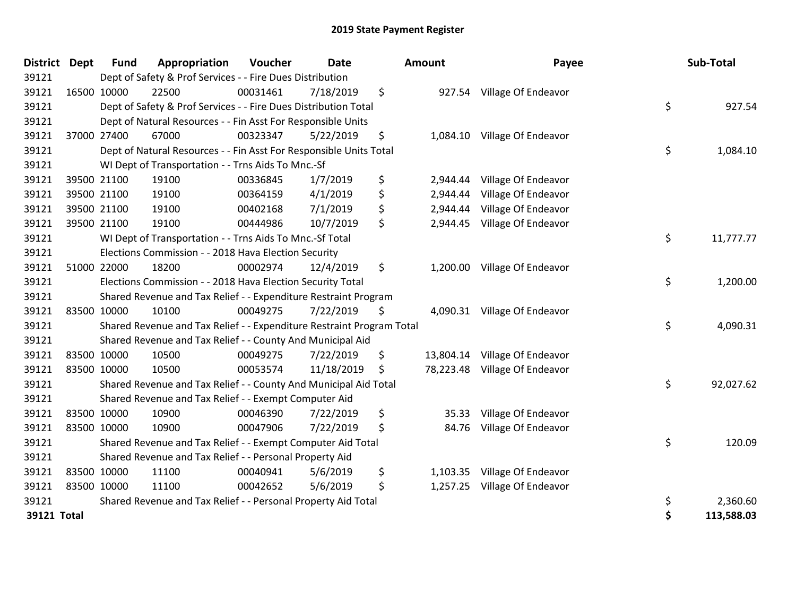| District Dept |             | <b>Fund</b> | Appropriation                                                         | Voucher  | <b>Date</b> | Amount         | Payee                         | Sub-Total        |
|---------------|-------------|-------------|-----------------------------------------------------------------------|----------|-------------|----------------|-------------------------------|------------------|
| 39121         |             |             | Dept of Safety & Prof Services - - Fire Dues Distribution             |          |             |                |                               |                  |
| 39121         |             | 16500 10000 | 22500                                                                 | 00031461 | 7/18/2019   | \$             | 927.54 Village Of Endeavor    |                  |
| 39121         |             |             | Dept of Safety & Prof Services - - Fire Dues Distribution Total       |          |             |                |                               | \$<br>927.54     |
| 39121         |             |             | Dept of Natural Resources - - Fin Asst For Responsible Units          |          |             |                |                               |                  |
| 39121         |             | 37000 27400 | 67000                                                                 | 00323347 | 5/22/2019   | \$             | 1,084.10 Village Of Endeavor  |                  |
| 39121         |             |             | Dept of Natural Resources - - Fin Asst For Responsible Units Total    |          |             |                |                               | \$<br>1,084.10   |
| 39121         |             |             | WI Dept of Transportation - - Trns Aids To Mnc.-Sf                    |          |             |                |                               |                  |
| 39121         |             | 39500 21100 | 19100                                                                 | 00336845 | 1/7/2019    | \$<br>2,944.44 | Village Of Endeavor           |                  |
| 39121         |             | 39500 21100 | 19100                                                                 | 00364159 | 4/1/2019    | \$<br>2,944.44 | Village Of Endeavor           |                  |
| 39121         |             | 39500 21100 | 19100                                                                 | 00402168 | 7/1/2019    | \$<br>2,944.44 | Village Of Endeavor           |                  |
| 39121         |             | 39500 21100 | 19100                                                                 | 00444986 | 10/7/2019   | \$             | 2,944.45 Village Of Endeavor  |                  |
| 39121         |             |             | WI Dept of Transportation - - Trns Aids To Mnc.-Sf Total              |          |             |                |                               | \$<br>11,777.77  |
| 39121         |             |             | Elections Commission - - 2018 Hava Election Security                  |          |             |                |                               |                  |
| 39121         |             | 51000 22000 | 18200                                                                 | 00002974 | 12/4/2019   | \$             | 1,200.00 Village Of Endeavor  |                  |
| 39121         |             |             | Elections Commission - - 2018 Hava Election Security Total            |          |             |                |                               | \$<br>1,200.00   |
| 39121         |             |             | Shared Revenue and Tax Relief - - Expenditure Restraint Program       |          |             |                |                               |                  |
| 39121         |             | 83500 10000 | 10100                                                                 | 00049275 | 7/22/2019   | \$             | 4,090.31 Village Of Endeavor  |                  |
| 39121         |             |             | Shared Revenue and Tax Relief - - Expenditure Restraint Program Total |          |             |                |                               | \$<br>4,090.31   |
| 39121         |             |             | Shared Revenue and Tax Relief - - County And Municipal Aid            |          |             |                |                               |                  |
| 39121         |             | 83500 10000 | 10500                                                                 | 00049275 | 7/22/2019   | \$             | 13,804.14 Village Of Endeavor |                  |
| 39121         |             | 83500 10000 | 10500                                                                 | 00053574 | 11/18/2019  | \$             | 78,223.48 Village Of Endeavor |                  |
| 39121         |             |             | Shared Revenue and Tax Relief - - County And Municipal Aid Total      |          |             |                |                               | \$<br>92,027.62  |
| 39121         |             |             | Shared Revenue and Tax Relief - - Exempt Computer Aid                 |          |             |                |                               |                  |
| 39121         |             | 83500 10000 | 10900                                                                 | 00046390 | 7/22/2019   | \$<br>35.33    | Village Of Endeavor           |                  |
| 39121         | 83500 10000 |             | 10900                                                                 | 00047906 | 7/22/2019   | \$<br>84.76    | Village Of Endeavor           |                  |
| 39121         |             |             | Shared Revenue and Tax Relief - - Exempt Computer Aid Total           |          |             |                |                               | \$<br>120.09     |
| 39121         |             |             | Shared Revenue and Tax Relief - - Personal Property Aid               |          |             |                |                               |                  |
| 39121         | 83500 10000 |             | 11100                                                                 | 00040941 | 5/6/2019    | \$             | 1,103.35 Village Of Endeavor  |                  |
| 39121         |             | 83500 10000 | 11100                                                                 | 00042652 | 5/6/2019    | \$             | 1,257.25 Village Of Endeavor  |                  |
| 39121         |             |             | Shared Revenue and Tax Relief - - Personal Property Aid Total         |          |             |                |                               | \$<br>2,360.60   |
| 39121 Total   |             |             |                                                                       |          |             |                |                               | \$<br>113,588.03 |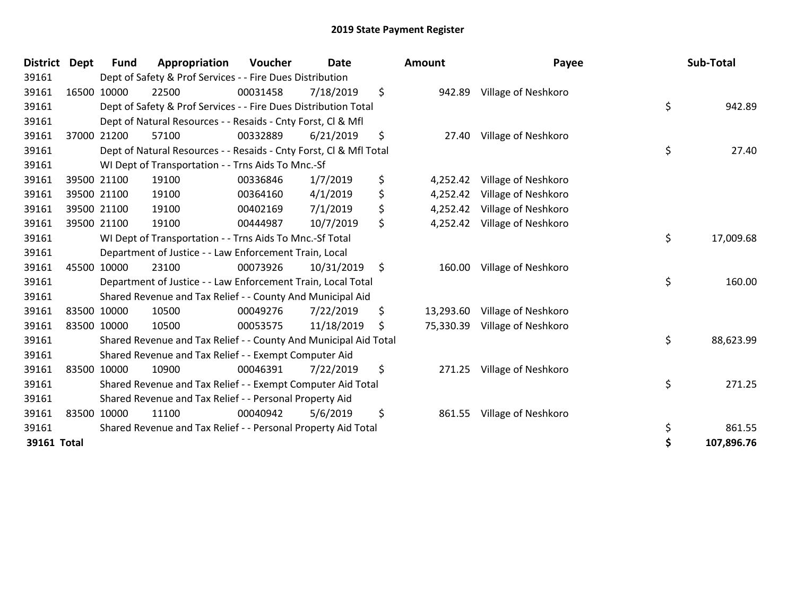| <b>District</b> | <b>Dept</b> | <b>Fund</b> | Appropriation                                                      | Voucher  | <b>Date</b> | <b>Amount</b>   | Payee               | Sub-Total        |
|-----------------|-------------|-------------|--------------------------------------------------------------------|----------|-------------|-----------------|---------------------|------------------|
| 39161           |             |             | Dept of Safety & Prof Services - - Fire Dues Distribution          |          |             |                 |                     |                  |
| 39161           |             | 16500 10000 | 22500                                                              | 00031458 | 7/18/2019   | \$<br>942.89    | Village of Neshkoro |                  |
| 39161           |             |             | Dept of Safety & Prof Services - - Fire Dues Distribution Total    |          |             |                 |                     | \$<br>942.89     |
| 39161           |             |             | Dept of Natural Resources - - Resaids - Cnty Forst, CI & Mfl       |          |             |                 |                     |                  |
| 39161           |             | 37000 21200 | 57100                                                              | 00332889 | 6/21/2019   | \$<br>27.40     | Village of Neshkoro |                  |
| 39161           |             |             | Dept of Natural Resources - - Resaids - Cnty Forst, Cl & Mfl Total |          |             |                 |                     | \$<br>27.40      |
| 39161           |             |             | WI Dept of Transportation - - Trns Aids To Mnc.-Sf                 |          |             |                 |                     |                  |
| 39161           |             | 39500 21100 | 19100                                                              | 00336846 | 1/7/2019    | \$<br>4,252.42  | Village of Neshkoro |                  |
| 39161           |             | 39500 21100 | 19100                                                              | 00364160 | 4/1/2019    | \$<br>4,252.42  | Village of Neshkoro |                  |
| 39161           |             | 39500 21100 | 19100                                                              | 00402169 | 7/1/2019    | \$<br>4,252.42  | Village of Neshkoro |                  |
| 39161           |             | 39500 21100 | 19100                                                              | 00444987 | 10/7/2019   | \$<br>4,252.42  | Village of Neshkoro |                  |
| 39161           |             |             | WI Dept of Transportation - - Trns Aids To Mnc.-Sf Total           |          |             |                 |                     | \$<br>17,009.68  |
| 39161           |             |             | Department of Justice - - Law Enforcement Train, Local             |          |             |                 |                     |                  |
| 39161           |             | 45500 10000 | 23100                                                              | 00073926 | 10/31/2019  | \$<br>160.00    | Village of Neshkoro |                  |
| 39161           |             |             | Department of Justice - - Law Enforcement Train, Local Total       |          |             |                 |                     | \$<br>160.00     |
| 39161           |             |             | Shared Revenue and Tax Relief - - County And Municipal Aid         |          |             |                 |                     |                  |
| 39161           |             | 83500 10000 | 10500                                                              | 00049276 | 7/22/2019   | \$<br>13,293.60 | Village of Neshkoro |                  |
| 39161           |             | 83500 10000 | 10500                                                              | 00053575 | 11/18/2019  | \$<br>75,330.39 | Village of Neshkoro |                  |
| 39161           |             |             | Shared Revenue and Tax Relief - - County And Municipal Aid Total   |          |             |                 |                     | \$<br>88,623.99  |
| 39161           |             |             | Shared Revenue and Tax Relief - - Exempt Computer Aid              |          |             |                 |                     |                  |
| 39161           |             | 83500 10000 | 10900                                                              | 00046391 | 7/22/2019   | \$<br>271.25    | Village of Neshkoro |                  |
| 39161           |             |             | Shared Revenue and Tax Relief - - Exempt Computer Aid Total        |          |             |                 |                     | \$<br>271.25     |
| 39161           |             |             | Shared Revenue and Tax Relief - - Personal Property Aid            |          |             |                 |                     |                  |
| 39161           |             | 83500 10000 | 11100                                                              | 00040942 | 5/6/2019    | \$<br>861.55    | Village of Neshkoro |                  |
| 39161           |             |             | Shared Revenue and Tax Relief - - Personal Property Aid Total      |          |             |                 |                     | \$<br>861.55     |
| 39161 Total     |             |             |                                                                    |          |             |                 |                     | \$<br>107,896.76 |

| ount     | Payee                         | Sub-Total        |
|----------|-------------------------------|------------------|
|          | 942.89 Village of Neshkoro    |                  |
|          |                               | \$<br>942.89     |
| 27.40    | Village of Neshkoro           |                  |
|          |                               | \$<br>27.40      |
|          | 4,252.42 Village of Neshkoro  |                  |
|          | 4,252.42 Village of Neshkoro  |                  |
|          | 4,252.42 Village of Neshkoro  |                  |
| 4,252.42 | Village of Neshkoro           |                  |
|          |                               | \$<br>17,009.68  |
| 160.00   | Village of Neshkoro           |                  |
|          |                               | \$<br>160.00     |
|          | 13,293.60 Village of Neshkoro |                  |
|          | 75,330.39 Village of Neshkoro |                  |
|          |                               | \$<br>88,623.99  |
| 271.25   | Village of Neshkoro           |                  |
|          |                               | \$<br>271.25     |
| 861.55   | Village of Neshkoro           |                  |
|          |                               | \$<br>861.55     |
|          |                               | \$<br>107,896.76 |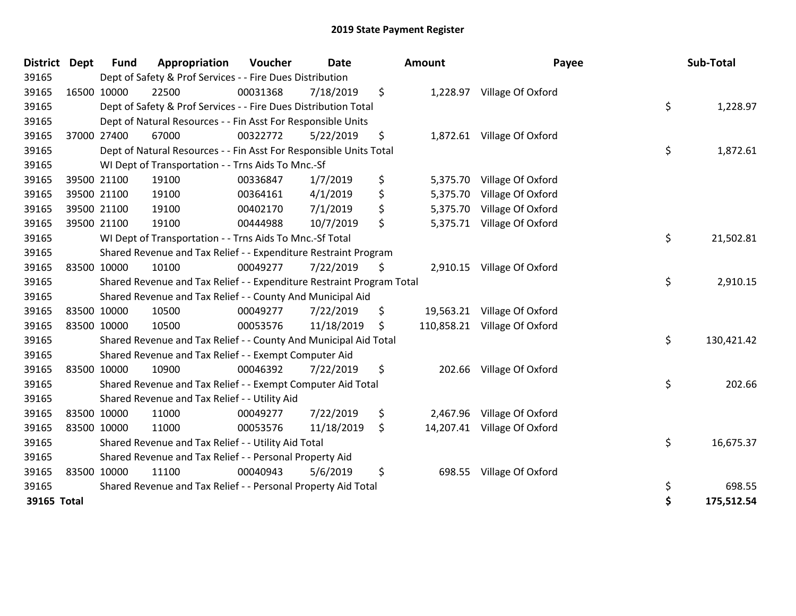| <b>District</b> | <b>Dept</b> | <b>Fund</b> | Appropriation                                                         | Voucher  | <b>Date</b> | <b>Amount</b>    | Payee                       | Sub-Total        |
|-----------------|-------------|-------------|-----------------------------------------------------------------------|----------|-------------|------------------|-----------------------------|------------------|
| 39165           |             |             | Dept of Safety & Prof Services - - Fire Dues Distribution             |          |             |                  |                             |                  |
| 39165           | 16500 10000 |             | 22500                                                                 | 00031368 | 7/18/2019   | \$<br>1,228.97   | Village Of Oxford           |                  |
| 39165           |             |             | Dept of Safety & Prof Services - - Fire Dues Distribution Total       |          |             |                  |                             | \$<br>1,228.97   |
| 39165           |             |             | Dept of Natural Resources - - Fin Asst For Responsible Units          |          |             |                  |                             |                  |
| 39165           |             | 37000 27400 | 67000                                                                 | 00322772 | 5/22/2019   | \$               | 1,872.61 Village Of Oxford  |                  |
| 39165           |             |             | Dept of Natural Resources - - Fin Asst For Responsible Units Total    |          |             |                  |                             | \$<br>1,872.61   |
| 39165           |             |             | WI Dept of Transportation - - Trns Aids To Mnc.-Sf                    |          |             |                  |                             |                  |
| 39165           |             | 39500 21100 | 19100                                                                 | 00336847 | 1/7/2019    | \$<br>5,375.70   | Village Of Oxford           |                  |
| 39165           | 39500 21100 |             | 19100                                                                 | 00364161 | 4/1/2019    | \$<br>5,375.70   | Village Of Oxford           |                  |
| 39165           |             | 39500 21100 | 19100                                                                 | 00402170 | 7/1/2019    | \$<br>5,375.70   | Village Of Oxford           |                  |
| 39165           |             | 39500 21100 | 19100                                                                 | 00444988 | 10/7/2019   | \$<br>5,375.71   | Village Of Oxford           |                  |
| 39165           |             |             | WI Dept of Transportation - - Trns Aids To Mnc.-Sf Total              |          |             |                  |                             | \$<br>21,502.81  |
| 39165           |             |             | Shared Revenue and Tax Relief - - Expenditure Restraint Program       |          |             |                  |                             |                  |
| 39165           |             | 83500 10000 | 10100                                                                 | 00049277 | 7/22/2019   | \$               | 2,910.15 Village Of Oxford  |                  |
| 39165           |             |             | Shared Revenue and Tax Relief - - Expenditure Restraint Program Total |          |             |                  |                             | \$<br>2,910.15   |
| 39165           |             |             | Shared Revenue and Tax Relief - - County And Municipal Aid            |          |             |                  |                             |                  |
| 39165           |             | 83500 10000 | 10500                                                                 | 00049277 | 7/22/2019   | \$<br>19,563.21  | Village Of Oxford           |                  |
| 39165           | 83500 10000 |             | 10500                                                                 | 00053576 | 11/18/2019  | \$<br>110,858.21 | Village Of Oxford           |                  |
| 39165           |             |             | Shared Revenue and Tax Relief - - County And Municipal Aid Total      |          |             |                  |                             | \$<br>130,421.42 |
| 39165           |             |             | Shared Revenue and Tax Relief - - Exempt Computer Aid                 |          |             |                  |                             |                  |
| 39165           | 83500 10000 |             | 10900                                                                 | 00046392 | 7/22/2019   | \$<br>202.66     | Village Of Oxford           |                  |
| 39165           |             |             | Shared Revenue and Tax Relief - - Exempt Computer Aid Total           |          |             |                  |                             | \$<br>202.66     |
| 39165           |             |             | Shared Revenue and Tax Relief - - Utility Aid                         |          |             |                  |                             |                  |
| 39165           |             | 83500 10000 | 11000                                                                 | 00049277 | 7/22/2019   | \$<br>2,467.96   | Village Of Oxford           |                  |
| 39165           | 83500 10000 |             | 11000                                                                 | 00053576 | 11/18/2019  | \$               | 14,207.41 Village Of Oxford |                  |
| 39165           |             |             | Shared Revenue and Tax Relief - - Utility Aid Total                   |          |             |                  |                             | \$<br>16,675.37  |
| 39165           |             |             | Shared Revenue and Tax Relief - - Personal Property Aid               |          |             |                  |                             |                  |
| 39165           | 83500 10000 |             | 11100                                                                 | 00040943 | 5/6/2019    | \$<br>698.55     | Village Of Oxford           |                  |
| 39165           |             |             | Shared Revenue and Tax Relief - - Personal Property Aid Total         |          |             |                  |                             | \$<br>698.55     |
| 39165 Total     |             |             |                                                                       |          |             |                  |                             | \$<br>175,512.54 |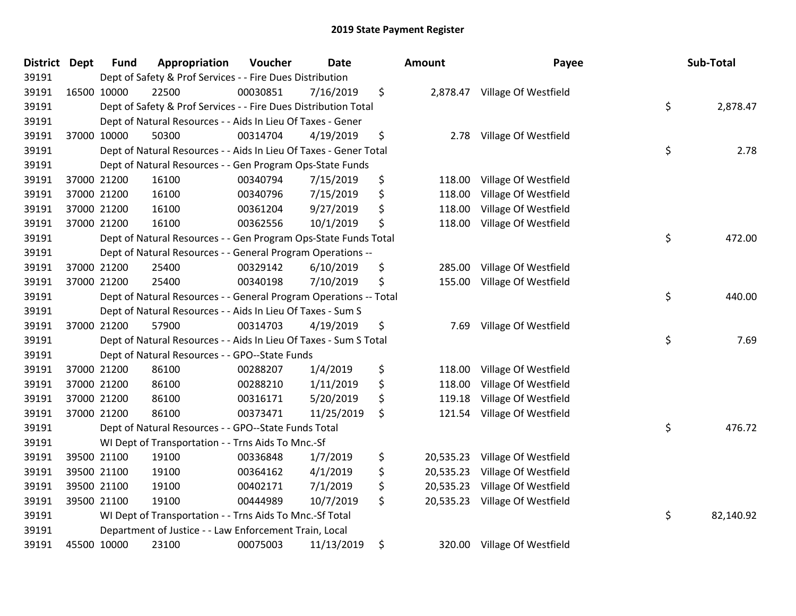| <b>District Dept</b> | <b>Fund</b> | Appropriation                                                     | Voucher  | <b>Date</b> | Amount          | Payee                         | Sub-Total       |
|----------------------|-------------|-------------------------------------------------------------------|----------|-------------|-----------------|-------------------------------|-----------------|
| 39191                |             | Dept of Safety & Prof Services - - Fire Dues Distribution         |          |             |                 |                               |                 |
| 39191                | 16500 10000 | 22500                                                             | 00030851 | 7/16/2019   | \$              | 2,878.47 Village Of Westfield |                 |
| 39191                |             | Dept of Safety & Prof Services - - Fire Dues Distribution Total   |          |             |                 |                               | \$<br>2,878.47  |
| 39191                |             | Dept of Natural Resources - - Aids In Lieu Of Taxes - Gener       |          |             |                 |                               |                 |
| 39191                | 37000 10000 | 50300                                                             | 00314704 | 4/19/2019   | \$<br>2.78      | Village Of Westfield          |                 |
| 39191                |             | Dept of Natural Resources - - Aids In Lieu Of Taxes - Gener Total |          |             |                 |                               | \$<br>2.78      |
| 39191                |             | Dept of Natural Resources - - Gen Program Ops-State Funds         |          |             |                 |                               |                 |
| 39191                | 37000 21200 | 16100                                                             | 00340794 | 7/15/2019   | \$<br>118.00    | Village Of Westfield          |                 |
| 39191                | 37000 21200 | 16100                                                             | 00340796 | 7/15/2019   | \$<br>118.00    | Village Of Westfield          |                 |
| 39191                | 37000 21200 | 16100                                                             | 00361204 | 9/27/2019   | \$<br>118.00    | Village Of Westfield          |                 |
| 39191                | 37000 21200 | 16100                                                             | 00362556 | 10/1/2019   | \$<br>118.00    | Village Of Westfield          |                 |
| 39191                |             | Dept of Natural Resources - - Gen Program Ops-State Funds Total   |          |             |                 |                               | \$<br>472.00    |
| 39191                |             | Dept of Natural Resources - - General Program Operations --       |          |             |                 |                               |                 |
| 39191                | 37000 21200 | 25400                                                             | 00329142 | 6/10/2019   | \$<br>285.00    | Village Of Westfield          |                 |
| 39191                | 37000 21200 | 25400                                                             | 00340198 | 7/10/2019   | \$<br>155.00    | Village Of Westfield          |                 |
| 39191                |             | Dept of Natural Resources - - General Program Operations -- Total |          |             |                 |                               | \$<br>440.00    |
| 39191                |             | Dept of Natural Resources - - Aids In Lieu Of Taxes - Sum S       |          |             |                 |                               |                 |
| 39191                | 37000 21200 | 57900                                                             | 00314703 | 4/19/2019   | \$<br>7.69      | Village Of Westfield          |                 |
| 39191                |             | Dept of Natural Resources - - Aids In Lieu Of Taxes - Sum S Total |          |             |                 |                               | \$<br>7.69      |
| 39191                |             | Dept of Natural Resources - - GPO--State Funds                    |          |             |                 |                               |                 |
| 39191                | 37000 21200 | 86100                                                             | 00288207 | 1/4/2019    | \$<br>118.00    | Village Of Westfield          |                 |
| 39191                | 37000 21200 | 86100                                                             | 00288210 | 1/11/2019   | \$<br>118.00    | Village Of Westfield          |                 |
| 39191                | 37000 21200 | 86100                                                             | 00316171 | 5/20/2019   | \$<br>119.18    | Village Of Westfield          |                 |
| 39191                | 37000 21200 | 86100                                                             | 00373471 | 11/25/2019  | \$<br>121.54    | Village Of Westfield          |                 |
| 39191                |             | Dept of Natural Resources - - GPO--State Funds Total              |          |             |                 |                               | \$<br>476.72    |
| 39191                |             | WI Dept of Transportation - - Trns Aids To Mnc.-Sf                |          |             |                 |                               |                 |
| 39191                | 39500 21100 | 19100                                                             | 00336848 | 1/7/2019    | \$<br>20,535.23 | Village Of Westfield          |                 |
| 39191                | 39500 21100 | 19100                                                             | 00364162 | 4/1/2019    | \$<br>20,535.23 | Village Of Westfield          |                 |
| 39191                | 39500 21100 | 19100                                                             | 00402171 | 7/1/2019    | \$<br>20,535.23 | Village Of Westfield          |                 |
| 39191                | 39500 21100 | 19100                                                             | 00444989 | 10/7/2019   | \$<br>20,535.23 | Village Of Westfield          |                 |
| 39191                |             | WI Dept of Transportation - - Trns Aids To Mnc.-Sf Total          |          |             |                 |                               | \$<br>82,140.92 |
| 39191                |             | Department of Justice - - Law Enforcement Train, Local            |          |             |                 |                               |                 |
| 39191                | 45500 10000 | 23100                                                             | 00075003 | 11/13/2019  | \$              | 320.00 Village Of Westfield   |                 |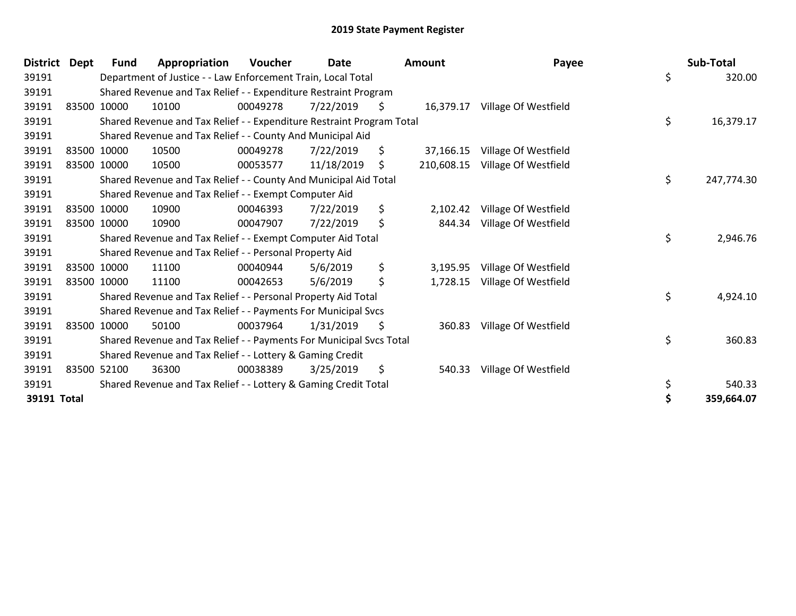| <b>District</b> | <b>Dept</b> | <b>Fund</b> | Appropriation                                                         | <b>Voucher</b> | <b>Date</b> |     | <b>Amount</b> | Payee                | Sub-Total        |
|-----------------|-------------|-------------|-----------------------------------------------------------------------|----------------|-------------|-----|---------------|----------------------|------------------|
| 39191           |             |             | Department of Justice - - Law Enforcement Train, Local Total          |                |             |     |               |                      | \$<br>320.00     |
| 39191           |             |             | Shared Revenue and Tax Relief - - Expenditure Restraint Program       |                |             |     |               |                      |                  |
| 39191           |             | 83500 10000 | 10100                                                                 | 00049278       | 7/22/2019   | \$. | 16,379.17     | Village Of Westfield |                  |
| 39191           |             |             | Shared Revenue and Tax Relief - - Expenditure Restraint Program Total |                |             |     |               |                      | \$<br>16,379.17  |
| 39191           |             |             | Shared Revenue and Tax Relief - - County And Municipal Aid            |                |             |     |               |                      |                  |
| 39191           |             | 83500 10000 | 10500                                                                 | 00049278       | 7/22/2019   | \$  | 37,166.15     | Village Of Westfield |                  |
| 39191           |             | 83500 10000 | 10500                                                                 | 00053577       | 11/18/2019  | \$  | 210,608.15    | Village Of Westfield |                  |
| 39191           |             |             | Shared Revenue and Tax Relief - - County And Municipal Aid Total      |                |             |     |               |                      | \$<br>247,774.30 |
| 39191           |             |             | Shared Revenue and Tax Relief - - Exempt Computer Aid                 |                |             |     |               |                      |                  |
| 39191           |             | 83500 10000 | 10900                                                                 | 00046393       | 7/22/2019   | \$  | 2,102.42      | Village Of Westfield |                  |
| 39191           |             | 83500 10000 | 10900                                                                 | 00047907       | 7/22/2019   | \$  | 844.34        | Village Of Westfield |                  |
| 39191           |             |             | Shared Revenue and Tax Relief - - Exempt Computer Aid Total           |                |             |     |               |                      | \$<br>2,946.76   |
| 39191           |             |             | Shared Revenue and Tax Relief - - Personal Property Aid               |                |             |     |               |                      |                  |
| 39191           |             | 83500 10000 | 11100                                                                 | 00040944       | 5/6/2019    | \$  | 3,195.95      | Village Of Westfield |                  |
| 39191           |             | 83500 10000 | 11100                                                                 | 00042653       | 5/6/2019    | \$  | 1,728.15      | Village Of Westfield |                  |
| 39191           |             |             | Shared Revenue and Tax Relief - - Personal Property Aid Total         |                |             |     |               |                      | \$<br>4,924.10   |
| 39191           |             |             | Shared Revenue and Tax Relief - - Payments For Municipal Svcs         |                |             |     |               |                      |                  |
| 39191           |             | 83500 10000 | 50100                                                                 | 00037964       | 1/31/2019   | \$, | 360.83        | Village Of Westfield |                  |
| 39191           |             |             | Shared Revenue and Tax Relief - - Payments For Municipal Svcs Total   |                |             |     |               |                      | \$<br>360.83     |
| 39191           |             |             | Shared Revenue and Tax Relief - - Lottery & Gaming Credit             |                |             |     |               |                      |                  |
| 39191           |             | 83500 52100 | 36300                                                                 | 00038389       | 3/25/2019   | \$  | 540.33        | Village Of Westfield |                  |
| 39191           |             |             | Shared Revenue and Tax Relief - - Lottery & Gaming Credit Total       |                |             |     |               |                      | \$<br>540.33     |
| 39191 Total     |             |             |                                                                       |                |             |     |               |                      | \$<br>359,664.07 |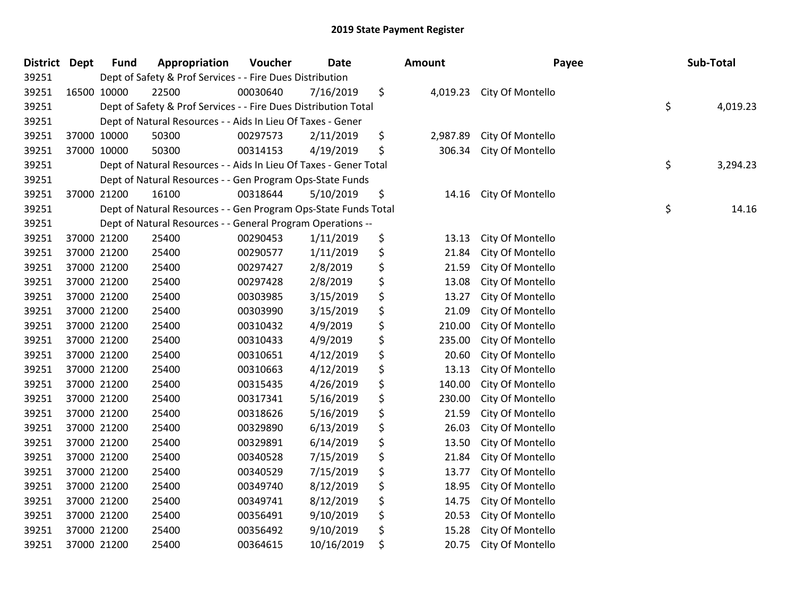| <b>District</b> | Dept | <b>Fund</b> | Appropriation                                                     | Voucher  | <b>Date</b> | Amount         | Payee            | Sub-Total      |
|-----------------|------|-------------|-------------------------------------------------------------------|----------|-------------|----------------|------------------|----------------|
| 39251           |      |             | Dept of Safety & Prof Services - - Fire Dues Distribution         |          |             |                |                  |                |
| 39251           |      | 16500 10000 | 22500                                                             | 00030640 | 7/16/2019   | \$<br>4,019.23 | City Of Montello |                |
| 39251           |      |             | Dept of Safety & Prof Services - - Fire Dues Distribution Total   |          |             |                |                  | \$<br>4,019.23 |
| 39251           |      |             | Dept of Natural Resources - - Aids In Lieu Of Taxes - Gener       |          |             |                |                  |                |
| 39251           |      | 37000 10000 | 50300                                                             | 00297573 | 2/11/2019   | \$<br>2,987.89 | City Of Montello |                |
| 39251           |      | 37000 10000 | 50300                                                             | 00314153 | 4/19/2019   | \$<br>306.34   | City Of Montello |                |
| 39251           |      |             | Dept of Natural Resources - - Aids In Lieu Of Taxes - Gener Total |          |             |                |                  | \$<br>3,294.23 |
| 39251           |      |             | Dept of Natural Resources - - Gen Program Ops-State Funds         |          |             |                |                  |                |
| 39251           |      | 37000 21200 | 16100                                                             | 00318644 | 5/10/2019   | \$<br>14.16    | City Of Montello |                |
| 39251           |      |             | Dept of Natural Resources - - Gen Program Ops-State Funds Total   |          |             |                |                  | \$<br>14.16    |
| 39251           |      |             | Dept of Natural Resources - - General Program Operations --       |          |             |                |                  |                |
| 39251           |      | 37000 21200 | 25400                                                             | 00290453 | 1/11/2019   | \$<br>13.13    | City Of Montello |                |
| 39251           |      | 37000 21200 | 25400                                                             | 00290577 | 1/11/2019   | \$<br>21.84    | City Of Montello |                |
| 39251           |      | 37000 21200 | 25400                                                             | 00297427 | 2/8/2019    | \$<br>21.59    | City Of Montello |                |
| 39251           |      | 37000 21200 | 25400                                                             | 00297428 | 2/8/2019    | \$<br>13.08    | City Of Montello |                |
| 39251           |      | 37000 21200 | 25400                                                             | 00303985 | 3/15/2019   | \$<br>13.27    | City Of Montello |                |
| 39251           |      | 37000 21200 | 25400                                                             | 00303990 | 3/15/2019   | \$<br>21.09    | City Of Montello |                |
| 39251           |      | 37000 21200 | 25400                                                             | 00310432 | 4/9/2019    | \$<br>210.00   | City Of Montello |                |
| 39251           |      | 37000 21200 | 25400                                                             | 00310433 | 4/9/2019    | \$<br>235.00   | City Of Montello |                |
| 39251           |      | 37000 21200 | 25400                                                             | 00310651 | 4/12/2019   | \$<br>20.60    | City Of Montello |                |
| 39251           |      | 37000 21200 | 25400                                                             | 00310663 | 4/12/2019   | \$<br>13.13    | City Of Montello |                |
| 39251           |      | 37000 21200 | 25400                                                             | 00315435 | 4/26/2019   | \$<br>140.00   | City Of Montello |                |
| 39251           |      | 37000 21200 | 25400                                                             | 00317341 | 5/16/2019   | \$<br>230.00   | City Of Montello |                |
| 39251           |      | 37000 21200 | 25400                                                             | 00318626 | 5/16/2019   | \$<br>21.59    | City Of Montello |                |
| 39251           |      | 37000 21200 | 25400                                                             | 00329890 | 6/13/2019   | \$<br>26.03    | City Of Montello |                |
| 39251           |      | 37000 21200 | 25400                                                             | 00329891 | 6/14/2019   | \$<br>13.50    | City Of Montello |                |
| 39251           |      | 37000 21200 | 25400                                                             | 00340528 | 7/15/2019   | \$<br>21.84    | City Of Montello |                |
| 39251           |      | 37000 21200 | 25400                                                             | 00340529 | 7/15/2019   | \$<br>13.77    | City Of Montello |                |
| 39251           |      | 37000 21200 | 25400                                                             | 00349740 | 8/12/2019   | \$<br>18.95    | City Of Montello |                |
| 39251           |      | 37000 21200 | 25400                                                             | 00349741 | 8/12/2019   | \$<br>14.75    | City Of Montello |                |
| 39251           |      | 37000 21200 | 25400                                                             | 00356491 | 9/10/2019   | \$<br>20.53    | City Of Montello |                |
| 39251           |      | 37000 21200 | 25400                                                             | 00356492 | 9/10/2019   | \$<br>15.28    | City Of Montello |                |
| 39251           |      | 37000 21200 | 25400                                                             | 00364615 | 10/16/2019  | \$<br>20.75    | City Of Montello |                |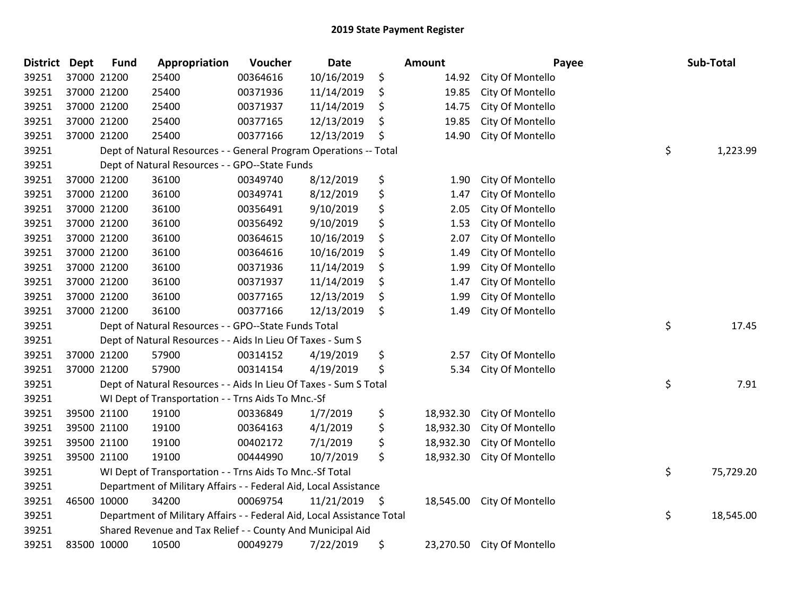| District Dept |             | <b>Fund</b>                                                            | Appropriation                                                     | Voucher  | <b>Date</b> |    | <b>Amount</b> |                            | Payee | Sub-Total |
|---------------|-------------|------------------------------------------------------------------------|-------------------------------------------------------------------|----------|-------------|----|---------------|----------------------------|-------|-----------|
| 39251         |             | 37000 21200                                                            | 25400                                                             | 00364616 | 10/16/2019  | \$ | 14.92         | City Of Montello           |       |           |
| 39251         | 37000 21200 |                                                                        | 25400                                                             | 00371936 | 11/14/2019  | \$ | 19.85         | City Of Montello           |       |           |
| 39251         | 37000 21200 |                                                                        | 25400                                                             | 00371937 | 11/14/2019  | \$ | 14.75         | City Of Montello           |       |           |
| 39251         |             | 37000 21200                                                            | 25400                                                             | 00377165 | 12/13/2019  | \$ | 19.85         | City Of Montello           |       |           |
| 39251         |             | 37000 21200                                                            | 25400                                                             | 00377166 | 12/13/2019  | \$ | 14.90         | City Of Montello           |       |           |
| 39251         |             |                                                                        | Dept of Natural Resources - - General Program Operations -- Total |          |             |    |               |                            | \$    | 1,223.99  |
| 39251         |             |                                                                        | Dept of Natural Resources - - GPO--State Funds                    |          |             |    |               |                            |       |           |
| 39251         |             | 37000 21200                                                            | 36100                                                             | 00349740 | 8/12/2019   | \$ | 1.90          | City Of Montello           |       |           |
| 39251         |             | 37000 21200                                                            | 36100                                                             | 00349741 | 8/12/2019   | \$ | 1.47          | City Of Montello           |       |           |
| 39251         |             | 37000 21200                                                            | 36100                                                             | 00356491 | 9/10/2019   | \$ | 2.05          | City Of Montello           |       |           |
| 39251         |             | 37000 21200                                                            | 36100                                                             | 00356492 | 9/10/2019   | \$ | 1.53          | City Of Montello           |       |           |
| 39251         |             | 37000 21200                                                            | 36100                                                             | 00364615 | 10/16/2019  | \$ | 2.07          | City Of Montello           |       |           |
| 39251         |             | 37000 21200                                                            | 36100                                                             | 00364616 | 10/16/2019  | \$ | 1.49          | City Of Montello           |       |           |
| 39251         |             | 37000 21200                                                            | 36100                                                             | 00371936 | 11/14/2019  | \$ | 1.99          | City Of Montello           |       |           |
| 39251         |             | 37000 21200                                                            | 36100                                                             | 00371937 | 11/14/2019  | \$ | 1.47          | City Of Montello           |       |           |
| 39251         |             | 37000 21200                                                            | 36100                                                             | 00377165 | 12/13/2019  | \$ | 1.99          | City Of Montello           |       |           |
| 39251         |             | 37000 21200                                                            | 36100                                                             | 00377166 | 12/13/2019  | \$ | 1.49          | City Of Montello           |       |           |
| 39251         |             |                                                                        | Dept of Natural Resources - - GPO--State Funds Total              |          |             |    |               |                            | \$    | 17.45     |
| 39251         |             |                                                                        | Dept of Natural Resources - - Aids In Lieu Of Taxes - Sum S       |          |             |    |               |                            |       |           |
| 39251         |             | 37000 21200                                                            | 57900                                                             | 00314152 | 4/19/2019   | \$ | 2.57          | City Of Montello           |       |           |
| 39251         |             | 37000 21200                                                            | 57900                                                             | 00314154 | 4/19/2019   | \$ | 5.34          | City Of Montello           |       |           |
| 39251         |             | Dept of Natural Resources - - Aids In Lieu Of Taxes - Sum S Total      |                                                                   |          |             |    |               |                            |       | 7.91      |
| 39251         |             | WI Dept of Transportation - - Trns Aids To Mnc.-Sf                     |                                                                   |          |             |    |               |                            |       |           |
| 39251         |             | 39500 21100                                                            | 19100                                                             | 00336849 | 1/7/2019    | \$ | 18,932.30     | City Of Montello           |       |           |
| 39251         |             | 39500 21100                                                            | 19100                                                             | 00364163 | 4/1/2019    | \$ | 18,932.30     | City Of Montello           |       |           |
| 39251         |             | 39500 21100                                                            | 19100                                                             | 00402172 | 7/1/2019    | \$ | 18,932.30     | City Of Montello           |       |           |
| 39251         |             | 39500 21100                                                            | 19100                                                             | 00444990 | 10/7/2019   | \$ | 18,932.30     | City Of Montello           |       |           |
| 39251         |             | WI Dept of Transportation - - Trns Aids To Mnc.-Sf Total               |                                                                   |          |             |    |               |                            |       | 75,729.20 |
| 39251         |             | Department of Military Affairs - - Federal Aid, Local Assistance       |                                                                   |          |             |    |               |                            |       |           |
| 39251         |             | 46500 10000                                                            | 34200                                                             | 00069754 | 11/21/2019  | \$ | 18,545.00     | City Of Montello           |       |           |
| 39251         |             | Department of Military Affairs - - Federal Aid, Local Assistance Total |                                                                   |          |             |    |               |                            | \$    | 18,545.00 |
| 39251         |             | Shared Revenue and Tax Relief - - County And Municipal Aid             |                                                                   |          |             |    |               |                            |       |           |
| 39251         | 83500 10000 |                                                                        | 10500                                                             | 00049279 | 7/22/2019   | \$ |               | 23,270.50 City Of Montello |       |           |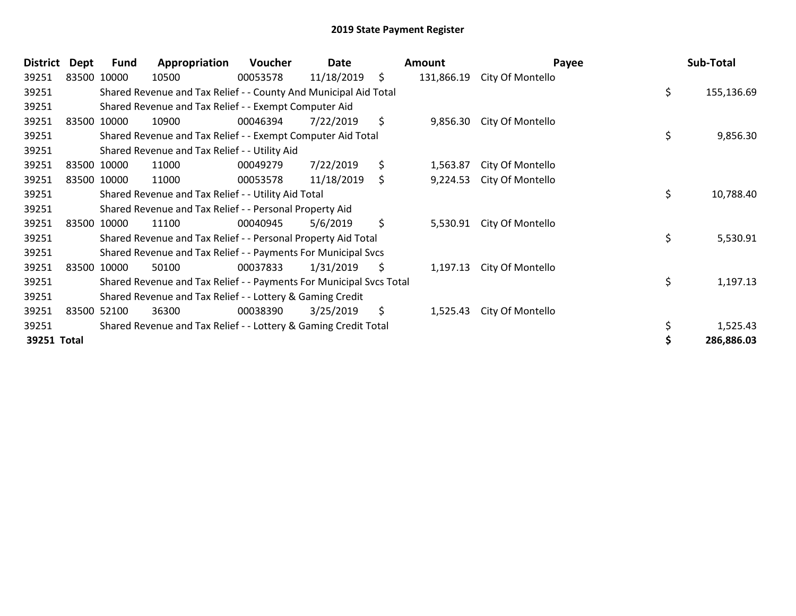| <b>District</b> | Dept | Fund                                                                | Appropriation                                                    | Voucher  | Date       |    | Amount     | Payee            |    | Sub-Total  |
|-----------------|------|---------------------------------------------------------------------|------------------------------------------------------------------|----------|------------|----|------------|------------------|----|------------|
| 39251           |      | 83500 10000                                                         | 10500                                                            | 00053578 | 11/18/2019 | \$ | 131,866.19 | City Of Montello |    |            |
| 39251           |      |                                                                     | Shared Revenue and Tax Relief - - County And Municipal Aid Total |          |            |    |            |                  | \$ | 155,136.69 |
| 39251           |      |                                                                     | Shared Revenue and Tax Relief - - Exempt Computer Aid            |          |            |    |            |                  |    |            |
| 39251           |      | 83500 10000                                                         | 10900                                                            | 00046394 | 7/22/2019  | \$ | 9,856.30   | City Of Montello |    |            |
| 39251           |      |                                                                     | Shared Revenue and Tax Relief - - Exempt Computer Aid Total      |          |            |    |            |                  | \$ | 9,856.30   |
| 39251           |      |                                                                     | Shared Revenue and Tax Relief - - Utility Aid                    |          |            |    |            |                  |    |            |
| 39251           |      | 83500 10000                                                         | 11000                                                            | 00049279 | 7/22/2019  | \$ | 1,563.87   | City Of Montello |    |            |
| 39251           |      | 83500 10000                                                         | 11000                                                            | 00053578 | 11/18/2019 | \$ | 9,224.53   | City Of Montello |    |            |
| 39251           |      | Shared Revenue and Tax Relief - - Utility Aid Total                 |                                                                  |          |            |    |            |                  | \$ | 10,788.40  |
| 39251           |      | Shared Revenue and Tax Relief - - Personal Property Aid             |                                                                  |          |            |    |            |                  |    |            |
| 39251           |      | 83500 10000                                                         | 11100                                                            | 00040945 | 5/6/2019   | \$ | 5,530.91   | City Of Montello |    |            |
| 39251           |      | \$<br>Shared Revenue and Tax Relief - - Personal Property Aid Total |                                                                  |          |            |    |            |                  |    | 5,530.91   |
| 39251           |      | Shared Revenue and Tax Relief - - Payments For Municipal Svcs       |                                                                  |          |            |    |            |                  |    |            |
| 39251           |      | 83500 10000                                                         | 50100                                                            | 00037833 | 1/31/2019  | \$ | 1,197.13   | City Of Montello |    |            |
| 39251           |      | Shared Revenue and Tax Relief - - Payments For Municipal Svcs Total |                                                                  |          |            |    |            |                  | \$ | 1,197.13   |
| 39251           |      | Shared Revenue and Tax Relief - - Lottery & Gaming Credit           |                                                                  |          |            |    |            |                  |    |            |
| 39251           |      | 83500 52100                                                         | 36300                                                            | 00038390 | 3/25/2019  | \$ | 1,525.43   | City Of Montello |    |            |
| 39251           |      |                                                                     | Shared Revenue and Tax Relief - - Lottery & Gaming Credit Total  |          |            |    |            |                  | \$ | 1,525.43   |
| 39251 Total     |      |                                                                     |                                                                  |          |            |    |            |                  |    | 286,886.03 |